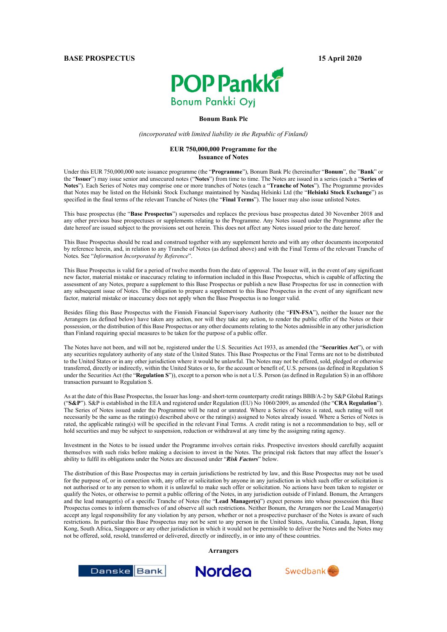# **POP Pankki Bonum Pankki Oyj**

#### **Bonum Bank Plc**

*(incorporated with limited liability in the Republic of Finland)*

#### **EUR 750,000,000 Programme for the Issuance of Notes**

Under this EUR 750,000,000 note issuance programme (the "**Programme**"), Bonum Bank Plc (hereinafter "**Bonum**", the "**Bank**" or the "**Issuer**") may issue senior and unsecured notes ("**Notes**") from time to time. The Notes are issued in a series (each a "**Series of Notes**"). Each Series of Notes may comprise one or more tranches of Notes (each a "**Tranche of Notes**"). The Programme provides that Notes may be listed on the Helsinki Stock Exchange maintained by Nasdaq Helsinki Ltd (the "**Helsinki Stock Exchange**") as specified in the final terms of the relevant Tranche of Notes (the "**Final Terms**"). The Issuer may also issue unlisted Notes.

This base prospectus (the "**Base Prospectus**") supersedes and replaces the previous base prospectus dated 30 November 2018 and any other previous base prospectuses or supplements relating to the Programme. Any Notes issued under the Programme after the date hereof are issued subject to the provisions set out herein. This does not affect any Notes issued prior to the date hereof.

This Base Prospectus should be read and construed together with any supplement hereto and with any other documents incorporated by reference herein, and, in relation to any Tranche of Notes (as defined above) and with the Final Terms of the relevant Tranche of Notes. See "*Information Incorporated by Reference*".

This Base Prospectus is valid for a period of twelve months from the date of approval. The Issuer will, in the event of any significant new factor, material mistake or inaccuracy relating to information included in this Base Prospectus, which is capable of affecting the assessment of any Notes, prepare a supplement to this Base Prospectus or publish a new Base Prospectus for use in connection with any subsequent issue of Notes. The obligation to prepare a supplement to this Base Prospectus in the event of any significant new factor, material mistake or inaccuracy does not apply when the Base Prospectus is no longer valid.

Besides filing this Base Prospectus with the Finnish Financial Supervisory Authority (the "**FIN-FSA**"), neither the Issuer nor the Arrangers (as defined below) have taken any action, nor will they take any action, to render the public offer of the Notes or their possession, or the distribution of this Base Prospectus or any other documents relating to the Notes admissible in any other jurisdiction than Finland requiring special measures to be taken for the purpose of a public offer.

The Notes have not been, and will not be, registered under the U.S. Securities Act 1933, as amended (the "**Securities Act**"), or with any securities regulatory authority of any state of the United States. This Base Prospectus or the Final Terms are not to be distributed to the United States or in any other jurisdiction where it would be unlawful. The Notes may not be offered, sold, pledged or otherwise transferred, directly or indirectly, within the United States or to, for the account or benefit of, U.S. persons (as defined in Regulation S under the Securities Act (the "**Regulation S**")), except to a person who is not a U.S. Person (as defined in Regulation S) in an offshore transaction pursuant to Regulation S.

As at the date of this Base Prospectus, the Issuer has long- and short-term counterparty credit ratings BBB/A-2 by S&P Global Ratings ("**S&P**"). S&P is established in the EEA and registered under Regulation (EU) No 1060/2009, as amended (the "**CRA Regulation**"). The Series of Notes issued under the Programme will be rated or unrated. Where a Series of Notes is rated, such rating will not necessarily be the same as the rating(s) described above or the rating(s) assigned to Notes already issued. Where a Series of Notes is rated, the applicable rating(s) will be specified in the relevant Final Terms. A credit rating is not a recommendation to buy, sell or hold securities and may be subject to suspension, reduction or withdrawal at any time by the assigning rating agency.

Investment in the Notes to be issued under the Programme involves certain risks. Prospective investors should carefully acquaint themselves with such risks before making a decision to invest in the Notes. The principal risk factors that may affect the Issuer's ability to fulfil its obligations under the Notes are discussed under "*Risk Factors*" below.

The distribution of this Base Prospectus may in certain jurisdictions be restricted by law, and this Base Prospectus may not be used for the purpose of, or in connection with, any offer or solicitation by anyone in any jurisdiction in which such offer or solicitation is not authorised or to any person to whom it is unlawful to make such offer or solicitation. No actions have been taken to register or qualify the Notes, or otherwise to permit a public offering of the Notes, in any jurisdiction outside of Finland. Bonum, the Arrangers and the lead manager(s) of a specific Tranche of Notes (the "**Lead Manager(s)**") expect persons into whose possession this Base Prospectus comes to inform themselves of and observe all such restrictions. Neither Bonum, the Arrangers nor the Lead Manager(s) accept any legal responsibility for any violation by any person, whether or not a prospective purchaser of the Notes is aware of such restrictions. In particular this Base Prospectus may not be sent to any person in the United States, Australia, Canada, Japan, Hong Kong, South Africa, Singapore or any other jurisdiction in which it would not be permissible to deliver the Notes and the Notes may not be offered, sold, resold, transferred or delivered, directly or indirectly, in or into any of these countries.

**Arrangers**





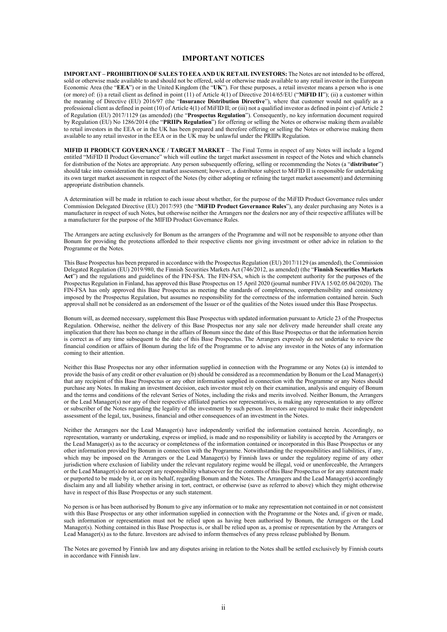#### **IMPORTANT NOTICES**

<span id="page-1-0"></span>**IMPORTANT – PROHIBITION OF SALES TO EEA AND UK RETAIL INVESTORS:** The Notes are not intended to be offered, sold or otherwise made available to and should not be offered, sold or otherwise made available to any retail investor in the European Economic Area (the "**EEA**") or in the United Kingdom (the "**UK**"). For these purposes, a retail investor means a person who is one (or more) of: (i) a retail client as defined in point (11) of Article 4(1) of Directive 2014/65/EU ("**MiFID II**"); (ii) a customer within the meaning of Directive (EU) 2016/97 (the "**Insurance Distribution Directive**"), where that customer would not qualify as a professional client as defined in point (10) of Article 4(1) of MiFID II; or (iii) not a qualified investor as defined in point e) of Article 2 of Regulation (EU) 2017/1129 (as amended) (the "**Prospectus Regulation**"). Consequently, no key information document required by Regulation (EU) No 1286/2014 (the "**PRIIPs Regulation**") for offering or selling the Notes or otherwise making them available to retail investors in the EEA or in the UK has been prepared and therefore offering or selling the Notes or otherwise making them available to any retail investor in the EEA or in the UK may be unlawful under the PRIIPs Regulation.

**MIFID II PRODUCT GOVERNANCE / TARGET MARKET** – The Final Terms in respect of any Notes will include a legend entitled "MiFID II Product Governance" which will outline the target market assessment in respect of the Notes and which channels for distribution of the Notes are appropriate. Any person subsequently offering, selling or recommending the Notes (a "**distributor**") should take into consideration the target market assessment; however, a distributor subject to MiFID II is responsible for undertaking its own target market assessment in respect of the Notes (by either adopting or refining the target market assessment) and determining appropriate distribution channels.

A determination will be made in relation to each issue about whether, for the purpose of the MiFID Product Governance rules under Commission Delegated Directive (EU) 2017/593 (the "**MiFID Product Governance Rules**"), any dealer purchasing any Notes is a manufacturer in respect of such Notes, but otherwise neither the Arrangers nor the dealers nor any of their respective affiliates will be a manufacturer for the purpose of the MIFID Product Governance Rules.

The Arrangers are acting exclusively for Bonum as the arrangers of the Programme and will not be responsible to anyone other than Bonum for providing the protections afforded to their respective clients nor giving investment or other advice in relation to the Programme or the Notes.

This Base Prospectus has been prepared in accordance with the Prospectus Regulation (EU) 2017/1129 (as amended), the Commission Delegated Regulation (EU) 2019/980, the Finnish Securities Markets Act (746/2012, as amended) (the "**Finnish Securities Markets Act**") and the regulations and guidelines of the FIN-FSA. The FIN-FSA, which is the competent authority for the purposes of the Prospectus Regulation in Finland, has approved this Base Prospectus on 15 April 2020 (journal number FIVA 15/02.05.04/2020). The FIN-FSA has only approved this Base Prospectus as meeting the standards of completeness, comprehensibility and consistency imposed by the Prospectus Regulation, but assumes no responsibility for the correctness of the information contained herein. Such approval shall not be considered as an endorsement of the Issuer or of the qualities of the Notes issued under this Base Prospectus.

Bonum will, as deemed necessary, supplement this Base Prospectus with updated information pursuant to Article 23 of the Prospectus Regulation. Otherwise, neither the delivery of this Base Prospectus nor any sale nor delivery made hereunder shall create any implication that there has been no change in the affairs of Bonum since the date of this Base Prospectus or that the information herein is correct as of any time subsequent to the date of this Base Prospectus. The Arrangers expressly do not undertake to review the financial condition or affairs of Bonum during the life of the Programme or to advise any investor in the Notes of any information coming to their attention.

Neither this Base Prospectus nor any other information supplied in connection with the Programme or any Notes (a) is intended to provide the basis of any credit or other evaluation or (b) should be considered as a recommendation by Bonum or the Lead Manager(s) that any recipient of this Base Prospectus or any other information supplied in connection with the Programme or any Notes should purchase any Notes. In making an investment decision, each investor must rely on their examination, analysis and enquiry of Bonum and the terms and conditions of the relevant Series of Notes, including the risks and merits involved. Neither Bonum, the Arrangers or the Lead Manager(s) nor any of their respective affiliated parties nor representatives, is making any representation to any offeree or subscriber of the Notes regarding the legality of the investment by such person. Investors are required to make their independent assessment of the legal, tax, business, financial and other consequences of an investment in the Notes.

Neither the Arrangers nor the Lead Manager(s) have independently verified the information contained herein. Accordingly, no representation, warranty or undertaking, express or implied, is made and no responsibility or liability is accepted by the Arrangers or the Lead Manager(s) as to the accuracy or completeness of the information contained or incorporated in this Base Prospectus or any other information provided by Bonum in connection with the Programme. Notwithstanding the responsibilities and liabilities, if any, which may be imposed on the Arrangers or the Lead Manager(s) by Finnish laws or under the regulatory regime of any other jurisdiction where exclusion of liability under the relevant regulatory regime would be illegal, void or unenforceable, the Arrangers or the Lead Manager(s) do not accept any responsibility whatsoever for the contents of this Base Prospectus or for any statement made or purported to be made by it, or on its behalf, regarding Bonum and the Notes. The Arrangers and the Lead Manager(s) accordingly disclaim any and all liability whether arising in tort, contract, or otherwise (save as referred to above) which they might otherwise have in respect of this Base Prospectus or any such statement.

No person is or has been authorised by Bonum to give any information or to make any representation not contained in or not consistent with this Base Prospectus or any other information supplied in connection with the Programme or the Notes and, if given or made, such information or representation must not be relied upon as having been authorised by Bonum, the Arrangers or the Lead Manager(s). Nothing contained in this Base Prospectus is, or shall be relied upon as, a promise or representation by the Arrangers or Lead Manager(s) as to the future. Investors are advised to inform themselves of any press release published by Bonum.

The Notes are governed by Finnish law and any disputes arising in relation to the Notes shall be settled exclusively by Finnish courts in accordance with Finnish law.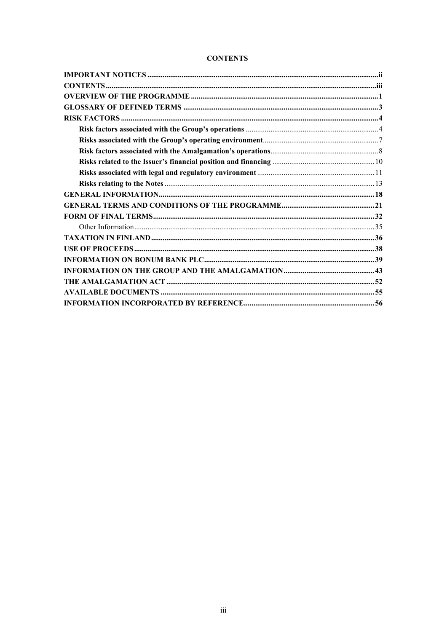| <b>CONTENTS</b> |
|-----------------|
|-----------------|

<span id="page-2-0"></span>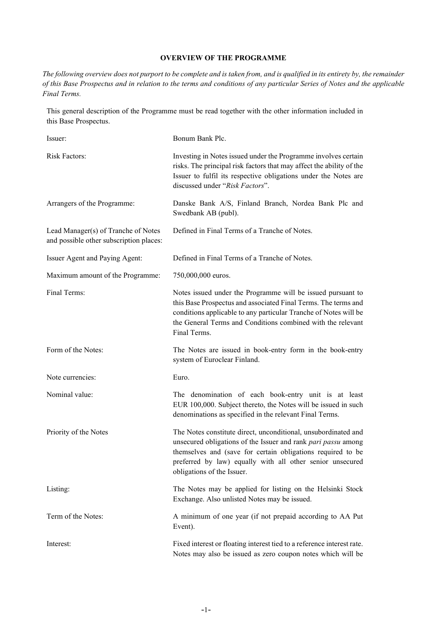## **OVERVIEW OF THE PROGRAMME**

<span id="page-3-0"></span>*The following overview does not purport to be complete and is taken from, and is qualified in its entirety by, the remainder of this Base Prospectus and in relation to the terms and conditions of any particular Series of Notes and the applicable Final Terms.*

This general description of the Programme must be read together with the other information included in this Base Prospectus.

| Issuer:                                                                        | Bonum Bank Plc.                                                                                                                                                                                                                                                                           |
|--------------------------------------------------------------------------------|-------------------------------------------------------------------------------------------------------------------------------------------------------------------------------------------------------------------------------------------------------------------------------------------|
| <b>Risk Factors:</b>                                                           | Investing in Notes issued under the Programme involves certain<br>risks. The principal risk factors that may affect the ability of the<br>Issuer to fulfil its respective obligations under the Notes are<br>discussed under "Risk Factors".                                              |
| Arrangers of the Programme:                                                    | Danske Bank A/S, Finland Branch, Nordea Bank Plc and<br>Swedbank AB (publ).                                                                                                                                                                                                               |
| Lead Manager(s) of Tranche of Notes<br>and possible other subscription places: | Defined in Final Terms of a Tranche of Notes.                                                                                                                                                                                                                                             |
| Issuer Agent and Paying Agent:                                                 | Defined in Final Terms of a Tranche of Notes.                                                                                                                                                                                                                                             |
| Maximum amount of the Programme:                                               | 750,000,000 euros.                                                                                                                                                                                                                                                                        |
| Final Terms:                                                                   | Notes issued under the Programme will be issued pursuant to<br>this Base Prospectus and associated Final Terms. The terms and<br>conditions applicable to any particular Tranche of Notes will be<br>the General Terms and Conditions combined with the relevant<br>Final Terms.          |
| Form of the Notes:                                                             | The Notes are issued in book-entry form in the book-entry<br>system of Euroclear Finland.                                                                                                                                                                                                 |
| Note currencies:                                                               | Euro.                                                                                                                                                                                                                                                                                     |
| Nominal value:                                                                 | The denomination of each book-entry unit is at least<br>EUR 100,000. Subject thereto, the Notes will be issued in such<br>denominations as specified in the relevant Final Terms.                                                                                                         |
| Priority of the Notes                                                          | The Notes constitute direct, unconditional, unsubordinated and<br>unsecured obligations of the Issuer and rank pari passu among<br>themselves and (save for certain obligations required to be<br>preferred by law) equally with all other senior unsecured<br>obligations of the Issuer. |
| Listing:                                                                       | The Notes may be applied for listing on the Helsinki Stock<br>Exchange. Also unlisted Notes may be issued.                                                                                                                                                                                |
| Term of the Notes:                                                             | A minimum of one year (if not prepaid according to AA Put<br>Event).                                                                                                                                                                                                                      |
| Interest:                                                                      | Fixed interest or floating interest tied to a reference interest rate.<br>Notes may also be issued as zero coupon notes which will be                                                                                                                                                     |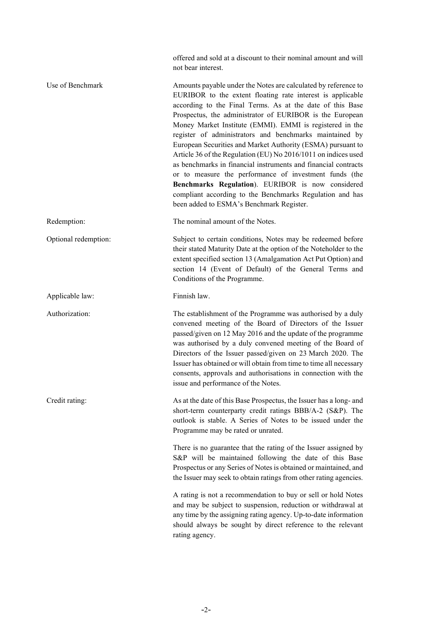offered and sold at a discount to their nominal amount and will not bear interest.

| Use of Benchmark     | Amounts payable under the Notes are calculated by reference to<br>EURIBOR to the extent floating rate interest is applicable<br>according to the Final Terms. As at the date of this Base<br>Prospectus, the administrator of EURIBOR is the European<br>Money Market Institute (EMMI). EMMI is registered in the<br>register of administrators and benchmarks maintained by<br>European Securities and Market Authority (ESMA) pursuant to<br>Article 36 of the Regulation (EU) No 2016/1011 on indices used<br>as benchmarks in financial instruments and financial contracts<br>or to measure the performance of investment funds (the<br>Benchmarks Regulation). EURIBOR is now considered<br>compliant according to the Benchmarks Regulation and has<br>been added to ESMA's Benchmark Register. |
|----------------------|--------------------------------------------------------------------------------------------------------------------------------------------------------------------------------------------------------------------------------------------------------------------------------------------------------------------------------------------------------------------------------------------------------------------------------------------------------------------------------------------------------------------------------------------------------------------------------------------------------------------------------------------------------------------------------------------------------------------------------------------------------------------------------------------------------|
| Redemption:          | The nominal amount of the Notes.                                                                                                                                                                                                                                                                                                                                                                                                                                                                                                                                                                                                                                                                                                                                                                       |
| Optional redemption: | Subject to certain conditions, Notes may be redeemed before<br>their stated Maturity Date at the option of the Noteholder to the<br>extent specified section 13 (Amalgamation Act Put Option) and<br>section 14 (Event of Default) of the General Terms and<br>Conditions of the Programme.                                                                                                                                                                                                                                                                                                                                                                                                                                                                                                            |
| Applicable law:      | Finnish law.                                                                                                                                                                                                                                                                                                                                                                                                                                                                                                                                                                                                                                                                                                                                                                                           |
| Authorization:       | The establishment of the Programme was authorised by a duly<br>convened meeting of the Board of Directors of the Issuer<br>passed/given on 12 May 2016 and the update of the programme<br>was authorised by a duly convened meeting of the Board of<br>Directors of the Issuer passed/given on 23 March 2020. The<br>Issuer has obtained or will obtain from time to time all necessary<br>consents, approvals and authorisations in connection with the<br>issue and performance of the Notes.                                                                                                                                                                                                                                                                                                        |
| Credit rating:       | As at the date of this Base Prospectus, the Issuer has a long- and<br>short-term counterparty credit ratings BBB/A-2 (S&P). The<br>outlook is stable. A Series of Notes to be issued under the<br>Programme may be rated or unrated.                                                                                                                                                                                                                                                                                                                                                                                                                                                                                                                                                                   |
|                      | There is no guarantee that the rating of the Issuer assigned by<br>S&P will be maintained following the date of this Base<br>Prospectus or any Series of Notes is obtained or maintained, and<br>the Issuer may seek to obtain ratings from other rating agencies.                                                                                                                                                                                                                                                                                                                                                                                                                                                                                                                                     |
|                      | A rating is not a recommendation to buy or sell or hold Notes<br>and may be subject to suspension, reduction or withdrawal at<br>any time by the assigning rating agency. Up-to-date information<br>should always be sought by direct reference to the relevant<br>rating agency.                                                                                                                                                                                                                                                                                                                                                                                                                                                                                                                      |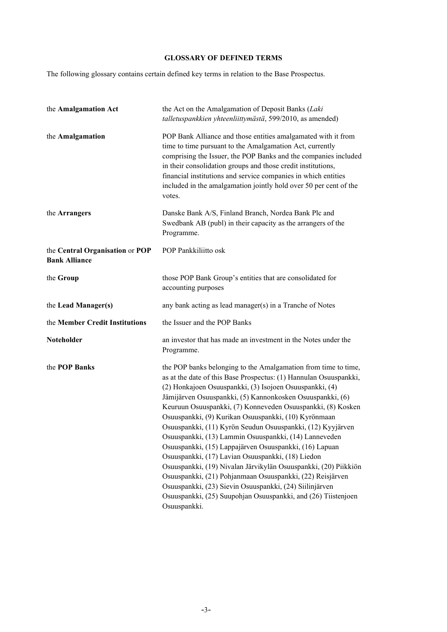# **GLOSSARY OF DEFINED TERMS**

<span id="page-5-0"></span>The following glossary contains certain defined key terms in relation to the Base Prospectus.

| the Amalgamation Act                                    | the Act on the Amalgamation of Deposit Banks (Laki<br>talletuspankkien yhteenliittymästä, 599/2010, as amended)                                                                                                                                                                                                                                                                                                                                                                                                                                                                                                                                                                                                                                                                                                                                                                                      |  |
|---------------------------------------------------------|------------------------------------------------------------------------------------------------------------------------------------------------------------------------------------------------------------------------------------------------------------------------------------------------------------------------------------------------------------------------------------------------------------------------------------------------------------------------------------------------------------------------------------------------------------------------------------------------------------------------------------------------------------------------------------------------------------------------------------------------------------------------------------------------------------------------------------------------------------------------------------------------------|--|
| the Amalgamation                                        | POP Bank Alliance and those entities amalgamated with it from<br>time to time pursuant to the Amalgamation Act, currently<br>comprising the Issuer, the POP Banks and the companies included<br>in their consolidation groups and those credit institutions,<br>financial institutions and service companies in which entities<br>included in the amalgamation jointly hold over 50 per cent of the<br>votes.                                                                                                                                                                                                                                                                                                                                                                                                                                                                                        |  |
| the Arrangers                                           | Danske Bank A/S, Finland Branch, Nordea Bank Plc and<br>Swedbank AB (publ) in their capacity as the arrangers of the<br>Programme.                                                                                                                                                                                                                                                                                                                                                                                                                                                                                                                                                                                                                                                                                                                                                                   |  |
| the Central Organisation or POP<br><b>Bank Alliance</b> | POP Pankkiliitto osk                                                                                                                                                                                                                                                                                                                                                                                                                                                                                                                                                                                                                                                                                                                                                                                                                                                                                 |  |
| the Group                                               | those POP Bank Group's entities that are consolidated for<br>accounting purposes                                                                                                                                                                                                                                                                                                                                                                                                                                                                                                                                                                                                                                                                                                                                                                                                                     |  |
| the Lead Manager(s)                                     | any bank acting as lead manager(s) in a Tranche of Notes                                                                                                                                                                                                                                                                                                                                                                                                                                                                                                                                                                                                                                                                                                                                                                                                                                             |  |
| the Member Credit Institutions                          | the Issuer and the POP Banks                                                                                                                                                                                                                                                                                                                                                                                                                                                                                                                                                                                                                                                                                                                                                                                                                                                                         |  |
| Noteholder                                              | an investor that has made an investment in the Notes under the<br>Programme.                                                                                                                                                                                                                                                                                                                                                                                                                                                                                                                                                                                                                                                                                                                                                                                                                         |  |
| the POP Banks                                           | the POP banks belonging to the Amalgamation from time to time,<br>as at the date of this Base Prospectus: (1) Hannulan Osuuspankki,<br>(2) Honkajoen Osuuspankki, (3) Isojoen Osuuspankki, (4)<br>Jämijärven Osuuspankki, (5) Kannonkosken Osuuspankki, (6)<br>Keuruun Osuuspankki, (7) Konneveden Osuuspankki, (8) Kosken<br>Osuuspankki, (9) Kurikan Osuuspankki, (10) Kyrönmaan<br>Osuuspankki, (11) Kyrön Seudun Osuuspankki, (12) Kyyjärven<br>Osuuspankki, (13) Lammin Osuuspankki, (14) Lanneveden<br>Osuuspankki, (15) Lappajärven Osuuspankki, (16) Lapuan<br>Osuuspankki, (17) Lavian Osuuspankki, (18) Liedon<br>Osuuspankki, (19) Nivalan Järvikylän Osuuspankki, (20) Piikkiön<br>Osuuspankki, (21) Pohjanmaan Osuuspankki, (22) Reisjärven<br>Osuuspankki, (23) Sievin Osuuspankki, (24) Siilinjärven<br>Osuuspankki, (25) Suupohjan Osuuspankki, and (26) Tiistenjoen<br>Osuuspankki. |  |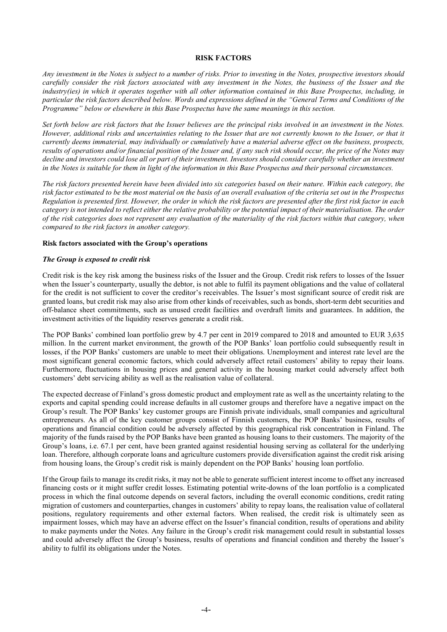#### **RISK FACTORS**

<span id="page-6-0"></span>*Any investment in the Notes is subject to a number of risks. Prior to investing in the Notes, prospective investors should carefully consider the risk factors associated with any investment in the Notes, the business of the Issuer and the industry(ies) in which it operates together with all other information contained in this Base Prospectus, including, in particular the risk factors described below. Words and expressions defined in the "General Terms and Conditions of the Programme" below or elsewhere in this Base Prospectus have the same meanings in this section.*

*Set forth below are risk factors that the Issuer believes are the principal risks involved in an investment in the Notes. However, additional risks and uncertainties relating to the Issuer that are not currently known to the Issuer, or that it currently deems immaterial, may individually or cumulatively have a material adverse effect on the business, prospects, results of operations and/or financial position of the Issuer and, if any such risk should occur, the price of the Notes may decline and investors could lose all or part of their investment. Investors should consider carefully whether an investment in the Notes is suitable for them in light of the information in this Base Prospectus and their personal circumstances.*

*The risk factors presented herein have been divided into six categories based on their nature. Within each category, the risk factor estimated to be the most material on the basis of an overall evaluation of the criteria set out in the Prospectus Regulation is presented first. However, the order in which the risk factors are presented after the first risk factor in each category is not intended to reflect either the relative probability or the potential impact of their materialisation. The order of the risk categories does not represent any evaluation of the materiality of the risk factors within that category, when compared to the risk factors in another category.*

#### <span id="page-6-1"></span>**Risk factors associated with the Group's operations**

#### *The Group is exposed to credit risk*

Credit risk is the key risk among the business risks of the Issuer and the Group. Credit risk refers to losses of the Issuer when the Issuer's counterparty, usually the debtor, is not able to fulfil its payment obligations and the value of collateral for the credit is not sufficient to cover the creditor's receivables. The Issuer's most significant source of credit risk are granted loans, but credit risk may also arise from other kinds of receivables, such as bonds, short-term debt securities and off-balance sheet commitments, such as unused credit facilities and overdraft limits and guarantees. In addition, the investment activities of the liquidity reserves generate a credit risk.

The POP Banks' combined loan portfolio grew by 4.7 per cent in 2019 compared to 2018 and amounted to EUR 3,635 million. In the current market environment, the growth of the POP Banks' loan portfolio could subsequently result in losses, if the POP Banks' customers are unable to meet their obligations. Unemployment and interest rate level are the most significant general economic factors, which could adversely affect retail customers' ability to repay their loans. Furthermore, fluctuations in housing prices and general activity in the housing market could adversely affect both customers' debt servicing ability as well as the realisation value of collateral.

The expected decrease of Finland's gross domestic product and employment rate as well as the uncertainty relating to the exports and capital spending could increase defaults in all customer groups and therefore have a negative impact on the Group's result. The POP Banks' key customer groups are Finnish private individuals, small companies and agricultural entrepreneurs. As all of the key customer groups consist of Finnish customers, the POP Banks' business, results of operations and financial condition could be adversely affected by this geographical risk concentration in Finland. The majority of the funds raised by the POP Banks have been granted as housing loans to their customers. The majority of the Group's loans, i.e. 67.1 per cent, have been granted against residential housing serving as collateral for the underlying loan. Therefore, although corporate loans and agriculture customers provide diversification against the credit risk arising from housing loans, the Group's credit risk is mainly dependent on the POP Banks' housing loan portfolio.

If the Group fails to manage its credit risks, it may not be able to generate sufficient interest income to offset any increased financing costs or it might suffer credit losses. Estimating potential write-downs of the loan portfolio is a complicated process in which the final outcome depends on several factors, including the overall economic conditions, credit rating migration of customers and counterparties, changes in customers' ability to repay loans, the realisation value of collateral positions, regulatory requirements and other external factors. When realised, the credit risk is ultimately seen as impairment losses, which may have an adverse effect on the Issuer's financial condition, results of operations and ability to make payments under the Notes. Any failure in the Group's credit risk management could result in substantial losses and could adversely affect the Group's business, results of operations and financial condition and thereby the Issuer's ability to fulfil its obligations under the Notes.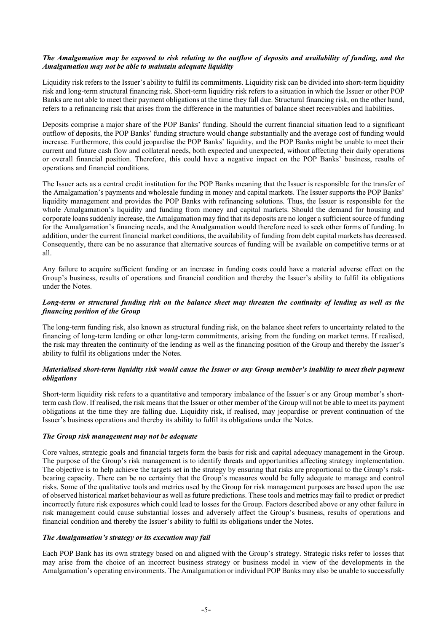## *The Amalgamation may be exposed to risk relating to the outflow of deposits and availability of funding, and the Amalgamation may not be able to maintain adequate liquidity*

Liquidity risk refers to the Issuer's ability to fulfil its commitments. Liquidity risk can be divided into short-term liquidity risk and long-term structural financing risk. Short-term liquidity risk refers to a situation in which the Issuer or other POP Banks are not able to meet their payment obligations at the time they fall due. Structural financing risk, on the other hand, refers to a refinancing risk that arises from the difference in the maturities of balance sheet receivables and liabilities.

Deposits comprise a major share of the POP Banks' funding. Should the current financial situation lead to a significant outflow of deposits, the POP Banks' funding structure would change substantially and the average cost of funding would increase. Furthermore, this could jeopardise the POP Banks' liquidity, and the POP Banks might be unable to meet their current and future cash flow and collateral needs, both expected and unexpected, without affecting their daily operations or overall financial position. Therefore, this could have a negative impact on the POP Banks' business, results of operations and financial conditions.

The Issuer acts as a central credit institution for the POP Banks meaning that the Issuer is responsible for the transfer of the Amalgamation's payments and wholesale funding in money and capital markets. The Issuer supports the POP Banks' liquidity management and provides the POP Banks with refinancing solutions. Thus, the Issuer is responsible for the whole Amalgamation's liquidity and funding from money and capital markets. Should the demand for housing and corporate loans suddenly increase, the Amalgamation may find that its deposits are no longer a sufficient source of funding for the Amalgamation's financing needs, and the Amalgamation would therefore need to seek other forms of funding. In addition, under the current financial market conditions, the availability of funding from debt capital markets has decreased. Consequently, there can be no assurance that alternative sources of funding will be available on competitive terms or at all.

Any failure to acquire sufficient funding or an increase in funding costs could have a material adverse effect on the Group's business, results of operations and financial condition and thereby the Issuer's ability to fulfil its obligations under the Notes.

## *Long-term or structural funding risk on the balance sheet may threaten the continuity of lending as well as the financing position of the Group*

The long-term funding risk, also known as structural funding risk, on the balance sheet refers to uncertainty related to the financing of long-term lending or other long-term commitments, arising from the funding on market terms. If realised, the risk may threaten the continuity of the lending as well as the financing position of the Group and thereby the Issuer's ability to fulfil its obligations under the Notes.

## *Materialised short-term liquidity risk would cause the Issuer or any Group member's inability to meet their payment obligations*

Short-term liquidity risk refers to a quantitative and temporary imbalance of the Issuer's or any Group member's shortterm cash flow. If realised, the risk means that the Issuer or other member of the Group will not be able to meet its payment obligations at the time they are falling due. Liquidity risk, if realised, may jeopardise or prevent continuation of the Issuer's business operations and thereby its ability to fulfil its obligations under the Notes.

## *The Group risk management may not be adequate*

Core values, strategic goals and financial targets form the basis for risk and capital adequacy management in the Group. The purpose of the Group's risk management is to identify threats and opportunities affecting strategy implementation. The objective is to help achieve the targets set in the strategy by ensuring that risks are proportional to the Group's riskbearing capacity. There can be no certainty that the Group's measures would be fully adequate to manage and control risks. Some of the qualitative tools and metrics used by the Group for risk management purposes are based upon the use of observed historical market behaviour as well as future predictions. These tools and metrics may fail to predict or predict incorrectly future risk exposures which could lead to losses for the Group. Factors described above or any other failure in risk management could cause substantial losses and adversely affect the Group's business, results of operations and financial condition and thereby the Issuer's ability to fulfil its obligations under the Notes.

# *The Amalgamation's strategy or its execution may fail*

Each POP Bank has its own strategy based on and aligned with the Group's strategy. Strategic risks refer to losses that may arise from the choice of an incorrect business strategy or business model in view of the developments in the Amalgamation's operating environments. The Amalgamation or individual POP Banks may also be unable to successfully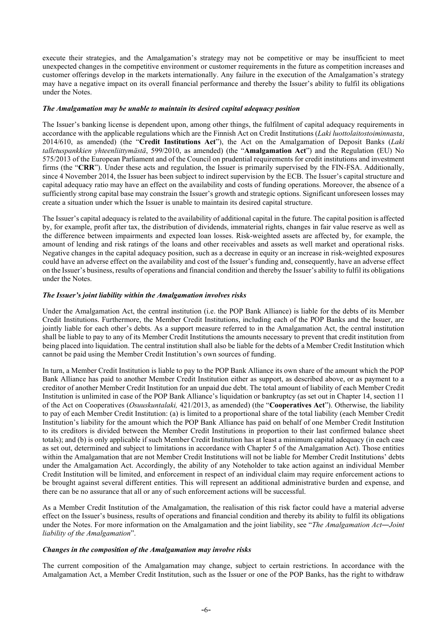execute their strategies, and the Amalgamation's strategy may not be competitive or may be insufficient to meet unexpected changes in the competitive environment or customer requirements in the future as competition increases and customer offerings develop in the markets internationally. Any failure in the execution of the Amalgamation's strategy may have a negative impact on its overall financial performance and thereby the Issuer's ability to fulfil its obligations under the Notes.

#### *The Amalgamation may be unable to maintain its desired capital adequacy position*

The Issuer's banking license is dependent upon, among other things, the fulfilment of capital adequacy requirements in accordance with the applicable regulations which are the Finnish Act on Credit Institutions (*Laki luottolaitostoiminnasta*, 2014/610, as amended) (the "**Credit Institutions Act**"), the Act on the Amalgamation of Deposit Banks (*Laki talletuspankkien yhteenliittymästä*, 599/2010, as amended) (the "**Amalgamation Act**") and the Regulation (EU) No 575/2013 of the European Parliament and of the Council on prudential requirements for credit institutions and investment firms (the "**CRR**"). Under these acts and regulation, the Issuer is primarily supervised by the FIN-FSA. Additionally, since 4 November 2014, the Issuer has been subject to indirect supervision by the ECB. The Issuer's capital structure and capital adequacy ratio may have an effect on the availability and costs of funding operations. Moreover, the absence of a sufficiently strong capital base may constrain the Issuer's growth and strategic options. Significant unforeseen losses may create a situation under which the Issuer is unable to maintain its desired capital structure.

The Issuer's capital adequacy is related to the availability of additional capital in the future. The capital position is affected by, for example, profit after tax, the distribution of dividends, immaterial rights, changes in fair value reserve as well as the difference between impairments and expected loan losses. Risk-weighted assets are affected by, for example, the amount of lending and risk ratings of the loans and other receivables and assets as well market and operational risks. Negative changes in the capital adequacy position, such as a decrease in equity or an increase in risk-weighted exposures could have an adverse effect on the availability and cost of the Issuer's funding and, consequently, have an adverse effect on the Issuer's business, results of operations and financial condition and thereby the Issuer's ability to fulfil its obligations under the Notes.

#### *The Issuer's joint liability within the Amalgamation involves risks*

Under the Amalgamation Act, the central institution (i.e. the POP Bank Alliance) is liable for the debts of its Member Credit Institutions. Furthermore, the Member Credit Institutions, including each of the POP Banks and the Issuer, are jointly liable for each other's debts. As a support measure referred to in the Amalgamation Act, the central institution shall be liable to pay to any of its Member Credit Institutions the amounts necessary to prevent that credit institution from being placed into liquidation. The central institution shall also be liable for the debts of a Member Credit Institution which cannot be paid using the Member Credit Institution's own sources of funding.

In turn, a Member Credit Institution is liable to pay to the POP Bank Alliance its own share of the amount which the POP Bank Alliance has paid to another Member Credit Institution either as support, as described above, or as payment to a creditor of another Member Credit Institution for an unpaid due debt. The total amount of liability of each Member Credit Institution is unlimited in case of the POP Bank Alliance's liquidation or bankruptcy (as set out in Chapter 14, section 11 of the Act on Cooperatives (*Osuuskuntalaki,* 421/2013, as amended) (the "**Cooperatives Act**"). Otherwise, the liability to pay of each Member Credit Institution: (a) is limited to a proportional share of the total liability (each Member Credit Institution's liability for the amount which the POP Bank Alliance has paid on behalf of one Member Credit Institution to its creditors is divided between the Member Credit Institutions in proportion to their last confirmed balance sheet totals); and (b) is only applicable if such Member Credit Institution has at least a minimum capital adequacy (in each case as set out, determined and subject to limitations in accordance with Chapter 5 of the Amalgamation Act). Those entities within the Amalgamation that are not Member Credit Institutions will not be liable for Member Credit Institutions' debts under the Amalgamation Act. Accordingly, the ability of any Noteholder to take action against an individual Member Credit Institution will be limited, and enforcement in respect of an individual claim may require enforcement actions to be brought against several different entities. This will represent an additional administrative burden and expense, and there can be no assurance that all or any of such enforcement actions will be successful.

As a Member Credit Institution of the Amalgamation, the realisation of this risk factor could have a material adverse effect on the Issuer's business, results of operations and financial condition and thereby its ability to fulfil its obligations under the Notes. For more information on the Amalgamation and the joint liability, see "*The Amalgamation Act―Joint liability of the Amalgamation*".

#### *Changes in the composition of the Amalgamation may involve risks*

The current composition of the Amalgamation may change, subject to certain restrictions. In accordance with the Amalgamation Act, a Member Credit Institution, such as the Issuer or one of the POP Banks, has the right to withdraw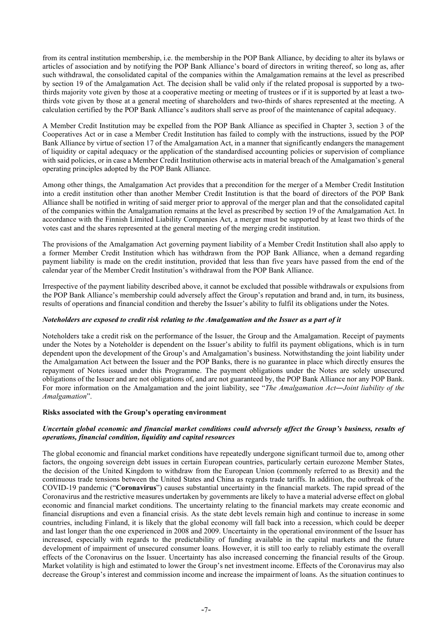from its central institution membership, i.e. the membership in the POP Bank Alliance, by deciding to alter its bylaws or articles of association and by notifying the POP Bank Alliance's board of directors in writing thereof, so long as, after such withdrawal, the consolidated capital of the companies within the Amalgamation remains at the level as prescribed by section 19 of the Amalgamation Act. The decision shall be valid only if the related proposal is supported by a twothirds majority vote given by those at a cooperative meeting or meeting of trustees or if it is supported by at least a twothirds vote given by those at a general meeting of shareholders and two-thirds of shares represented at the meeting. A calculation certified by the POP Bank Alliance's auditors shall serve as proof of the maintenance of capital adequacy.

A Member Credit Institution may be expelled from the POP Bank Alliance as specified in Chapter 3, section 3 of the Cooperatives Act or in case a Member Credit Institution has failed to comply with the instructions, issued by the POP Bank Alliance by virtue of section 17 of the Amalgamation Act, in a manner that significantly endangers the management of liquidity or capital adequacy or the application of the standardised accounting policies or supervision of compliance with said policies, or in case a Member Credit Institution otherwise acts in material breach of the Amalgamation's general operating principles adopted by the POP Bank Alliance.

Among other things, the Amalgamation Act provides that a precondition for the merger of a Member Credit Institution into a credit institution other than another Member Credit Institution is that the board of directors of the POP Bank Alliance shall be notified in writing of said merger prior to approval of the merger plan and that the consolidated capital of the companies within the Amalgamation remains at the level as prescribed by section 19 of the Amalgamation Act. In accordance with the Finnish Limited Liability Companies Act, a merger must be supported by at least two thirds of the votes cast and the shares represented at the general meeting of the merging credit institution.

The provisions of the Amalgamation Act governing payment liability of a Member Credit Institution shall also apply to a former Member Credit Institution which has withdrawn from the POP Bank Alliance, when a demand regarding payment liability is made on the credit institution, provided that less than five years have passed from the end of the calendar year of the Member Credit Institution's withdrawal from the POP Bank Alliance.

Irrespective of the payment liability described above, it cannot be excluded that possible withdrawals or expulsions from the POP Bank Alliance's membership could adversely affect the Group's reputation and brand and, in turn, its business, results of operations and financial condition and thereby the Issuer's ability to fulfil its obligations under the Notes.

## *Noteholders are exposed to credit risk relating to the Amalgamation and the Issuer as a part of it*

Noteholders take a credit risk on the performance of the Issuer, the Group and the Amalgamation. Receipt of payments under the Notes by a Noteholder is dependent on the Issuer's ability to fulfil its payment obligations, which is in turn dependent upon the development of the Group's and Amalgamation's business. Notwithstanding the joint liability under the Amalgamation Act between the Issuer and the POP Banks, there is no guarantee in place which directly ensures the repayment of Notes issued under this Programme. The payment obligations under the Notes are solely unsecured obligations of the Issuer and are not obligations of, and are not guaranteed by, the POP Bank Alliance nor any POP Bank. For more information on the Amalgamation and the joint liability, see "*The Amalgamation Act―Joint liability of the Amalgamation*".

## <span id="page-9-0"></span>**Risks associated with the Group's operating environment**

## *Uncertain global economic and financial market conditions could adversely affect the Group's business, results of operations, financial condition, liquidity and capital resources*

The global economic and financial market conditions have repeatedly undergone significant turmoil due to, among other factors, the ongoing sovereign debt issues in certain European countries, particularly certain eurozone Member States, the decision of the United Kingdom to withdraw from the European Union (commonly referred to as Brexit) and the continuous trade tensions between the United States and China as regards trade tariffs. In addition, the outbreak of the COVID-19 pandemic ("**Coronavirus**") causes substantial uncertainty in the financial markets. The rapid spread of the Coronavirus and the restrictive measures undertaken by governments are likely to have a material adverse effect on global economic and financial market conditions. The uncertainty relating to the financial markets may create economic and financial disruptions and even a financial crisis. As the state debt levels remain high and continue to increase in some countries, including Finland, it is likely that the global economy will fall back into a recession, which could be deeper and last longer than the one experienced in 2008 and 2009. Uncertainty in the operational environment of the Issuer has increased, especially with regards to the predictability of funding available in the capital markets and the future development of impairment of unsecured consumer loans. However, it is still too early to reliably estimate the overall effects of the Coronavirus on the Issuer. Uncertainty has also increased concerning the financial results of the Group. Market volatility is high and estimated to lower the Group's net investment income. Effects of the Coronavirus may also decrease the Group's interest and commission income and increase the impairment of loans. As the situation continues to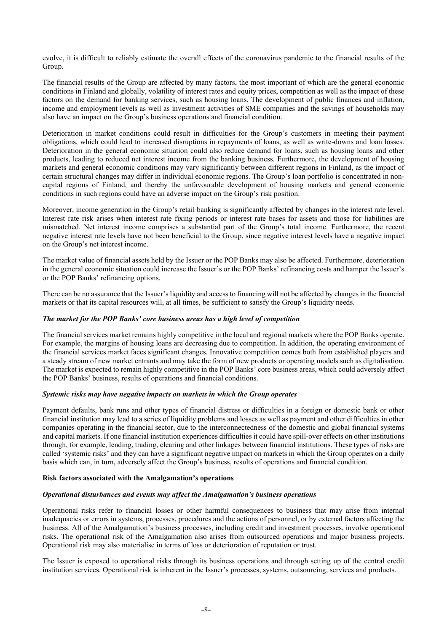evolve, it is difficult to reliably estimate the overall effects of the coronavirus pandemic to the financial results of the Group.

The financial results of the Group are affected by many factors, the most important of which are the general economic conditions in Finland and globally, volatility of interest rates and equity prices, competition as well as the impact of these factors on the demand for banking services, such as housing loans. The development of public finances and inflation, income and employment levels as well as investment activities of SME companies and the savings of households may also have an impact on the Group's business operations and financial condition.

Deterioration in market conditions could result in difficulties for the Group's customers in meeting their payment obligations, which could lead to increased disruptions in repayments of loans, as well as write-downs and loan losses. Deterioration in the general economic situation could also reduce demand for loans, such as housing loans and other products, leading to reduced net interest income from the banking business. Furthermore, the development of housing markets and general economic conditions may vary significantly between different regions in Finland, as the impact of certain structural changes may differ in individual economic regions. The Group's loan portfolio is concentrated in noncapital regions of Finland, and thereby the unfavourable development of housing markets and general economic conditions in such regions could have an adverse impact on the Group's risk position.

Moreover, income generation in the Group's retail banking is significantly affected by changes in the interest rate level. Interest rate risk arises when interest rate fixing periods or interest rate bases for assets and those for liabilities are mismatched. Net interest income comprises a substantial part of the Group's total income. Furthermore, the recent negative interest rate levels have not been beneficial to the Group, since negative interest levels have a negative impact on the Group's net interest income.

The market value of financial assets held by the Issuer or the POP Banks may also be affected. Furthermore, deterioration in the general economic situation could increase the Issuer's or the POP Banks' refinancing costs and hamper the Issuer's or the POP Banks' refinancing options.

There can be no assurance that the Issuer's liquidity and access to financing will not be affected by changes in the financial markets or that its capital resources will, at all times, be sufficient to satisfy the Group's liquidity needs.

## *The market for the POP Banks' core business areas has a high level of competition*

The financial services market remains highly competitive in the local and regional markets where the POP Banks operate. For example, the margins of housing loans are decreasing due to competition. In addition, the operating environment of the financial services market faces significant changes. Innovative competition comes both from established players and a steady stream of new market entrants and may take the form of new products or operating models such as digitalisation. The market is expected to remain highly competitive in the POP Banks' core business areas, which could adversely affect the POP Banks' business, results of operations and financial conditions.

## *Systemic risks may have negative impacts on markets in which the Group operates*

Payment defaults, bank runs and other types of financial distress or difficulties in a foreign or domestic bank or other financial institution may lead to a series of liquidity problems and losses as well as payment and other difficulties in other companies operating in the financial sector, due to the interconnectedness of the domestic and global financial systems and capital markets. If one financial institution experiences difficulties it could have spill-over effects on other institutions through, for example, lending, trading, clearing and other linkages between financial institutions. These types of risks are called 'systemic risks' and they can have a significant negative impact on markets in which the Group operates on a daily basis which can, in turn, adversely affect the Group's business, results of operations and financial condition.

#### <span id="page-10-0"></span>**Risk factors associated with the Amalgamation's operations**

## *Operational disturbances and events may affect the Amalgamation's business operations*

Operational risks refer to financial losses or other harmful consequences to business that may arise from internal inadequacies or errors in systems, processes, procedures and the actions of personnel, or by external factors affecting the business. All of the Amalgamation's business processes, including credit and investment processes, involve operational risks. The operational risk of the Amalgamation also arises from outsourced operations and major business projects. Operational risk may also materialise in terms of loss or deterioration of reputation or trust.

The Issuer is exposed to operational risks through its business operations and through setting up of the central credit institution services. Operational risk is inherent in the Issuer's processes, systems, outsourcing, services and products.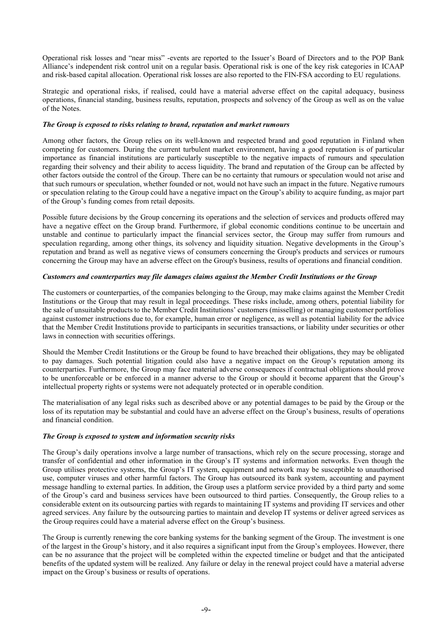Operational risk losses and "near miss" -events are reported to the Issuer's Board of Directors and to the POP Bank Alliance's independent risk control unit on a regular basis. Operational risk is one of the key risk categories in ICAAP and risk-based capital allocation. Operational risk losses are also reported to the FIN-FSA according to EU regulations.

Strategic and operational risks, if realised, could have a material adverse effect on the capital adequacy, business operations, financial standing, business results, reputation, prospects and solvency of the Group as well as on the value of the Notes.

## *The Group is exposed to risks relating to brand, reputation and market rumours*

Among other factors, the Group relies on its well-known and respected brand and good reputation in Finland when competing for customers. During the current turbulent market environment, having a good reputation is of particular importance as financial institutions are particularly susceptible to the negative impacts of rumours and speculation regarding their solvency and their ability to access liquidity. The brand and reputation of the Group can be affected by other factors outside the control of the Group. There can be no certainty that rumours or speculation would not arise and that such rumours or speculation, whether founded or not, would not have such an impact in the future. Negative rumours or speculation relating to the Group could have a negative impact on the Group's ability to acquire funding, as major part of the Group's funding comes from retail deposits.

Possible future decisions by the Group concerning its operations and the selection of services and products offered may have a negative effect on the Group brand. Furthermore, if global economic conditions continue to be uncertain and unstable and continue to particularly impact the financial services sector, the Group may suffer from rumours and speculation regarding, among other things, its solvency and liquidity situation. Negative developments in the Group's reputation and brand as well as negative views of consumers concerning the Group's products and services or rumours concerning the Group may have an adverse effect on the Group's business, results of operations and financial condition.

#### *Customers and counterparties may file damages claims against the Member Credit Institutions or the Group*

The customers or counterparties, of the companies belonging to the Group, may make claims against the Member Credit Institutions or the Group that may result in legal proceedings. These risks include, among others, potential liability for the sale of unsuitable products to the Member Credit Institutions' customers (misselling) or managing customer portfolios against customer instructions due to, for example, human error or negligence, as well as potential liability for the advice that the Member Credit Institutions provide to participants in securities transactions, or liability under securities or other laws in connection with securities offerings.

Should the Member Credit Institutions or the Group be found to have breached their obligations, they may be obligated to pay damages. Such potential litigation could also have a negative impact on the Group's reputation among its counterparties. Furthermore, the Group may face material adverse consequences if contractual obligations should prove to be unenforceable or be enforced in a manner adverse to the Group or should it become apparent that the Group's intellectual property rights or systems were not adequately protected or in operable condition.

The materialisation of any legal risks such as described above or any potential damages to be paid by the Group or the loss of its reputation may be substantial and could have an adverse effect on the Group's business, results of operations and financial condition.

## *The Group is exposed to system and information security risks*

The Group's daily operations involve a large number of transactions, which rely on the secure processing, storage and transfer of confidential and other information in the Group's IT systems and information networks. Even though the Group utilises protective systems, the Group's IT system, equipment and network may be susceptible to unauthorised use, computer viruses and other harmful factors. The Group has outsourced its bank system, accounting and payment message handling to external parties. In addition, the Group uses a platform service provided by a third party and some of the Group's card and business services have been outsourced to third parties. Consequently, the Group relies to a considerable extent on its outsourcing parties with regards to maintaining IT systems and providing IT services and other agreed services. Any failure by the outsourcing parties to maintain and develop IT systems or deliver agreed services as the Group requires could have a material adverse effect on the Group's business.

The Group is currently renewing the core banking systems for the banking segment of the Group. The investment is one of the largest in the Group's history, and it also requires a significant input from the Group's employees. However, there can be no assurance that the project will be completed within the expected timeline or budget and that the anticipated benefits of the updated system will be realized. Any failure or delay in the renewal project could have a material adverse impact on the Group's business or results of operations.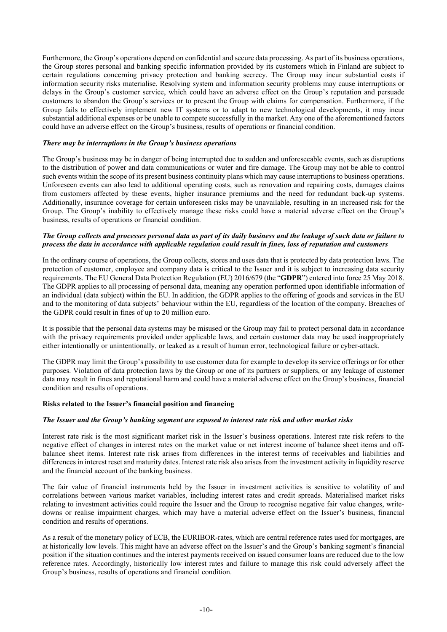Furthermore, the Group's operations depend on confidential and secure data processing. As part of its business operations, the Group stores personal and banking specific information provided by its customers which in Finland are subject to certain regulations concerning privacy protection and banking secrecy. The Group may incur substantial costs if information security risks materialise. Resolving system and information security problems may cause interruptions or delays in the Group's customer service, which could have an adverse effect on the Group's reputation and persuade customers to abandon the Group's services or to present the Group with claims for compensation. Furthermore, if the Group fails to effectively implement new IT systems or to adapt to new technological developments, it may incur substantial additional expenses or be unable to compete successfully in the market. Any one of the aforementioned factors could have an adverse effect on the Group's business, results of operations or financial condition.

#### *There may be interruptions in the Group's business operations*

The Group's business may be in danger of being interrupted due to sudden and unforeseeable events, such as disruptions to the distribution of power and data communications or water and fire damage. The Group may not be able to control such events within the scope of its present business continuity plans which may cause interruptions to business operations. Unforeseen events can also lead to additional operating costs, such as renovation and repairing costs, damages claims from customers affected by these events, higher insurance premiums and the need for redundant back-up systems. Additionally, insurance coverage for certain unforeseen risks may be unavailable, resulting in an increased risk for the Group. The Group's inability to effectively manage these risks could have a material adverse effect on the Group's business, results of operations or financial condition.

## *The Group collects and processes personal data as part of its daily business and the leakage of such data or failure to process the data in accordance with applicable regulation could result in fines, loss of reputation and customers*

In the ordinary course of operations, the Group collects, stores and uses data that is protected by data protection laws. The protection of customer, employee and company data is critical to the Issuer and it is subject to increasing data security requirements. The EU General Data Protection Regulation (EU) 2016/679 (the "**GDPR**") entered into force 25 May 2018. The GDPR applies to all processing of personal data, meaning any operation performed upon identifiable information of an individual (data subject) within the EU. In addition, the GDPR applies to the offering of goods and services in the EU and to the monitoring of data subjects' behaviour within the EU, regardless of the location of the company. Breaches of the GDPR could result in fines of up to 20 million euro.

It is possible that the personal data systems may be misused or the Group may fail to protect personal data in accordance with the privacy requirements provided under applicable laws, and certain customer data may be used inappropriately either intentionally or unintentionally, or leaked as a result of human error, technological failure or cyber-attack.

The GDPR may limit the Group's possibility to use customer data for example to develop its service offerings or for other purposes. Violation of data protection laws by the Group or one of its partners or suppliers, or any leakage of customer data may result in fines and reputational harm and could have a material adverse effect on the Group's business, financial condition and results of operations.

## <span id="page-12-0"></span>**Risks related to the Issuer's financial position and financing**

## *The Issuer and the Group's banking segment are exposed to interest rate risk and other market risks*

Interest rate risk is the most significant market risk in the Issuer's business operations. Interest rate risk refers to the negative effect of changes in interest rates on the market value or net interest income of balance sheet items and offbalance sheet items. Interest rate risk arises from differences in the interest terms of receivables and liabilities and differences in interest reset and maturity dates. Interest rate risk also arises from the investment activity in liquidity reserve and the financial account of the banking business.

The fair value of financial instruments held by the Issuer in investment activities is sensitive to volatility of and correlations between various market variables, including interest rates and credit spreads. Materialised market risks relating to investment activities could require the Issuer and the Group to recognise negative fair value changes, writedowns or realise impairment charges, which may have a material adverse effect on the Issuer's business, financial condition and results of operations.

As a result of the monetary policy of ECB, the EURIBOR-rates, which are central reference rates used for mortgages, are at historically low levels. This might have an adverse effect on the Issuer's and the Group's banking segment's financial position if the situation continues and the interest payments received on issued consumer loans are reduced due to the low reference rates. Accordingly, historically low interest rates and failure to manage this risk could adversely affect the Group's business, results of operations and financial condition.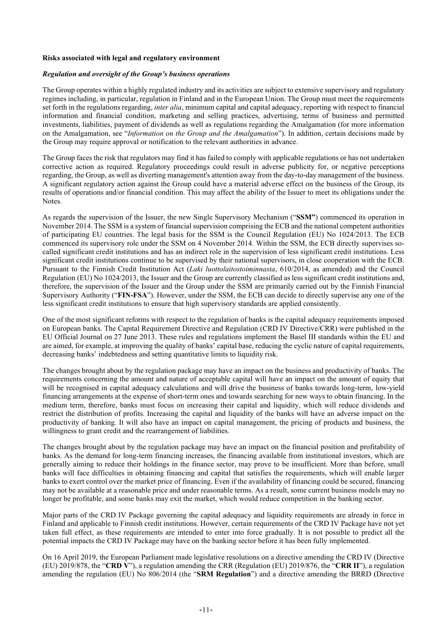#### <span id="page-13-0"></span>**Risks associated with legal and regulatory environment**

# *Regulation and oversight of the Group's business operations*

The Group operates within a highly regulated industry and its activities are subject to extensive supervisory and regulatory regimes including, in particular, regulation in Finland and in the European Union. The Group must meet the requirements set forth in the regulations regarding, *inter alia*, minimum capital and capital adequacy, reporting with respect to financial information and financial condition, marketing and selling practices, advertising, terms of business and permitted investments, liabilities, payment of dividends as well as regulations regarding the Amalgamation (for more information on the Amalgamation, see "*Information on the Group and the Amalgamation*"). In addition, certain decisions made by the Group may require approval or notification to the relevant authorities in advance.

The Group faces the risk that regulators may find it has failed to comply with applicable regulations or has not undertaken corrective action as required. Regulatory proceedings could result in adverse publicity for, or negative perceptions regarding, the Group, as well as diverting management's attention away from the day-to-day management of the business. A significant regulatory action against the Group could have a material adverse effect on the business of the Group, its results of operations and/or financial condition. This may affect the ability of the Issuer to meet its obligations under the Notes.

As regards the supervision of the Issuer, the new Single Supervisory Mechanism ("**SSM"**) commenced its operation in November 2014. The SSM is a system of financial supervision comprising the ECB and the national competent authorities of participating EU countries. The legal basis for the SSM is the Council Regulation (EU) No 1024/2013. The ECB commenced its supervisory role under the SSM on 4 November 2014. Within the SSM, the ECB directly supervises socalled significant credit institutions and has an indirect role in the supervision of less significant credit institutions. Less significant credit institutions continue to be supervised by their national supervisors, in close cooperation with the ECB. Pursuant to the Finnish Credit Institution Act (*Laki luottolaitostoiminnasta*, 610/2014, as amended) and the Council Regulation (EU) No 1024/2013, the Issuer and the Group are currently classified as less significant credit institutions and, therefore, the supervision of the Issuer and the Group under the SSM are primarily carried out by the Finnish Financial Supervisory Authority ("**FIN-FSA**"). However, under the SSM, the ECB can decide to directly supervise any one of the less significant credit institutions to ensure that high supervisory standards are applied consistently.

One of the most significant reforms with respect to the regulation of banks is the capital adequacy requirements imposed on European banks. The Capital Requirement Directive and Regulation (CRD IV Directive/CRR) were published in the EU Official Journal on 27 June 2013. These rules and regulations implement the Basel III standards within the EU and are aimed, for example, at improving the quality of banks' capital base, reducing the cyclic nature of capital requirements, decreasing banks' indebtedness and setting quantitative limits to liquidity risk.

The changes brought about by the regulation package may have an impact on the business and productivity of banks. The requirements concerning the amount and nature of acceptable capital will have an impact on the amount of equity that will be recognised in capital adequacy calculations and will drive the business of banks towards long-term, low-yield financing arrangements at the expense of short-term ones and towards searching for new ways to obtain financing. In the medium term, therefore, banks must focus on increasing their capital and liquidity, which will reduce dividends and restrict the distribution of profits. Increasing the capital and liquidity of the banks will have an adverse impact on the productivity of banking. It will also have an impact on capital management, the pricing of products and business, the willingness to grant credit and the rearrangement of liabilities.

The changes brought about by the regulation package may have an impact on the financial position and profitability of banks. As the demand for long-term financing increases, the financing available from institutional investors, which are generally aiming to reduce their holdings in the finance sector, may prove to be insufficient. More than before, small banks will face difficulties in obtaining financing and capital that satisfies the requirements, which will enable larger banks to exert control over the market price of financing. Even if the availability of financing could be secured, financing may not be available at a reasonable price and under reasonable terms. As a result, some current business models may no longer be profitable, and some banks may exit the market, which would reduce competition in the banking sector.

Major parts of the CRD IV Package governing the capital adequacy and liquidity requirements are already in force in Finland and applicable to Finnish credit institutions. However, certain requirements of the CRD IV Package have not yet taken full effect, as these requirements are intended to enter into force gradually. It is not possible to predict all the potential impacts the CRD IV Package may have on the banking sector before it has been fully implemented.

On 16 April 2019, the European Parliament made legislative resolutions on a directive amending the CRD IV (Directive (EU) 2019/878, the "**CRD V**"), a regulation amending the CRR (Regulation (EU) 2019/876, the "**CRR II**"), a regulation amending the regulation (EU) No 806/2014 (the "**SRM Regulation**") and a directive amending the BRRD (Directive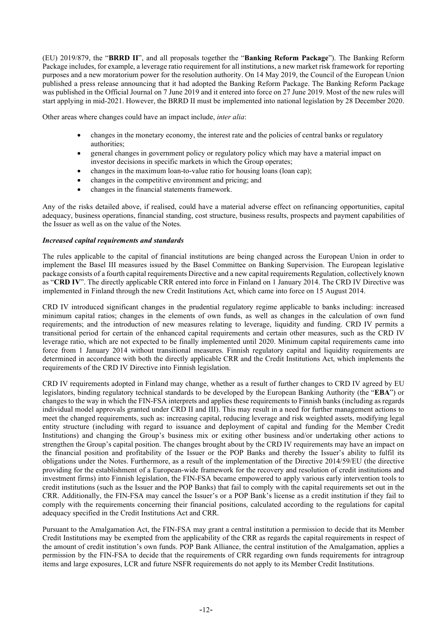(EU) 2019/879, the "**BRRD II**", and all proposals together the "**Banking Reform Package**"). The Banking Reform Package includes, for example, a leverage ratio requirement for all institutions, a new market risk framework for reporting purposes and a new moratorium power for the resolution authority. On 14 May 2019, the Council of the European Union published a press release announcing that it had adopted the Banking Reform Package. The Banking Reform Package was published in the Official Journal on 7 June 2019 and it entered into force on 27 June 2019. Most of the new rules will start applying in mid-2021. However, the BRRD II must be implemented into national legislation by 28 December 2020.

Other areas where changes could have an impact include, *inter alia*:

- changes in the monetary economy, the interest rate and the policies of central banks or regulatory authorities;
- general changes in government policy or regulatory policy which may have a material impact on investor decisions in specific markets in which the Group operates;
- changes in the maximum loan-to-value ratio for housing loans (loan cap);
- changes in the competitive environment and pricing; and
- changes in the financial statements framework.

Any of the risks detailed above, if realised, could have a material adverse effect on refinancing opportunities, capital adequacy, business operations, financial standing, cost structure, business results, prospects and payment capabilities of the Issuer as well as on the value of the Notes.

#### *Increased capital requirements and standards*

The rules applicable to the capital of financial institutions are being changed across the European Union in order to implement the Basel III measures issued by the Basel Committee on Banking Supervision. The European legislative package consists of a fourth capital requirements Directive and a new capital requirements Regulation, collectively known as "**CRD IV**". The directly applicable CRR entered into force in Finland on 1 January 2014. The CRD IV Directive was implemented in Finland through the new Credit Institutions Act, which came into force on 15 August 2014.

CRD IV introduced significant changes in the prudential regulatory regime applicable to banks including: increased minimum capital ratios; changes in the elements of own funds, as well as changes in the calculation of own fund requirements; and the introduction of new measures relating to leverage, liquidity and funding. CRD IV permits a transitional period for certain of the enhanced capital requirements and certain other measures, such as the CRD IV leverage ratio, which are not expected to be finally implemented until 2020. Minimum capital requirements came into force from 1 January 2014 without transitional measures. Finnish regulatory capital and liquidity requirements are determined in accordance with both the directly applicable CRR and the Credit Institutions Act, which implements the requirements of the CRD IV Directive into Finnish legislation.

CRD IV requirements adopted in Finland may change, whether as a result of further changes to CRD IV agreed by EU legislators, binding regulatory technical standards to be developed by the European Banking Authority (the "**EBA**") or changes to the way in which the FIN-FSA interprets and applies these requirements to Finnish banks (including as regards individual model approvals granted under CRD II and III). This may result in a need for further management actions to meet the changed requirements, such as: increasing capital, reducing leverage and risk weighted assets, modifying legal entity structure (including with regard to issuance and deployment of capital and funding for the Member Credit Institutions) and changing the Group's business mix or exiting other business and/or undertaking other actions to strengthen the Group's capital position. The changes brought about by the CRD IV requirements may have an impact on the financial position and profitability of the Issuer or the POP Banks and thereby the Issuer's ability to fulfil its obligations under the Notes. Furthermore, as a result of the implementation of the Directive 2014/59/EU (the directive providing for the establishment of a European-wide framework for the recovery and resolution of credit institutions and investment firms) into Finnish legislation, the FIN-FSA became empowered to apply various early intervention tools to credit institutions (such as the Issuer and the POP Banks) that fail to comply with the capital requirements set out in the CRR. Additionally, the FIN-FSA may cancel the Issuer's or a POP Bank's license as a credit institution if they fail to comply with the requirements concerning their financial positions, calculated according to the regulations for capital adequacy specified in the Credit Institutions Act and CRR.

Pursuant to the Amalgamation Act, the FIN-FSA may grant a central institution a permission to decide that its Member Credit Institutions may be exempted from the applicability of the CRR as regards the capital requirements in respect of the amount of credit institution's own funds. POP Bank Alliance, the central institution of the Amalgamation, applies a permission by the FIN-FSA to decide that the requirements of CRR regarding own funds requirements for intragroup items and large exposures, LCR and future NSFR requirements do not apply to its Member Credit Institutions.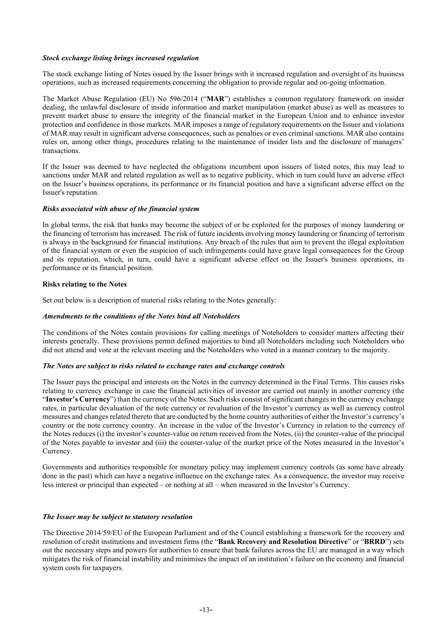#### *Stock exchange listing brings increased regulation*

The stock exchange listing of Notes issued by the Issuer brings with it increased regulation and oversight of its business operations, such as increased requirements concerning the obligation to provide regular and on-going information.

The Market Abuse Regulation (EU) No 596/2014 ("**MAR**") establishes a common regulatory framework on insider dealing, the unlawful disclosure of inside information and market manipulation (market abuse) as well as measures to prevent market abuse to ensure the integrity of the financial market in the European Union and to enhance investor protection and confidence in those markets. MAR imposes a range of regulatory requirements on the Issuer and violations of MAR may result in significant adverse consequences, such as penalties or even criminal sanctions. MAR also contains rules on, among other things, procedures relating to the maintenance of insider lists and the disclosure of managers' transactions.

If the Issuer was deemed to have neglected the obligations incumbent upon issuers of listed notes, this may lead to sanctions under MAR and related regulation as well as to negative publicity, which in turn could have an adverse effect on the Issuer's business operations, its performance or its financial position and have a significant adverse effect on the Issuer's reputation.

#### *Risks associated with abuse of the financial system*

In global terms, the risk that banks may become the subject of or be exploited for the purposes of money laundering or the financing of terrorism has increased. The risk of future incidents involving money laundering or financing of terrorism is always in the background for financial institutions. Any breach of the rules that aim to prevent the illegal exploitation of the financial system or even the suspicion of such infringements could have grave legal consequences for the Group and its reputation, which, in turn, could have a significant adverse effect on the Issuer's business operations, its performance or its financial position.

#### <span id="page-15-0"></span>**Risks relating to the Notes**

Set out below is a description of material risks relating to the Notes generally:

## *Amendments to the conditions of the Notes bind all Noteholders*

The conditions of the Notes contain provisions for calling meetings of Noteholders to consider matters affecting their interests generally. These provisions permit defined majorities to bind all Noteholders including such Noteholders who did not attend and vote at the relevant meeting and the Noteholders who voted in a manner contrary to the majority.

#### *The Notes are subject to risks related to exchange rates and exchange controls*

The Issuer pays the principal and interests on the Notes in the currency determined in the Final Terms. This causes risks relating to currency exchange in case the financial activities of investor are carried out mainly in another currency (the "**Investor's Currency**") than the currency of the Notes. Such risks consist of significant changes in the currency exchange rates, in particular devaluation of the note currency or revaluation of the Investor's currency as well as currency control measures and changes related thereto that are conducted by the home country authorities of either the Investor's currency's country or the note currency country. An increase in the value of the Investor's Currency in relation to the currency of the Notes reduces (i) the investor's counter-value on return received from the Notes, (ii) the counter-value of the principal of the Notes payable to investor and (iii) the counter-value of the market price of the Notes measured in the Investor's Currency.

Governments and authorities responsible for monetary policy may implement currency controls (as some have already done in the past) which can have a negative influence on the exchange rates. As a consequence, the investor may receive less interest or principal than expected – or nothing at all – when measured in the Investor's Currency.

#### *The Issuer may be subject to statutory resolution*

The Directive 2014/59/EU of the European Parliament and of the Council establishing a framework for the recovery and resolution of credit institutions and investment firms (the "**Bank Recovery and Resolution Directive**" or "**BRRD**") sets out the necessary steps and powers for authorities to ensure that bank failures across the EU are managed in a way which mitigates the risk of financial instability and minimises the impact of an institution's failure on the economy and financial system costs for taxpayers.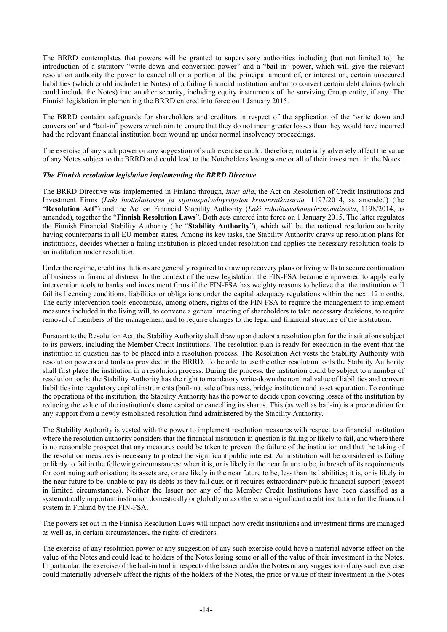The BRRD contemplates that powers will be granted to supervisory authorities including (but not limited to) the introduction of a statutory "write-down and conversion power" and a "bail-in" power, which will give the relevant resolution authority the power to cancel all or a portion of the principal amount of, or interest on, certain unsecured liabilities (which could include the Notes) of a failing financial institution and/or to convert certain debt claims (which could include the Notes) into another security, including equity instruments of the surviving Group entity, if any. The Finnish legislation implementing the BRRD entered into force on 1 January 2015.

The BRRD contains safeguards for shareholders and creditors in respect of the application of the 'write down and conversion' and "bail-in" powers which aim to ensure that they do not incur greater losses than they would have incurred had the relevant financial institution been wound up under normal insolvency proceedings.

The exercise of any such power or any suggestion of such exercise could, therefore, materially adversely affect the value of any Notes subject to the BRRD and could lead to the Noteholders losing some or all of their investment in the Notes.

#### *The Finnish resolution legislation implementing the BRRD Directive*

The BRRD Directive was implemented in Finland through, *inter alia*, the Act on Resolution of Credit Institutions and Investment Firms (*Laki luottolaitosten ja sijoituspalveluyritysten kriisinratkaisusta,* 1197/2014, as amended) (the "**Resolution Act**") and the Act on Financial Stability Authority (*Laki rahoitusvakausviranomaisesta*, 1198/2014, as amended), together the "**Finnish Resolution Laws**". Both acts entered into force on 1 January 2015. The latter regulates the Finnish Financial Stability Authority (the "**Stability Authority**"), which will be the national resolution authority having counterparts in all EU member states. Among its key tasks, the Stability Authority draws up resolution plans for institutions, decides whether a failing institution is placed under resolution and applies the necessary resolution tools to an institution under resolution.

Under the regime, credit institutions are generally required to draw up recovery plans or living wills to secure continuation of business in financial distress. In the context of the new legislation, the FIN-FSA became empowered to apply early intervention tools to banks and investment firms if the FIN-FSA has weighty reasons to believe that the institution will fail its licensing conditions, liabilities or obligations under the capital adequacy regulations within the next 12 months. The early intervention tools encompass, among others, rights of the FIN-FSA to require the management to implement measures included in the living will, to convene a general meeting of shareholders to take necessary decisions, to require removal of members of the management and to require changes to the legal and financial structure of the institution.

Pursuant to the Resolution Act, the Stability Authority shall draw up and adopt a resolution plan for the institutions subject to its powers, including the Member Credit Institutions. The resolution plan is ready for execution in the event that the institution in question has to be placed into a resolution process. The Resolution Act vests the Stability Authority with resolution powers and tools as provided in the BRRD. To be able to use the other resolution tools the Stability Authority shall first place the institution in a resolution process. During the process, the institution could be subject to a number of resolution tools: the Stability Authority has the right to mandatory write-down the nominal value of liabilities and convert liabilities into regulatory capital instruments (bail-in), sale of business, bridge institution and asset separation. To continue the operations of the institution, the Stability Authority has the power to decide upon covering losses of the institution by reducing the value of the institution's share capital or cancelling its shares. This (as well as bail-in) is a precondition for any support from a newly established resolution fund administered by the Stability Authority.

The Stability Authority is vested with the power to implement resolution measures with respect to a financial institution where the resolution authority considers that the financial institution in question is failing or likely to fail, and where there is no reasonable prospect that any measures could be taken to prevent the failure of the institution and that the taking of the resolution measures is necessary to protect the significant public interest. An institution will be considered as failing or likely to fail in the following circumstances: when it is, or is likely in the near future to be, in breach of its requirements for continuing authorisation; its assets are, or are likely in the near future to be, less than its liabilities; it is, or is likely in the near future to be, unable to pay its debts as they fall due; or it requires extraordinary public financial support (except in limited circumstances). Neither the Issuer nor any of the Member Credit Institutions have been classified as a systematically important institution domestically or globally or as otherwise a significant credit institution for the financial system in Finland by the FIN-FSA.

The powers set out in the Finnish Resolution Laws will impact how credit institutions and investment firms are managed as well as, in certain circumstances, the rights of creditors.

The exercise of any resolution power or any suggestion of any such exercise could have a material adverse effect on the value of the Notes and could lead to holders of the Notes losing some or all of the value of their investment in the Notes. In particular, the exercise of the bail-in tool in respect of the Issuer and/or the Notes or any suggestion of any such exercise could materially adversely affect the rights of the holders of the Notes, the price or value of their investment in the Notes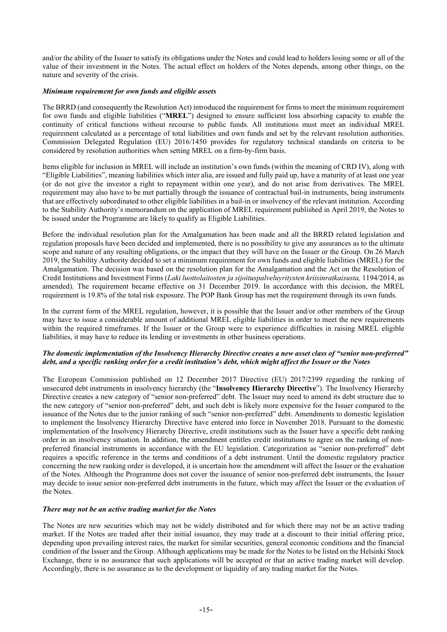and/or the ability of the Issuer to satisfy its obligations under the Notes and could lead to holders losing some or all of the value of their investment in the Notes. The actual effect on holders of the Notes depends, among other things, on the nature and severity of the crisis.

## *Minimum requirement for own funds and eligible assets*

The BRRD (and consequently the Resolution Act) introduced the requirement for firms to meet the minimum requirement for own funds and eligible liabilities ("**MREL**") designed to ensure sufficient loss absorbing capacity to enable the continuity of critical functions without recourse to public funds. All institutions must meet an individual MREL requirement calculated as a percentage of total liabilities and own funds and set by the relevant resolution authorities. Commission Delegated Regulation (EU) 2016/1450 provides for regulatory technical standards on criteria to be considered by resolution authorities when setting MREL on a firm-by-firm basis.

Items eligible for inclusion in MREL will include an institution's own funds (within the meaning of CRD IV), along with "Eligible Liabilities", meaning liabilities which inter alia, are issued and fully paid up, have a maturity of at least one year (or do not give the investor a right to repayment within one year), and do not arise from derivatives. The MREL requirement may also have to be met partially through the issuance of contractual bail-in instruments, being instruments that are effectively subordinated to other eligible liabilities in a bail-in or insolvency of the relevant institution. According to the Stability Authority's memorandum on the application of MREL requirement published in April 2019, the Notes to be issued under the Programme are likely to qualify as Eligible Liabilities.

Before the individual resolution plan for the Amalgamation has been made and all the BRRD related legislation and regulation proposals have been decided and implemented, there is no possibility to give any assurances as to the ultimate scope and nature of any resulting obligations, or the impact that they will have on the Issuer or the Group. On 26 March 2019, the Stability Authority decided to set a minimum requirement for own funds and eligible liabilities (MREL) for the Amalgamation. The decision was based on the resolution plan for the Amalgamation and the Act on the Resolution of Credit Institutions and Investment Firms (*Laki luottolaitosten ja sijoituspalveluyritysten kriisinratkaisusta,* 1194/2014, as amended). The requirement became effective on 31 December 2019. In accordance with this decision, the MREL requirement is 19.8% of the total risk exposure. The POP Bank Group has met the requirement through its own funds.

In the current form of the MREL regulation, however, it is possible that the Issuer and/or other members of the Group may have to issue a considerable amount of additional MREL eligible liabilities in order to meet the new requirements within the required timeframes. If the Issuer or the Group were to experience difficulties in raising MREL eligible liabilities, it may have to reduce its lending or investments in other business operations.

# *The domestic implementation of the Insolvency Hierarchy Directive creates a new asset class of "senior non-preferred" debt, and a specific ranking order for a credit institution's debt, which might affect the Issuer or the Notes*

The European Commission published on 12 December 2017 Directive (EU) 2017/2399 regarding the ranking of unsecured debt instruments in insolvency hierarchy (the "**Insolvency Hierarchy Directive**"). The Insolvency Hierarchy Directive creates a new category of "senior non-preferred" debt. The Issuer may need to amend its debt structure due to the new category of "senior non-preferred" debt, and such debt is likely more expensive for the Issuer compared to the issuance of the Notes due to the junior ranking of such "senior non-preferred" debt. Amendments to domestic legislation to implement the Insolvency Hierarchy Directive have entered into force in November 2018. Pursuant to the domestic implementation of the Insolvency Hierarchy Directive, credit institutions such as the Issuer have a specific debt ranking order in an insolvency situation. In addition, the amendment entitles credit institutions to agree on the ranking of nonpreferred financial instruments in accordance with the EU legislation. Categorization as "senior non-preferred" debt requires a specific reference in the terms and conditions of a debt instrument. Until the domestic regulatory practice concerning the new ranking order is developed, it is uncertain how the amendment will affect the Issuer or the evaluation of the Notes. Although the Programme does not cover the issuance of senior non-preferred debt instruments, the Issuer may decide to issue senior non-preferred debt instruments in the future, which may affect the Issuer or the evaluation of the Notes.

## *There may not be an active trading market for the Notes*

The Notes are new securities which may not be widely distributed and for which there may not be an active trading market. If the Notes are traded after their initial issuance, they may trade at a discount to their initial offering price, depending upon prevailing interest rates, the market for similar securities, general economic conditions and the financial condition of the Issuer and the Group. Although applications may be made for the Notes to be listed on the Helsinki Stock Exchange, there is no assurance that such applications will be accepted or that an active trading market will develop. Accordingly, there is no assurance as to the development or liquidity of any trading market for the Notes.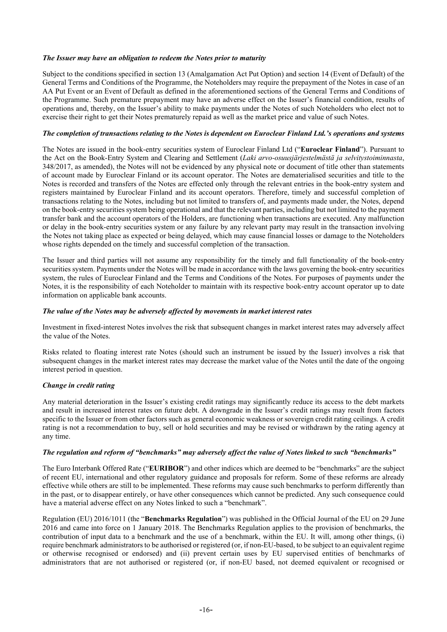#### *The Issuer may have an obligation to redeem the Notes prior to maturity*

Subject to the conditions specified in section 13 (Amalgamation Act Put Option) and section 14 (Event of Default) of the General Terms and Conditions of the Programme, the Noteholders may require the prepayment of the Notes in case of an AA Put Event or an Event of Default as defined in the aforementioned sections of the General Terms and Conditions of the Programme. Such premature prepayment may have an adverse effect on the Issuer's financial condition, results of operations and, thereby, on the Issuer's ability to make payments under the Notes of such Noteholders who elect not to exercise their right to get their Notes prematurely repaid as well as the market price and value of such Notes.

#### *The completion of transactions relating to the Notes is dependent on Euroclear Finland Ltd.'s operations and systems*

The Notes are issued in the book-entry securities system of Euroclear Finland Ltd ("**Euroclear Finland**"). Pursuant to the Act on the Book-Entry System and Clearing and Settlement (*Laki arvo-osuusjärjestelmästä ja selvitystoiminnasta*, 348/2017, as amended), the Notes will not be evidenced by any physical note or document of title other than statements of account made by Euroclear Finland or its account operator. The Notes are dematerialised securities and title to the Notes is recorded and transfers of the Notes are effected only through the relevant entries in the book-entry system and registers maintained by Euroclear Finland and its account operators. Therefore, timely and successful completion of transactions relating to the Notes, including but not limited to transfers of, and payments made under, the Notes, depend on the book-entry securities system being operational and that the relevant parties, including but not limited to the payment transfer bank and the account operators of the Holders, are functioning when transactions are executed. Any malfunction or delay in the book-entry securities system or any failure by any relevant party may result in the transaction involving the Notes not taking place as expected or being delayed, which may cause financial losses or damage to the Noteholders whose rights depended on the timely and successful completion of the transaction.

The Issuer and third parties will not assume any responsibility for the timely and full functionality of the book-entry securities system. Payments under the Notes will be made in accordance with the laws governing the book-entry securities system, the rules of Euroclear Finland and the Terms and Conditions of the Notes. For purposes of payments under the Notes, it is the responsibility of each Noteholder to maintain with its respective book-entry account operator up to date information on applicable bank accounts.

#### *The value of the Notes may be adversely affected by movements in market interest rates*

Investment in fixed-interest Notes involves the risk that subsequent changes in market interest rates may adversely affect the value of the Notes.

Risks related to floating interest rate Notes (should such an instrument be issued by the Issuer) involves a risk that subsequent changes in the market interest rates may decrease the market value of the Notes until the date of the ongoing interest period in question.

## *Change in credit rating*

Any material deterioration in the Issuer's existing credit ratings may significantly reduce its access to the debt markets and result in increased interest rates on future debt. A downgrade in the Issuer's credit ratings may result from factors specific to the Issuer or from other factors such as general economic weakness or sovereign credit rating ceilings. A credit rating is not a recommendation to buy, sell or hold securities and may be revised or withdrawn by the rating agency at any time.

#### *The regulation and reform of "benchmarks" may adversely affect the value of Notes linked to such "benchmarks"*

The Euro Interbank Offered Rate ("**EURIBOR**") and other indices which are deemed to be "benchmarks" are the subject of recent EU, international and other regulatory guidance and proposals for reform. Some of these reforms are already effective while others are still to be implemented. These reforms may cause such benchmarks to perform differently than in the past, or to disappear entirely, or have other consequences which cannot be predicted. Any such consequence could have a material adverse effect on any Notes linked to such a "benchmark".

Regulation (EU) 2016/1011 (the "**Benchmarks Regulation**") was published in the Official Journal of the EU on 29 June 2016 and came into force on 1 January 2018. The Benchmarks Regulation applies to the provision of benchmarks, the contribution of input data to a benchmark and the use of a benchmark, within the EU. It will, among other things, (i) require benchmark administrators to be authorised or registered (or, if non-EU-based, to be subject to an equivalent regime or otherwise recognised or endorsed) and (ii) prevent certain uses by EU supervised entities of benchmarks of administrators that are not authorised or registered (or, if non-EU based, not deemed equivalent or recognised or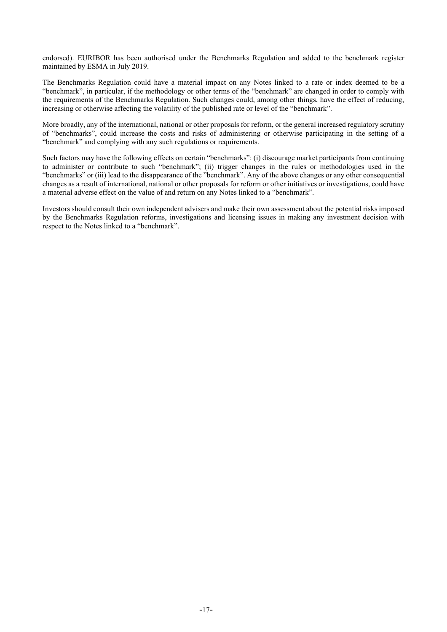endorsed). EURIBOR has been authorised under the Benchmarks Regulation and added to the benchmark register maintained by ESMA in July 2019.

The Benchmarks Regulation could have a material impact on any Notes linked to a rate or index deemed to be a "benchmark", in particular, if the methodology or other terms of the "benchmark" are changed in order to comply with the requirements of the Benchmarks Regulation. Such changes could, among other things, have the effect of reducing, increasing or otherwise affecting the volatility of the published rate or level of the "benchmark".

More broadly, any of the international, national or other proposals for reform, or the general increased regulatory scrutiny of "benchmarks", could increase the costs and risks of administering or otherwise participating in the setting of a "benchmark" and complying with any such regulations or requirements.

Such factors may have the following effects on certain "benchmarks": (i) discourage market participants from continuing to administer or contribute to such "benchmark"; (ii) trigger changes in the rules or methodologies used in the "benchmarks" or (iii) lead to the disappearance of the "benchmark". Any of the above changes or any other consequential changes as a result of international, national or other proposals for reform or other initiatives or investigations, could have a material adverse effect on the value of and return on any Notes linked to a "benchmark".

Investors should consult their own independent advisers and make their own assessment about the potential risks imposed by the Benchmarks Regulation reforms, investigations and licensing issues in making any investment decision with respect to the Notes linked to a "benchmark".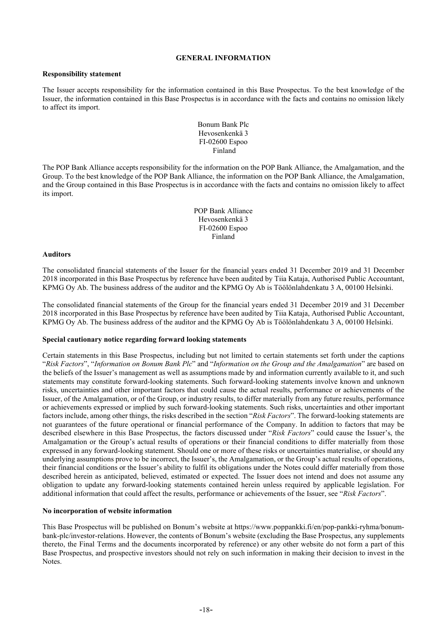#### **GENERAL INFORMATION**

#### <span id="page-20-0"></span>**Responsibility statement**

The Issuer accepts responsibility for the information contained in this Base Prospectus. To the best knowledge of the Issuer, the information contained in this Base Prospectus is in accordance with the facts and contains no omission likely to affect its import.

> Bonum Bank Plc Hevosenkenkä 3 FI-02600 Espoo Finland

The POP Bank Alliance accepts responsibility for the information on the POP Bank Alliance, the Amalgamation, and the Group. To the best knowledge of the POP Bank Alliance, the information on the POP Bank Alliance, the Amalgamation, and the Group contained in this Base Prospectus is in accordance with the facts and contains no omission likely to affect its import.

> POP Bank Alliance Hevosenkenkä 3 FI-02600 Espoo Finland

#### **Auditors**

The consolidated financial statements of the Issuer for the financial years ended 31 December 2019 and 31 December 2018 incorporated in this Base Prospectus by reference have been audited by Tiia Kataja, Authorised Public Accountant, KPMG Oy Ab. The business address of the auditor and the KPMG Oy Ab is Töölönlahdenkatu 3 A, 00100 Helsinki.

The consolidated financial statements of the Group for the financial years ended 31 December 2019 and 31 December 2018 incorporated in this Base Prospectus by reference have been audited by Tiia Kataja, Authorised Public Accountant, KPMG Oy Ab. The business address of the auditor and the KPMG Oy Ab is Töölönlahdenkatu 3 A, 00100 Helsinki.

## **Special cautionary notice regarding forward looking statements**

Certain statements in this Base Prospectus, including but not limited to certain statements set forth under the captions "*Risk Factors*", "*Information on Bonum Bank Plc*" and "*Information on the Group and the Amalgamation*" are based on the beliefs of the Issuer's management as well as assumptions made by and information currently available to it, and such statements may constitute forward-looking statements. Such forward-looking statements involve known and unknown risks, uncertainties and other important factors that could cause the actual results, performance or achievements of the Issuer, of the Amalgamation, or of the Group, or industry results, to differ materially from any future results, performance or achievements expressed or implied by such forward-looking statements. Such risks, uncertainties and other important factors include, among other things, the risks described in the section "*Risk Factors*". The forward-looking statements are not guarantees of the future operational or financial performance of the Company. In addition to factors that may be described elsewhere in this Base Prospectus, the factors discussed under "*Risk Factors*" could cause the Issuer's, the Amalgamation or the Group's actual results of operations or their financial conditions to differ materially from those expressed in any forward-looking statement. Should one or more of these risks or uncertainties materialise, or should any underlying assumptions prove to be incorrect, the Issuer's, the Amalgamation, or the Group's actual results of operations, their financial conditions or the Issuer's ability to fulfil its obligations under the Notes could differ materially from those described herein as anticipated, believed, estimated or expected. The Issuer does not intend and does not assume any obligation to update any forward-looking statements contained herein unless required by applicable legislation. For additional information that could affect the results, performance or achievements of the Issuer, see "*Risk Factors*".

## **No incorporation of website information**

This Base Prospectus will be published on Bonum's website at https://www.poppankki.fi/en/pop-pankki-ryhma/bonumbank-plc/investor-relations. However, the contents of Bonum's website (excluding the Base Prospectus, any supplements thereto, the Final Terms and the documents incorporated by reference) or any other website do not form a part of this Base Prospectus, and prospective investors should not rely on such information in making their decision to invest in the Notes.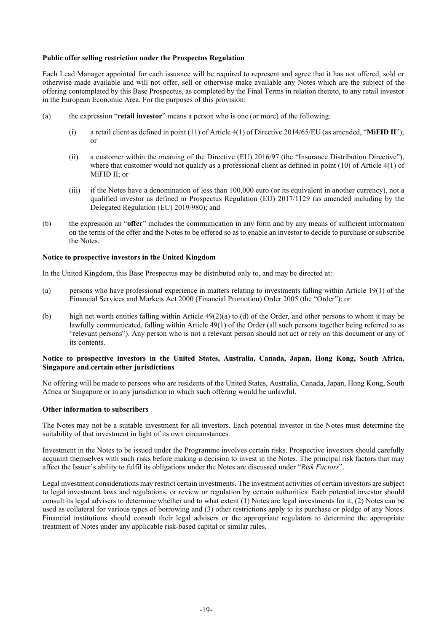#### **Public offer selling restriction under the Prospectus Regulation**

Each Lead Manager appointed for each issuance will be required to represent and agree that it has not offered, sold or otherwise made available and will not offer, sell or otherwise make available any Notes which are the subject of the offering contemplated by this Base Prospectus, as completed by the Final Terms in relation thereto, to any retail investor in the European Economic Area. For the purposes of this provision:

- (a) the expression "**retail investor**" means a person who is one (or more) of the following:
	- (i) a retail client as defined in point (11) of Article 4(1) of Directive 2014/65/EU (as amended, "**MiFID II**"); or
	- (ii) a customer within the meaning of the Directive (EU) 2016/97 (the "Insurance Distribution Directive"), where that customer would not qualify as a professional client as defined in point (10) of Article 4(1) of MiFID II; or
	- (iii) if the Notes have a denomination of less than 100,000 euro (or its equivalent in another currency), not a qualified investor as defined in Prospectus Regulation (EU) 2017/1129 (as amended including by the Delegated Regulation (EU) 2019/980); and
- (b) the expression an "**offer**" includes the communication in any form and by any means of sufficient information on the terms of the offer and the Notes to be offered so as to enable an investor to decide to purchase or subscribe the Notes.

#### **Notice to prospective investors in the United Kingdom**

In the United Kingdom, this Base Prospectus may be distributed only to, and may be directed at:

- (a) persons who have professional experience in matters relating to investments falling within Article 19(1) of the Financial Services and Markets Act 2000 (Financial Promotion) Order 2005 (the "Order"); or
- (b) high net worth entities falling within Article  $49(2)(a)$  to (d) of the Order, and other persons to whom it may be lawfully communicated, falling within Article 49(1) of the Order (all such persons together being referred to as "relevant persons"). Any person who is not a relevant person should not act or rely on this document or any of its contents.

#### **Notice to prospective investors in the United States, Australia, Canada, Japan, Hong Kong, South Africa, Singapore and certain other jurisdictions**

No offering will be made to persons who are residents of the United States, Australia, Canada, Japan, Hong Kong, South Africa or Singapore or in any jurisdiction in which such offering would be unlawful.

# **Other information to subscribers**

The Notes may not be a suitable investment for all investors. Each potential investor in the Notes must determine the suitability of that investment in light of its own circumstances.

Investment in the Notes to be issued under the Programme involves certain risks. Prospective investors should carefully acquaint themselves with such risks before making a decision to invest in the Notes. The principal risk factors that may affect the Issuer's ability to fulfil its obligations under the Notes are discussed under "*Risk Factors*".

Legal investment considerations may restrict certain investments. The investment activities of certain investors are subject to legal investment laws and regulations, or review or regulation by certain authorities. Each potential investor should consult its legal advisers to determine whether and to what extent (1) Notes are legal investments for it, (2) Notes can be used as collateral for various types of borrowing and (3) other restrictions apply to its purchase or pledge of any Notes. Financial institutions should consult their legal advisers or the appropriate regulators to determine the appropriate treatment of Notes under any applicable risk-based capital or similar rules.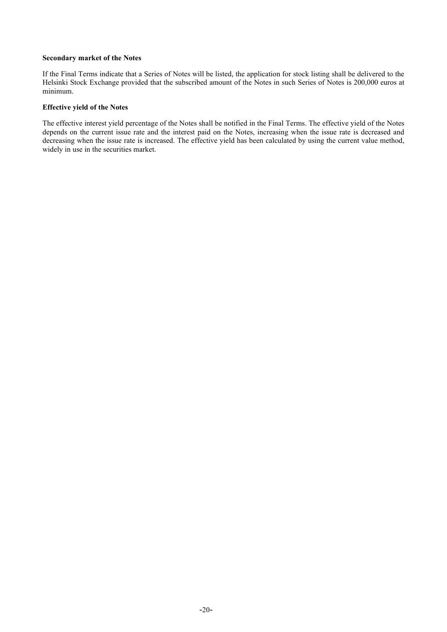#### **Secondary market of the Notes**

If the Final Terms indicate that a Series of Notes will be listed, the application for stock listing shall be delivered to the Helsinki Stock Exchange provided that the subscribed amount of the Notes in such Series of Notes is 200,000 euros at minimum.

## **Effective yield of the Notes**

The effective interest yield percentage of the Notes shall be notified in the Final Terms. The effective yield of the Notes depends on the current issue rate and the interest paid on the Notes, increasing when the issue rate is decreased and decreasing when the issue rate is increased. The effective yield has been calculated by using the current value method, widely in use in the securities market.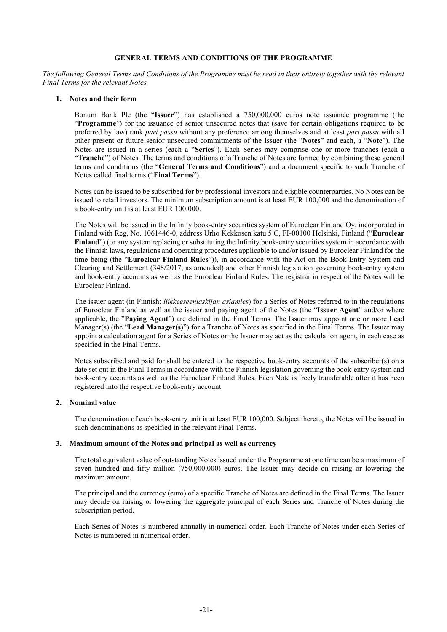#### **GENERAL TERMS AND CONDITIONS OF THE PROGRAMME**

<span id="page-23-0"></span>*The following General Terms and Conditions of the Programme must be read in their entirety together with the relevant Final Terms for the relevant Notes.* 

#### **1. Notes and their form**

Bonum Bank Plc (the "**Issuer**") has established a 750,000,000 euros note issuance programme (the "**Programme**") for the issuance of senior unsecured notes that (save for certain obligations required to be preferred by law) rank *pari passu* without any preference among themselves and at least *pari passu* with all other present or future senior unsecured commitments of the Issuer (the "**Notes**" and each, a "**Note**"). The Notes are issued in a series (each a "**Series**"). Each Series may comprise one or more tranches (each a "**Tranche**") of Notes. The terms and conditions of a Tranche of Notes are formed by combining these general terms and conditions (the "**General Terms and Conditions**") and a document specific to such Tranche of Notes called final terms ("**Final Terms**").

Notes can be issued to be subscribed for by professional investors and eligible counterparties. No Notes can be issued to retail investors. The minimum subscription amount is at least EUR 100,000 and the denomination of a book-entry unit is at least EUR 100,000.

The Notes will be issued in the Infinity book-entry securities system of Euroclear Finland Oy, incorporated in Finland with Reg. No. 1061446-0, address Urho Kekkosen katu 5 C, FI-00100 Helsinki, Finland ("**Euroclear Finland**") (or any system replacing or substituting the Infinity book-entry securities system in accordance with the Finnish laws, regulations and operating procedures applicable to and/or issued by Euroclear Finland for the time being (the "**Euroclear Finland Rules**")), in accordance with the Act on the Book-Entry System and Clearing and Settlement (348/2017, as amended) and other Finnish legislation governing book-entry system and book-entry accounts as well as the Euroclear Finland Rules. The registrar in respect of the Notes will be Euroclear Finland.

The issuer agent (in Finnish: *liikkeeseenlaskijan asiamies*) for a Series of Notes referred to in the regulations of Euroclear Finland as well as the issuer and paying agent of the Notes (the "**Issuer Agent**" and/or where applicable, the "**Paying Agent**") are defined in the Final Terms. The Issuer may appoint one or more Lead Manager(s) (the "**Lead Manager(s)**") for a Tranche of Notes as specified in the Final Terms. The Issuer may appoint a calculation agent for a Series of Notes or the Issuer may act as the calculation agent, in each case as specified in the Final Terms.

Notes subscribed and paid for shall be entered to the respective book-entry accounts of the subscriber(s) on a date set out in the Final Terms in accordance with the Finnish legislation governing the book-entry system and book-entry accounts as well as the Euroclear Finland Rules. Each Note is freely transferable after it has been registered into the respective book-entry account.

## **2. Nominal value**

The denomination of each book-entry unit is at least EUR 100,000. Subject thereto, the Notes will be issued in such denominations as specified in the relevant Final Terms.

#### **3. Maximum amount of the Notes and principal as well as currency**

The total equivalent value of outstanding Notes issued under the Programme at one time can be a maximum of seven hundred and fifty million (750,000,000) euros. The Issuer may decide on raising or lowering the maximum amount.

The principal and the currency (euro) of a specific Tranche of Notes are defined in the Final Terms. The Issuer may decide on raising or lowering the aggregate principal of each Series and Tranche of Notes during the subscription period.

Each Series of Notes is numbered annually in numerical order. Each Tranche of Notes under each Series of Notes is numbered in numerical order.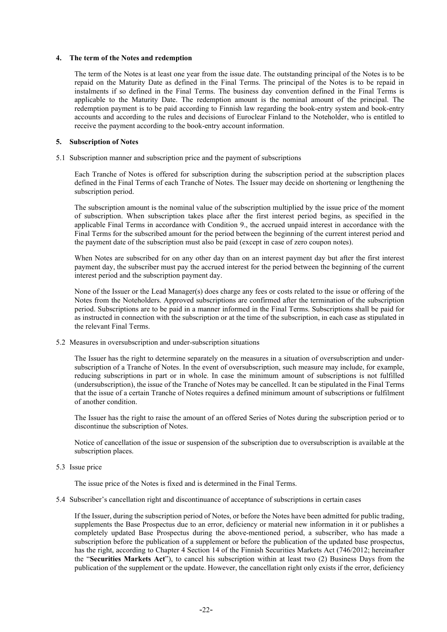#### **4. The term of the Notes and redemption**

The term of the Notes is at least one year from the issue date. The outstanding principal of the Notes is to be repaid on the Maturity Date as defined in the Final Terms. The principal of the Notes is to be repaid in instalments if so defined in the Final Terms. The business day convention defined in the Final Terms is applicable to the Maturity Date. The redemption amount is the nominal amount of the principal. The redemption payment is to be paid according to Finnish law regarding the book-entry system and book-entry accounts and according to the rules and decisions of Euroclear Finland to the Noteholder, who is entitled to receive the payment according to the book-entry account information.

#### **5. Subscription of Notes**

5.1 Subscription manner and subscription price and the payment of subscriptions

Each Tranche of Notes is offered for subscription during the subscription period at the subscription places defined in the Final Terms of each Tranche of Notes. The Issuer may decide on shortening or lengthening the subscription period.

The subscription amount is the nominal value of the subscription multiplied by the issue price of the moment of subscription. When subscription takes place after the first interest period begins, as specified in the applicable Final Terms in accordance with Condition 9., the accrued unpaid interest in accordance with the Final Terms for the subscribed amount for the period between the beginning of the current interest period and the payment date of the subscription must also be paid (except in case of zero coupon notes).

When Notes are subscribed for on any other day than on an interest payment day but after the first interest payment day, the subscriber must pay the accrued interest for the period between the beginning of the current interest period and the subscription payment day.

None of the Issuer or the Lead Manager(s) does charge any fees or costs related to the issue or offering of the Notes from the Noteholders. Approved subscriptions are confirmed after the termination of the subscription period. Subscriptions are to be paid in a manner informed in the Final Terms. Subscriptions shall be paid for as instructed in connection with the subscription or at the time of the subscription, in each case as stipulated in the relevant Final Terms.

5.2 Measures in oversubscription and under-subscription situations

The Issuer has the right to determine separately on the measures in a situation of oversubscription and undersubscription of a Tranche of Notes. In the event of oversubscription, such measure may include, for example, reducing subscriptions in part or in whole. In case the minimum amount of subscriptions is not fulfilled (undersubscription), the issue of the Tranche of Notes may be cancelled. It can be stipulated in the Final Terms that the issue of a certain Tranche of Notes requires a defined minimum amount of subscriptions or fulfilment of another condition.

The Issuer has the right to raise the amount of an offered Series of Notes during the subscription period or to discontinue the subscription of Notes.

Notice of cancellation of the issue or suspension of the subscription due to oversubscription is available at the subscription places.

#### 5.3 Issue price

The issue price of the Notes is fixed and is determined in the Final Terms.

5.4 Subscriber's cancellation right and discontinuance of acceptance of subscriptions in certain cases

If the Issuer, during the subscription period of Notes, or before the Notes have been admitted for public trading, supplements the Base Prospectus due to an error, deficiency or material new information in it or publishes a completely updated Base Prospectus during the above-mentioned period, a subscriber, who has made a subscription before the publication of a supplement or before the publication of the updated base prospectus, has the right, according to Chapter 4 Section 14 of the Finnish Securities Markets Act (746/2012; hereinafter the "**Securities Markets Act**"), to cancel his subscription within at least two (2) Business Days from the publication of the supplement or the update. However, the cancellation right only exists if the error, deficiency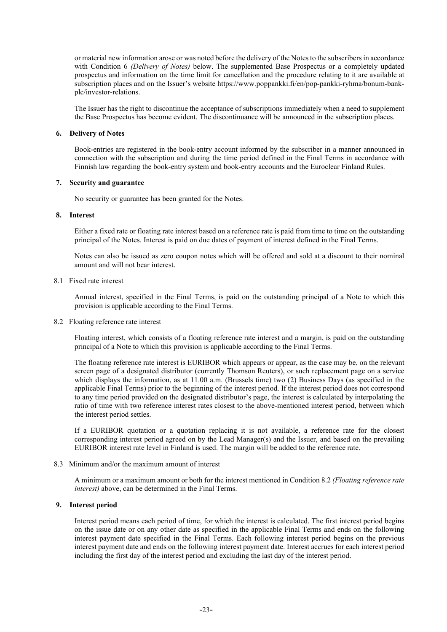or material new information arose or was noted before the delivery of the Notes to the subscribers in accordance with Condition 6 *(Delivery of Notes)* below. The supplemented Base Prospectus or a completely updated prospectus and information on the time limit for cancellation and the procedure relating to it are available at subscription places and on the Issuer's website https://www.poppankki.fi/en/pop-pankki-ryhma/bonum-bankplc/investor-relations.

The Issuer has the right to discontinue the acceptance of subscriptions immediately when a need to supplement the Base Prospectus has become evident. The discontinuance will be announced in the subscription places.

# **6. Delivery of Notes**

Book-entries are registered in the book-entry account informed by the subscriber in a manner announced in connection with the subscription and during the time period defined in the Final Terms in accordance with Finnish law regarding the book-entry system and book-entry accounts and the Euroclear Finland Rules.

#### **7. Security and guarantee**

No security or guarantee has been granted for the Notes.

#### **8. Interest**

Either a fixed rate or floating rate interest based on a reference rate is paid from time to time on the outstanding principal of the Notes. Interest is paid on due dates of payment of interest defined in the Final Terms.

Notes can also be issued as zero coupon notes which will be offered and sold at a discount to their nominal amount and will not bear interest.

#### 8.1 Fixed rate interest

Annual interest, specified in the Final Terms, is paid on the outstanding principal of a Note to which this provision is applicable according to the Final Terms.

#### 8.2 Floating reference rate interest

Floating interest, which consists of a floating reference rate interest and a margin, is paid on the outstanding principal of a Note to which this provision is applicable according to the Final Terms.

The floating reference rate interest is EURIBOR which appears or appear, as the case may be, on the relevant screen page of a designated distributor (currently Thomson Reuters), or such replacement page on a service which displays the information, as at 11.00 a.m. (Brussels time) two (2) Business Days (as specified in the applicable Final Terms) prior to the beginning of the interest period. If the interest period does not correspond to any time period provided on the designated distributor's page, the interest is calculated by interpolating the ratio of time with two reference interest rates closest to the above-mentioned interest period, between which the interest period settles.

If a EURIBOR quotation or a quotation replacing it is not available, a reference rate for the closest corresponding interest period agreed on by the Lead Manager(s) and the Issuer, and based on the prevailing EURIBOR interest rate level in Finland is used. The margin will be added to the reference rate.

#### 8.3 Minimum and/or the maximum amount of interest

A minimum or a maximum amount or both for the interest mentioned in Condition 8.2 *(Floating reference rate interest)* above, can be determined in the Final Terms.

## **9. Interest period**

Interest period means each period of time, for which the interest is calculated. The first interest period begins on the issue date or on any other date as specified in the applicable Final Terms and ends on the following interest payment date specified in the Final Terms. Each following interest period begins on the previous interest payment date and ends on the following interest payment date. Interest accrues for each interest period including the first day of the interest period and excluding the last day of the interest period.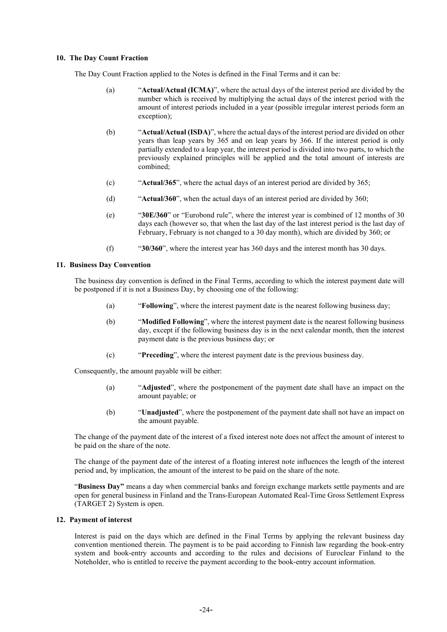#### **10. The Day Count Fraction**

The Day Count Fraction applied to the Notes is defined in the Final Terms and it can be:

- (a) "**Actual/Actual (ICMA)**", where the actual days of the interest period are divided by the number which is received by multiplying the actual days of the interest period with the amount of interest periods included in a year (possible irregular interest periods form an exception);
- (b) "**Actual/Actual (ISDA)**", where the actual days of the interest period are divided on other years than leap years by 365 and on leap years by 366. If the interest period is only partially extended to a leap year, the interest period is divided into two parts, to which the previously explained principles will be applied and the total amount of interests are combined;
- (c) "**Actual/365**", where the actual days of an interest period are divided by 365;
- (d) "**Actual/360**", when the actual days of an interest period are divided by 360;
- (e) "**30E/360**" or "Eurobond rule", where the interest year is combined of 12 months of 30 days each (however so, that when the last day of the last interest period is the last day of February, February is not changed to a 30 day month), which are divided by 360; or
- (f) "**30/360**", where the interest year has 360 days and the interest month has 30 days.

#### **11. Business Day Convention**

The business day convention is defined in the Final Terms, according to which the interest payment date will be postponed if it is not a Business Day, by choosing one of the following:

- (a) "**Following**", where the interest payment date is the nearest following business day;
- (b) "**Modified Following**", where the interest payment date is the nearest following business day, except if the following business day is in the next calendar month, then the interest payment date is the previous business day; or
- (c) "**Preceding**", where the interest payment date is the previous business day.

Consequently, the amount payable will be either:

- (a) "**Adjusted**", where the postponement of the payment date shall have an impact on the amount payable; or
- (b) "**Unadjusted**", where the postponement of the payment date shall not have an impact on the amount payable.

The change of the payment date of the interest of a fixed interest note does not affect the amount of interest to be paid on the share of the note.

The change of the payment date of the interest of a floating interest note influences the length of the interest period and, by implication, the amount of the interest to be paid on the share of the note.

"**Business Day"** means a day when commercial banks and foreign exchange markets settle payments and are open for general business in Finland and the Trans-European Automated Real-Time Gross Settlement Express (TARGET 2) System is open.

#### **12. Payment of interest**

Interest is paid on the days which are defined in the Final Terms by applying the relevant business day convention mentioned therein. The payment is to be paid according to Finnish law regarding the book-entry system and book-entry accounts and according to the rules and decisions of Euroclear Finland to the Noteholder, who is entitled to receive the payment according to the book-entry account information.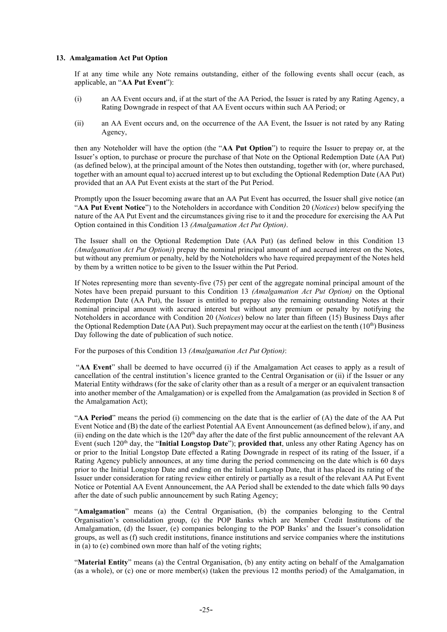#### <span id="page-27-0"></span>**13. Amalgamation Act Put Option**

If at any time while any Note remains outstanding, either of the following events shall occur (each, as applicable, an "**AA Put Event**"):

- (i) an AA Event occurs and, if at the start of the AA Period, the Issuer is rated by any Rating Agency, a Rating Downgrade in respect of that AA Event occurs within such AA Period; or
- (ii) an AA Event occurs and, on the occurrence of the AA Event, the Issuer is not rated by any Rating Agency,

then any Noteholder will have the option (the "**AA Put Option**") to require the Issuer to prepay or, at the Issuer's option, to purchase or procure the purchase of that Note on the Optional Redemption Date (AA Put) (as defined below), at the principal amount of the Notes then outstanding, together with (or, where purchased, together with an amount equal to) accrued interest up to but excluding the Optional Redemption Date (AA Put) provided that an AA Put Event exists at the start of the Put Period.

Promptly upon the Issuer becoming aware that an AA Put Event has occurred, the Issuer shall give notice (an "**AA Put Event Notice**") to the Noteholders in accordance with Condition 20 (*Notices*) below specifying the nature of the AA Put Event and the circumstances giving rise to it and the procedure for exercising the AA Put Option contained in this Conditio[n 13](#page-27-0) *(Amalgamation Act Put Option)*.

The Issuer shall on the Optional Redemption Date (AA Put) (as defined below in this Condition 13 *(Amalgamation Act Put Option)*) prepay the nominal principal amount of and accrued interest on the Notes, but without any premium or penalty, held by the Noteholders who have required prepayment of the Notes held by them by a written notice to be given to the Issuer within the Put Period.

If Notes representing more than seventy-five (75) per cent of the aggregate nominal principal amount of the Notes have been prepaid pursuant to this Condition 13 *(Amalgamation Act Put Option)* on the Optional Redemption Date (AA Put), the Issuer is entitled to prepay also the remaining outstanding Notes at their nominal principal amount with accrued interest but without any premium or penalty by notifying the Noteholders in accordance with Condition 20 (*Notices*) below no later than fifteen (15) Business Days after the Optional Redemption Date (AA Put). Such prepayment may occur at the earliest on the tenth  $(10<sup>th</sup>)$  Business Day following the date of publication of such notice.

For the purposes of this Condition 13 *(Amalgamation Act Put Option)*:

"**AA Event**" shall be deemed to have occurred (i) if the Amalgamation Act ceases to apply as a result of cancellation of the central institution's licence granted to the Central Organisation or (ii) if the Issuer or any Material Entity withdraws (for the sake of clarity other than as a result of a merger or an equivalent transaction into another member of the Amalgamation) or is expelled from the Amalgamation (as provided in Section 8 of the Amalgamation Act);

"**AA Period**" means the period (i) commencing on the date that is the earlier of (A) the date of the AA Put Event Notice and (B) the date of the earliest Potential AA Event Announcement (as defined below), if any, and (ii) ending on the date which is the  $120<sup>th</sup>$  day after the date of the first public announcement of the relevant AA Event (such 120th day, the "**Initial Longstop Date**"); **provided that**, unless any other Rating Agency has on or prior to the Initial Longstop Date effected a Rating Downgrade in respect of its rating of the Issuer, if a Rating Agency publicly announces, at any time during the period commencing on the date which is 60 days prior to the Initial Longstop Date and ending on the Initial Longstop Date, that it has placed its rating of the Issuer under consideration for rating review either entirely or partially as a result of the relevant AA Put Event Notice or Potential AA Event Announcement, the AA Period shall be extended to the date which falls 90 days after the date of such public announcement by such Rating Agency;

"**Amalgamation**" means (a) the Central Organisation, (b) the companies belonging to the Central Organisation's consolidation group, (c) the POP Banks which are Member Credit Institutions of the Amalgamation, (d) the Issuer, (e) companies belonging to the POP Banks' and the Issuer's consolidation groups, as well as (f) such credit institutions, finance institutions and service companies where the institutions in (a) to (e) combined own more than half of the voting rights;

"**Material Entity**" means (a) the Central Organisation, (b) any entity acting on behalf of the Amalgamation (as a whole), or (c) one or more member(s) (taken the previous 12 months period) of the Amalgamation, in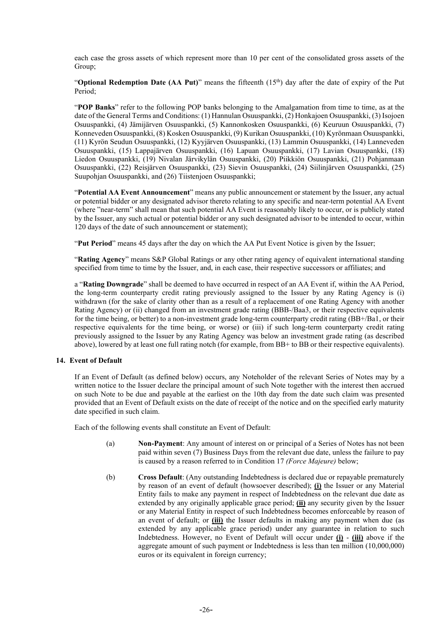each case the gross assets of which represent more than 10 per cent of the consolidated gross assets of the Group;

"**Optional Redemption Date (AA Put)**" means the fifteenth (15<sup>th</sup>) day after the date of expiry of the Put Period;

"**POP Banks**" refer to the following POP banks belonging to the Amalgamation from time to time, as at the date of the General Terms and Conditions: (1) Hannulan Osuuspankki, (2) Honkajoen Osuuspankki, (3) Isojoen Osuuspankki, (4) Jämijärven Osuuspankki, (5) Kannonkosken Osuuspankki, (6) Keuruun Osuuspankki, (7) Konneveden Osuuspankki, (8) Kosken Osuuspankki, (9) Kurikan Osuuspankki, (10) Kyrönmaan Osuuspankki, (11) Kyrön Seudun Osuuspankki, (12) Kyyjärven Osuuspankki, (13) Lammin Osuuspankki, (14) Lanneveden Osuuspankki, (15) Lappajärven Osuuspankki, (16) Lapuan Osuuspankki, (17) Lavian Osuuspankki, (18) Liedon Osuuspankki, (19) Nivalan Järvikylän Osuuspankki, (20) Piikkiön Osuuspankki, (21) Pohjanmaan Osuuspankki, (22) Reisjärven Osuuspankki, (23) Sievin Osuuspankki, (24) Siilinjärven Osuuspankki, (25) Suupohjan Osuuspankki, and (26) Tiistenjoen Osuuspankki;

"**Potential AA Event Announcement**" means any public announcement or statement by the Issuer, any actual or potential bidder or any designated advisor thereto relating to any specific and near-term potential AA Event (where "near-term" shall mean that such potential AA Event is reasonably likely to occur, or is publicly stated by the Issuer, any such actual or potential bidder or any such designated advisor to be intended to occur, within 120 days of the date of such announcement or statement);

"**Put Period**" means 45 days after the day on which the AA Put Event Notice is given by the Issuer;

"**Rating Agency**" means S&P Global Ratings or any other rating agency of equivalent international standing specified from time to time by the Issuer, and, in each case, their respective successors or affiliates; and

a "**Rating Downgrade**" shall be deemed to have occurred in respect of an AA Event if, within the AA Period, the long-term counterparty credit rating previously assigned to the Issuer by any Rating Agency is (i) withdrawn (for the sake of clarity other than as a result of a replacement of one Rating Agency with another Rating Agency) or (ii) changed from an investment grade rating (BBB-/Baa3, or their respective equivalents for the time being, or better) to a non-investment grade long-term counterparty credit rating (BB+/Ba1, or their respective equivalents for the time being, or worse) or (iii) if such long-term counterparty credit rating previously assigned to the Issuer by any Rating Agency was below an investment grade rating (as described above), lowered by at least one full rating notch (for example, from BB+ to BB or their respective equivalents).

## **14. Event of Default**

If an Event of Default (as defined below) occurs, any Noteholder of the relevant Series of Notes may by a written notice to the Issuer declare the principal amount of such Note together with the interest then accrued on such Note to be due and payable at the earliest on the 10th day from the date such claim was presented provided that an Event of Default exists on the date of receipt of the notice and on the specified early maturity date specified in such claim.

Each of the following events shall constitute an Event of Default:

- (a) **Non-Payment**: Any amount of interest on or principal of a Series of Notes has not been paid within seven (7) Business Days from the relevant due date, unless the failure to pay is caused by a reason referred to in Condition 17 *(Force Majeure)* below;
- (b) **Cross Default**: (Any outstanding Indebtedness is declared due or repayable prematurely by reason of an event of default (howsoever described); **(i)** the Issuer or any Material Entity fails to make any payment in respect of Indebtedness on the relevant due date as extended by any originally applicable grace period; **(ii)** any security given by the Issuer or any Material Entity in respect of such Indebtedness becomes enforceable by reason of an event of default; or **(iii)** the Issuer defaults in making any payment when due (as extended by any applicable grace period) under any guarantee in relation to such Indebtedness. However, no Event of Default will occur under **(i)** - **(iii)** above if the aggregate amount of such payment or Indebtedness is less than ten million (10,000,000) euros or its equivalent in foreign currency;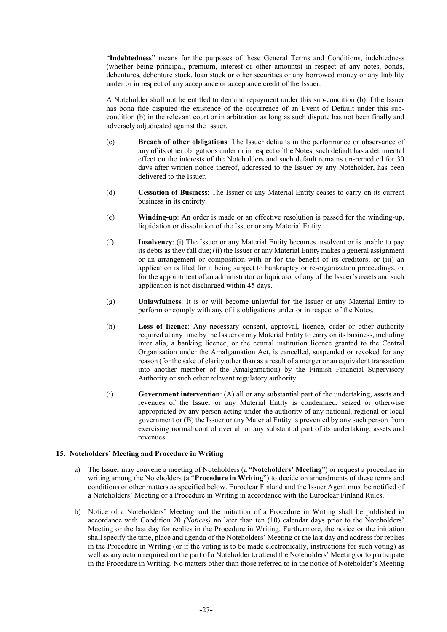"**Indebtedness**" means for the purposes of these General Terms and Conditions, indebtedness (whether being principal, premium, interest or other amounts) in respect of any notes, bonds, debentures, debenture stock, loan stock or other securities or any borrowed money or any liability under or in respect of any acceptance or acceptance credit of the Issuer.

A Noteholder shall not be entitled to demand repayment under this sub-condition (b) if the Issuer has bona fide disputed the existence of the occurrence of an Event of Default under this subcondition (b) in the relevant court or in arbitration as long as such dispute has not been finally and adversely adjudicated against the Issuer.

- (c) **Breach of other obligations**: The Issuer defaults in the performance or observance of any of its other obligations under or in respect of the Notes, such default has a detrimental effect on the interests of the Noteholders and such default remains un-remedied for 30 days after written notice thereof, addressed to the Issuer by any Noteholder, has been delivered to the Issuer.
- (d) **Cessation of Business**: The Issuer or any Material Entity ceases to carry on its current business in its entirety.
- (e) **Winding-up**: An order is made or an effective resolution is passed for the winding-up, liquidation or dissolution of the Issuer or any Material Entity.
- (f) **Insolvency**: (i) The Issuer or any Material Entity becomes insolvent or is unable to pay its debts as they fall due; (ii) the Issuer or any Material Entity makes a general assignment or an arrangement or composition with or for the benefit of its creditors; or (iii) an application is filed for it being subject to bankruptcy or re-organization proceedings, or for the appointment of an administrator or liquidator of any of the Issuer's assets and such application is not discharged within 45 days.
- (g) **Unlawfulness**: It is or will become unlawful for the Issuer or any Material Entity to perform or comply with any of its obligations under or in respect of the Notes.
- (h) **Loss of licence**: Any necessary consent, approval, licence, order or other authority required at any time by the Issuer or any Material Entity to carry on its business, including inter alia, a banking licence, or the central institution licence granted to the Central Organisation under the Amalgamation Act, is cancelled, suspended or revoked for any reason (for the sake of clarity other than as a result of a merger or an equivalent transaction into another member of the Amalgamation) by the Finnish Financial Supervisory Authority or such other relevant regulatory authority.
- (i) **Government intervention**: (A) all or any substantial part of the undertaking, assets and revenues of the Issuer or any Material Entity is condemned, seized or otherwise appropriated by any person acting under the authority of any national, regional or local government or (B) the Issuer or any Material Entity is prevented by any such person from exercising normal control over all or any substantial part of its undertaking, assets and revenues.

## <span id="page-29-0"></span>**15. Noteholders' Meeting and Procedure in Writing**

- a) The Issuer may convene a meeting of Noteholders (a "**Noteholders' Meeting**") or request a procedure in writing among the Noteholders (a "**Procedure in Writing**") to decide on amendments of these terms and conditions or other matters as specified below. Euroclear Finland and the Issuer Agent must be notified of a Noteholders' Meeting or a Procedure in Writing in accordance with the Euroclear Finland Rules.
- b) Notice of a Noteholders' Meeting and the initiation of a Procedure in Writing shall be published in accordance with Condition 20 *(Notices)* no later than ten (10) calendar days prior to the Noteholders' Meeting or the last day for replies in the Procedure in Writing. Furthermore, the notice or the initiation shall specify the time, place and agenda of the Noteholders' Meeting or the last day and address for replies in the Procedure in Writing (or if the voting is to be made electronically, instructions for such voting) as well as any action required on the part of a Noteholder to attend the Noteholders' Meeting or to participate in the Procedure in Writing. No matters other than those referred to in the notice of Noteholder's Meeting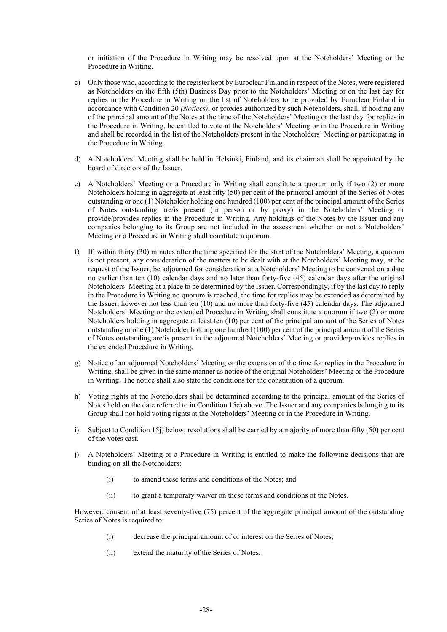or initiation of the Procedure in Writing may be resolved upon at the Noteholders' Meeting or the Procedure in Writing.

- <span id="page-30-0"></span>c) Only those who, according to the register kept by Euroclear Finland in respect of the Notes, were registered as Noteholders on the fifth (5th) Business Day prior to the Noteholders' Meeting or on the last day for replies in the Procedure in Writing on the list of Noteholders to be provided by Euroclear Finland in accordance with Condition [20](#page-32-0) *(Notices)*, or proxies authorized by such Noteholders, shall, if holding any of the principal amount of the Notes at the time of the Noteholders' Meeting or the last day for replies in the Procedure in Writing, be entitled to vote at the Noteholders' Meeting or in the Procedure in Writing and shall be recorded in the list of the Noteholders present in the Noteholders' Meeting or participating in the Procedure in Writing.
- d) A Noteholders' Meeting shall be held in Helsinki, Finland, and its chairman shall be appointed by the board of directors of the Issuer.
- e) A Noteholders' Meeting or a Procedure in Writing shall constitute a quorum only if two (2) or more Noteholders holding in aggregate at least fifty (50) per cent of the principal amount of the Series of Notes outstanding or one (1) Noteholder holding one hundred (100) per cent of the principal amount of the Series of Notes outstanding are/is present (in person or by proxy) in the Noteholders' Meeting or provide/provides replies in the Procedure in Writing. Any holdings of the Notes by the Issuer and any companies belonging to its Group are not included in the assessment whether or not a Noteholders' Meeting or a Procedure in Writing shall constitute a quorum.
- f) If, within thirty (30) minutes after the time specified for the start of the Noteholders' Meeting, a quorum is not present, any consideration of the matters to be dealt with at the Noteholders' Meeting may, at the request of the Issuer, be adjourned for consideration at a Noteholders' Meeting to be convened on a date no earlier than ten (10) calendar days and no later than forty-five (45) calendar days after the original Noteholders' Meeting at a place to be determined by the Issuer. Correspondingly, if by the last day to reply in the Procedure in Writing no quorum is reached, the time for replies may be extended as determined by the Issuer, however not less than ten (10) and no more than forty-five (45) calendar days. The adjourned Noteholders' Meeting or the extended Procedure in Writing shall constitute a quorum if two (2) or more Noteholders holding in aggregate at least ten (10) per cent of the principal amount of the Series of Notes outstanding or one (1) Noteholder holding one hundred (100) per cent of the principal amount of the Series of Notes outstanding are/is present in the adjourned Noteholders' Meeting or provide/provides replies in the extended Procedure in Writing.
- g) Notice of an adjourned Noteholders' Meeting or the extension of the time for replies in the Procedure in Writing, shall be given in the same manner as notice of the original Noteholders' Meeting or the Procedure in Writing. The notice shall also state the conditions for the constitution of a quorum.
- h) Voting rights of the Noteholders shall be determined according to the principal amount of the Series of Notes held on the date referred to in Condition [15](#page-29-0)[c\)](#page-30-0) above. The Issuer and any companies belonging to its Group shall not hold voting rights at the Noteholders' Meeting or in the Procedure in Writing.
- <span id="page-30-2"></span>i) Subject to Condition [15](#page-29-0)[j\)](#page-30-1) below, resolutions shall be carried by a majority of more than fifty (50) per cent of the votes cast.
- <span id="page-30-1"></span>j) A Noteholders' Meeting or a Procedure in Writing is entitled to make the following decisions that are binding on all the Noteholders:
	- (i) to amend these terms and conditions of the Notes; and
	- (ii) to grant a temporary waiver on these terms and conditions of the Notes.

However, consent of at least seventy-five (75) percent of the aggregate principal amount of the outstanding Series of Notes is required to:

- (i) decrease the principal amount of or interest on the Series of Notes;
- (ii) extend the maturity of the Series of Notes;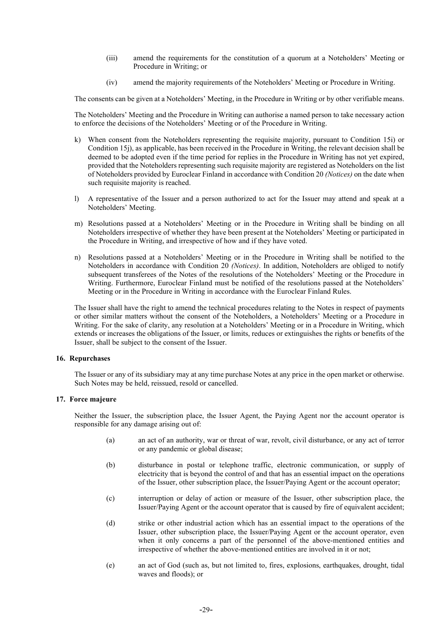- (iii) amend the requirements for the constitution of a quorum at a Noteholders' Meeting or Procedure in Writing; or
- (iv) amend the majority requirements of the Noteholders' Meeting or Procedure in Writing.

The consents can be given at a Noteholders' Meeting, in the Procedure in Writing or by other verifiable means.

The Noteholders' Meeting and the Procedure in Writing can authorise a named person to take necessary action to enforce the decisions of the Noteholders' Meeting or of the Procedure in Writing.

- k) When consent from the Noteholders representing the requisite majority, pursuant to Condition [15](#page-29-0)[i\)](#page-30-2) or Conditio[n 15](#page-29-0)[j\),](#page-30-1) as applicable, has been received in the Procedure in Writing, the relevant decision shall be deemed to be adopted even if the time period for replies in the Procedure in Writing has not yet expired, provided that the Noteholders representing such requisite majority are registered as Noteholders on the list of Noteholders provided by Euroclear Finland in accordance with Condition [20](#page-32-0) *(Notices)* on the date when such requisite majority is reached.
- l) A representative of the Issuer and a person authorized to act for the Issuer may attend and speak at a Noteholders' Meeting.
- m) Resolutions passed at a Noteholders' Meeting or in the Procedure in Writing shall be binding on all Noteholders irrespective of whether they have been present at the Noteholders' Meeting or participated in the Procedure in Writing, and irrespective of how and if they have voted.
- n) Resolutions passed at a Noteholders' Meeting or in the Procedure in Writing shall be notified to the Noteholders in accordance with Condition [20](#page-32-0) *(Notices)*. In addition, Noteholders are obliged to notify subsequent transferees of the Notes of the resolutions of the Noteholders' Meeting or the Procedure in Writing. Furthermore, Euroclear Finland must be notified of the resolutions passed at the Noteholders' Meeting or in the Procedure in Writing in accordance with the Euroclear Finland Rules.

The Issuer shall have the right to amend the technical procedures relating to the Notes in respect of payments or other similar matters without the consent of the Noteholders, a Noteholders' Meeting or a Procedure in Writing. For the sake of clarity, any resolution at a Noteholders' Meeting or in a Procedure in Writing, which extends or increases the obligations of the Issuer, or limits, reduces or extinguishes the rights or benefits of the Issuer, shall be subject to the consent of the Issuer.

#### **16. Repurchases**

The Issuer or any of its subsidiary may at any time purchase Notes at any price in the open market or otherwise. Such Notes may be held, reissued, resold or cancelled.

#### **17. Force majeure**

Neither the Issuer, the subscription place, the Issuer Agent, the Paying Agent nor the account operator is responsible for any damage arising out of:

- (a) an act of an authority, war or threat of war, revolt, civil disturbance, or any act of terror or any pandemic or global disease;
- (b) disturbance in postal or telephone traffic, electronic communication, or supply of electricity that is beyond the control of and that has an essential impact on the operations of the Issuer, other subscription place, the Issuer/Paying Agent or the account operator;
- (c) interruption or delay of action or measure of the Issuer, other subscription place, the Issuer/Paying Agent or the account operator that is caused by fire of equivalent accident;
- (d) strike or other industrial action which has an essential impact to the operations of the Issuer, other subscription place, the Issuer/Paying Agent or the account operator, even when it only concerns a part of the personnel of the above-mentioned entities and irrespective of whether the above-mentioned entities are involved in it or not;
- (e) an act of God (such as, but not limited to, fires, explosions, earthquakes, drought, tidal waves and floods); or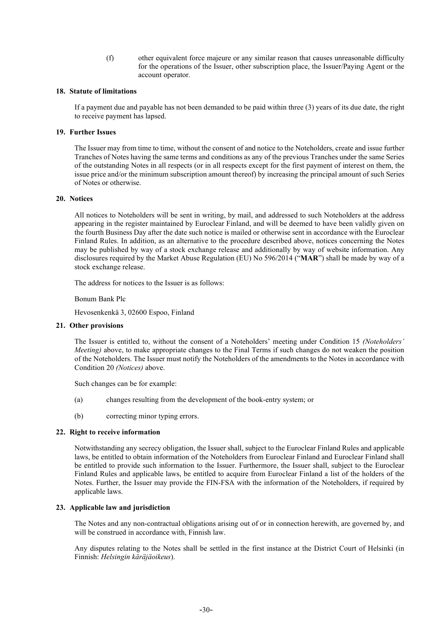(f) other equivalent force majeure or any similar reason that causes unreasonable difficulty for the operations of the Issuer, other subscription place, the Issuer/Paying Agent or the account operator.

#### **18. Statute of limitations**

If a payment due and payable has not been demanded to be paid within three (3) years of its due date, the right to receive payment has lapsed.

#### **19. Further Issues**

The Issuer may from time to time, without the consent of and notice to the Noteholders, create and issue further Tranches of Notes having the same terms and conditions as any of the previous Tranches under the same Series of the outstanding Notes in all respects (or in all respects except for the first payment of interest on them, the issue price and/or the minimum subscription amount thereof) by increasing the principal amount of such Series of Notes or otherwise.

## <span id="page-32-0"></span>**20. Notices**

All notices to Noteholders will be sent in writing, by mail, and addressed to such Noteholders at the address appearing in the register maintained by Euroclear Finland, and will be deemed to have been validly given on the fourth Business Day after the date such notice is mailed or otherwise sent in accordance with the Euroclear Finland Rules. In addition, as an alternative to the procedure described above, notices concerning the Notes may be published by way of a stock exchange release and additionally by way of website information. Any disclosures required by the Market Abuse Regulation (EU) No 596/2014 ("**MAR**") shall be made by way of a stock exchange release.

The address for notices to the Issuer is as follows:

Bonum Bank Plc

Hevosenkenkä 3, 02600 Espoo, Finland

## **21. Other provisions**

The Issuer is entitled to, without the consent of a Noteholders' meeting under Condition 15 *(Noteholders' Meeting)* above, to make appropriate changes to the Final Terms if such changes do not weaken the position of the Noteholders. The Issuer must notify the Noteholders of the amendments to the Notes in accordance with Condition 20 *(Notices)* above.

Such changes can be for example:

- (a) changes resulting from the development of the book-entry system; or
- (b) correcting minor typing errors.

## **22. Right to receive information**

Notwithstanding any secrecy obligation, the Issuer shall, subject to the Euroclear Finland Rules and applicable laws, be entitled to obtain information of the Noteholders from Euroclear Finland and Euroclear Finland shall be entitled to provide such information to the Issuer. Furthermore, the Issuer shall, subject to the Euroclear Finland Rules and applicable laws, be entitled to acquire from Euroclear Finland a list of the holders of the Notes. Further, the Issuer may provide the FIN-FSA with the information of the Noteholders, if required by applicable laws.

## **23. Applicable law and jurisdiction**

The Notes and any non-contractual obligations arising out of or in connection herewith, are governed by, and will be construed in accordance with, Finnish law.

Any disputes relating to the Notes shall be settled in the first instance at the District Court of Helsinki (in Finnish: *Helsingin käräjäoikeus*).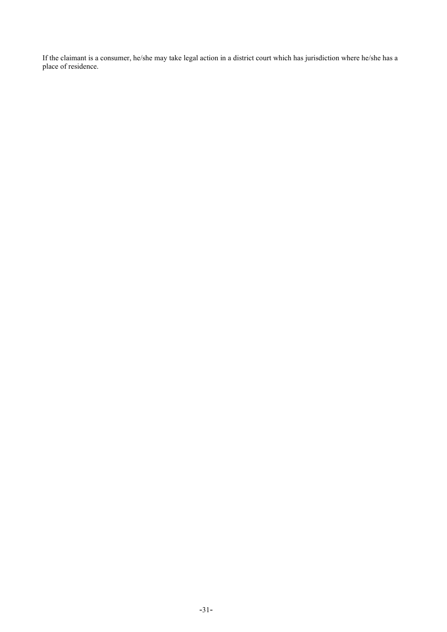If the claimant is a consumer, he/she may take legal action in a district court which has jurisdiction where he/she has a place of residence.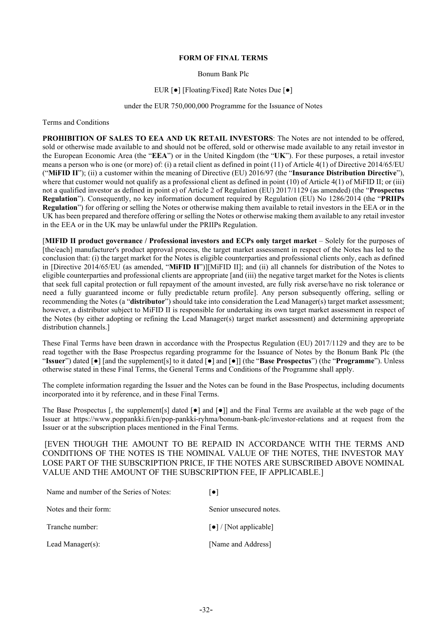#### **FORM OF FINAL TERMS**

Bonum Bank Plc

#### EUR [●] [Floating/Fixed] Rate Notes Due [●]

#### under the EUR 750,000,000 Programme for the Issuance of Notes

<span id="page-34-0"></span>Terms and Conditions

**PROHIBITION OF SALES TO EEA AND UK RETAIL INVESTORS**: The Notes are not intended to be offered, sold or otherwise made available to and should not be offered, sold or otherwise made available to any retail investor in the European Economic Area (the "**EEA**") or in the United Kingdom (the "**UK**"). For these purposes, a retail investor means a person who is one (or more) of: (i) a retail client as defined in point (11) of Article 4(1) of Directive 2014/65/EU ("**MiFID II**"); (ii) a customer within the meaning of Directive (EU) 2016/97 (the "**Insurance Distribution Directive**"), where that customer would not qualify as a professional client as defined in point (10) of Article 4(1) of MiFID II; or (iii) not a qualified investor as defined in point e) of Article 2 of Regulation (EU) 2017/1129 (as amended) (the "**Prospectus Regulation**"). Consequently, no key information document required by Regulation (EU) No 1286/2014 (the "**PRIIPs Regulation**") for offering or selling the Notes or otherwise making them available to retail investors in the EEA or in the UK has been prepared and therefore offering or selling the Notes or otherwise making them available to any retail investor in the EEA or in the UK may be unlawful under the PRIIPs Regulation.

[**MIFID II product governance / Professional investors and ECPs only target market** – Solely for the purposes of [the/each] manufacturer's product approval process, the target market assessment in respect of the Notes has led to the conclusion that: (i) the target market for the Notes is eligible counterparties and professional clients only, each as defined in [Directive 2014/65/EU (as amended, "**MiFID II**")][MiFID II]; and (ii) all channels for distribution of the Notes to eligible counterparties and professional clients are appropriate [and (iii) the negative target market for the Notes is clients that seek full capital protection or full repayment of the amount invested, are fully risk averse/have no risk tolerance or need a fully guaranteed income or fully predictable return profile]. Any person subsequently offering, selling or recommending the Notes (a "**distributor**") should take into consideration the Lead Manager(s) target market assessment; however, a distributor subject to MiFID II is responsible for undertaking its own target market assessment in respect of the Notes (by either adopting or refining the Lead Manager(s) target market assessment) and determining appropriate distribution channels.]

These Final Terms have been drawn in accordance with the Prospectus Regulation (EU) 2017/1129 and they are to be read together with the Base Prospectus regarding programme for the Issuance of Notes by the Bonum Bank Plc (the "**Issuer**") dated [●] [and the supplement[s] to it dated [●] and [●]] (the "**Base Prospectus**") (the "**Programme**"). Unless otherwise stated in these Final Terms, the General Terms and Conditions of the Programme shall apply.

The complete information regarding the Issuer and the Notes can be found in the Base Prospectus, including documents incorporated into it by reference, and in these Final Terms.

The Base Prospectus [, the supplement[s] dated  $\lceil \bullet \rceil$  and  $\lceil \bullet \rceil$ ] and the Final Terms are available at the web page of the Issuer at https://www.poppankki.fi/en/pop-pankki-ryhma/bonum-bank-plc/investor-relations and at request from the Issuer or at the subscription places mentioned in the Final Terms.

[EVEN THOUGH THE AMOUNT TO BE REPAID IN ACCORDANCE WITH THE TERMS AND CONDITIONS OF THE NOTES IS THE NOMINAL VALUE OF THE NOTES, THE INVESTOR MAY LOSE PART OF THE SUBSCRIPTION PRICE, IF THE NOTES ARE SUBSCRIBED ABOVE NOMINAL VALUE AND THE AMOUNT OF THE SUBSCRIPTION FEE, IF APPLICABLE.]

| Name and number of the Series of Notes: | $\lceil \bullet \rceil$                    |
|-----------------------------------------|--------------------------------------------|
| Notes and their form:                   | Senior unsecured notes.                    |
| Tranche number:                         | $\lceil \bullet \rceil$ / [Not applicable] |
| Lead Manager $(s)$ :                    | [Name and Address]                         |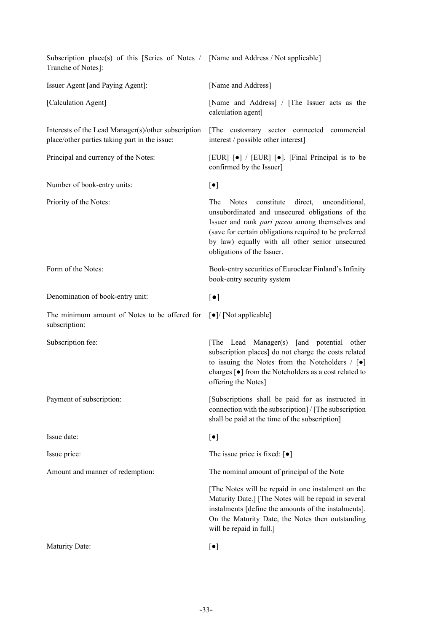| Subscription place(s) of this [Series of Notes / [Name and Address / Not applicable]<br>Tranche of Notes]: |                                                                                                                                                                                                                                                                                                              |
|------------------------------------------------------------------------------------------------------------|--------------------------------------------------------------------------------------------------------------------------------------------------------------------------------------------------------------------------------------------------------------------------------------------------------------|
| Issuer Agent [and Paying Agent]:                                                                           | [Name and Address]                                                                                                                                                                                                                                                                                           |
| [Calculation Agent]                                                                                        | [Name and Address] / [The Issuer acts as the<br>calculation agent]                                                                                                                                                                                                                                           |
| Interests of the Lead Manager(s)/other subscription<br>place/other parties taking part in the issue:       | [The customary sector connected commercial<br>interest / possible other interest]                                                                                                                                                                                                                            |
| Principal and currency of the Notes:                                                                       | [EUR] [ $\bullet$ ] / [EUR] [ $\bullet$ ]. [Final Principal is to be<br>confirmed by the Issuer]                                                                                                                                                                                                             |
| Number of book-entry units:                                                                                | $[\bullet]$                                                                                                                                                                                                                                                                                                  |
| Priority of the Notes:                                                                                     | constitute<br>direct, unconditional,<br>The<br><b>Notes</b><br>unsubordinated and unsecured obligations of the<br>Issuer and rank pari passu among themselves and<br>(save for certain obligations required to be preferred<br>by law) equally with all other senior unsecured<br>obligations of the Issuer. |
| Form of the Notes:                                                                                         | Book-entry securities of Euroclear Finland's Infinity<br>book-entry security system                                                                                                                                                                                                                          |
| Denomination of book-entry unit:                                                                           | $\lbrack \bullet \rbrack$                                                                                                                                                                                                                                                                                    |
| The minimum amount of Notes to be offered for<br>subscription:                                             | [ $\bullet$ ]/ [Not applicable]                                                                                                                                                                                                                                                                              |
| Subscription fee:                                                                                          | [The Lead Manager(s) [and potential other<br>subscription places] do not charge the costs related<br>to issuing the Notes from the Noteholders $/ [\bullet]$<br>charges [ $\bullet$ ] from the Noteholders as a cost related to<br>offering the Notes]                                                       |
| Payment of subscription:                                                                                   | [Subscriptions shall be paid for as instructed in<br>connection with the subscription   / [The subscription]<br>shall be paid at the time of the subscription]                                                                                                                                               |
| Issue date:                                                                                                | $[\bullet]$                                                                                                                                                                                                                                                                                                  |
| Issue price:                                                                                               | The issue price is fixed: $\lbrack \bullet \rbrack$                                                                                                                                                                                                                                                          |
| Amount and manner of redemption:                                                                           | The nominal amount of principal of the Note                                                                                                                                                                                                                                                                  |
|                                                                                                            | [The Notes will be repaid in one instalment on the<br>Maturity Date.] [The Notes will be repaid in several<br>instalments [define the amounts of the instalments].<br>On the Maturity Date, the Notes then outstanding<br>will be repaid in full.]                                                           |
| Maturity Date:                                                                                             | $[\bullet]$                                                                                                                                                                                                                                                                                                  |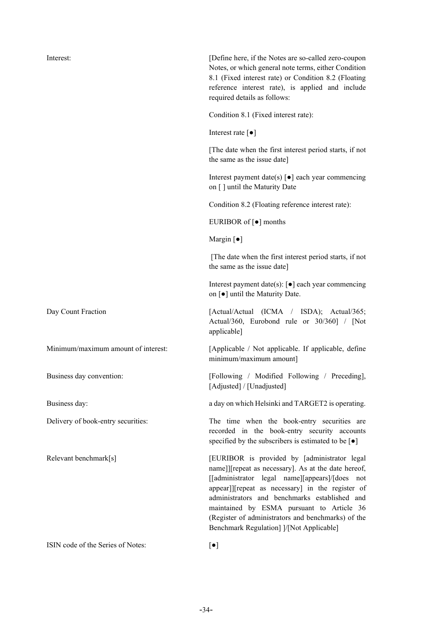| Interest:                           | [Define here, if the Notes are so-called zero-coupon<br>Notes, or which general note terms, either Condition<br>8.1 (Fixed interest rate) or Condition 8.2 (Floating<br>reference interest rate), is applied and include<br>required details as follows:                                                                                                                                                  |
|-------------------------------------|-----------------------------------------------------------------------------------------------------------------------------------------------------------------------------------------------------------------------------------------------------------------------------------------------------------------------------------------------------------------------------------------------------------|
|                                     | Condition 8.1 (Fixed interest rate):                                                                                                                                                                                                                                                                                                                                                                      |
|                                     | Interest rate $\lbrack \bullet \rbrack$                                                                                                                                                                                                                                                                                                                                                                   |
|                                     | The date when the first interest period starts, if not<br>the same as the issue date]                                                                                                                                                                                                                                                                                                                     |
|                                     | Interest payment date(s) $\lbrack \bullet \rbrack$ each year commencing<br>on [] until the Maturity Date                                                                                                                                                                                                                                                                                                  |
|                                     | Condition 8.2 (Floating reference interest rate):                                                                                                                                                                                                                                                                                                                                                         |
|                                     | EURIBOR of [ $\bullet$ ] months                                                                                                                                                                                                                                                                                                                                                                           |
|                                     | Margin $\lceil \bullet \rceil$                                                                                                                                                                                                                                                                                                                                                                            |
|                                     | [The date when the first interest period starts, if not<br>the same as the issue date]                                                                                                                                                                                                                                                                                                                    |
|                                     | Interest payment date(s): $[\bullet]$ each year commencing<br>on [ $\bullet$ ] until the Maturity Date.                                                                                                                                                                                                                                                                                                   |
| Day Count Fraction                  | [Actual/Actual (ICMA / ISDA); Actual/365;<br>Actual/360, Eurobond rule or 30/360] / [Not<br>applicable]                                                                                                                                                                                                                                                                                                   |
| Minimum/maximum amount of interest: | [Applicable / Not applicable. If applicable, define<br>minimum/maximum amount]                                                                                                                                                                                                                                                                                                                            |
| Business day convention:            | [Following / Modified Following / Preceding],<br>[Adjusted] / [Unadjusted]                                                                                                                                                                                                                                                                                                                                |
| Business day:                       | a day on which Helsinki and TARGET2 is operating.                                                                                                                                                                                                                                                                                                                                                         |
| Delivery of book-entry securities:  | The time when the book-entry securities are<br>recorded in the book-entry security accounts<br>specified by the subscribers is estimated to be $\lceil \bullet \rceil$                                                                                                                                                                                                                                    |
| Relevant benchmark[s]               | [EURIBOR is provided by [administrator legal<br>name]][repeat as necessary]. As at the date hereof,<br>[[administrator legal name][appears]/[does not<br>appear]][repeat as necessary] in the register of<br>administrators and benchmarks established and<br>maintained by ESMA pursuant to Article 36<br>(Register of administrators and benchmarks) of the<br>Benchmark Regulation] ]/[Not Applicable] |
| ISIN code of the Series of Notes:   | $[\bullet]$                                                                                                                                                                                                                                                                                                                                                                                               |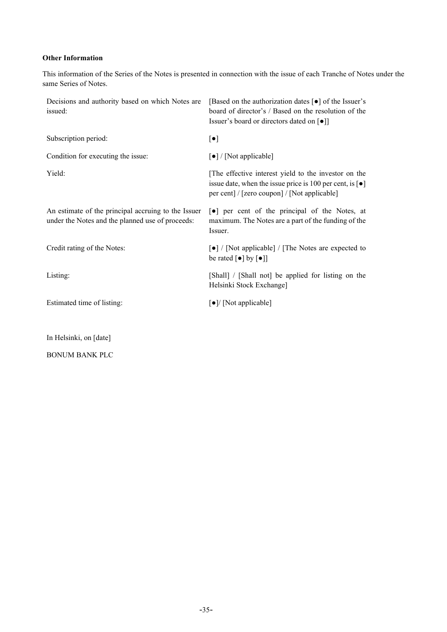## <span id="page-37-0"></span>**Other Information**

This information of the Series of the Notes is presented in connection with the issue of each Tranche of Notes under the same Series of Notes.

| Decisions and authority based on which Notes are<br>issued:                                             | [Based on the authorization dates $\lceil \bullet \rceil$ of the Issuer's<br>board of director's / Based on the resolution of the<br>Issuer's board or directors dated on [ $\bullet$ ]] |
|---------------------------------------------------------------------------------------------------------|------------------------------------------------------------------------------------------------------------------------------------------------------------------------------------------|
| Subscription period:                                                                                    | $[\bullet]$                                                                                                                                                                              |
| Condition for executing the issue:                                                                      | [•] / [Not applicable]                                                                                                                                                                   |
| Yield:                                                                                                  | The effective interest yield to the investor on the<br>issue date, when the issue price is 100 per cent, is $\lceil \bullet \rceil$<br>per cent] / [zero coupon] / [Not applicable]      |
| An estimate of the principal accruing to the Issuer<br>under the Notes and the planned use of proceeds: | •] per cent of the principal of the Notes, at<br>maximum. The Notes are a part of the funding of the<br>Issuer.                                                                          |
| Credit rating of the Notes:                                                                             | [ $\bullet$ ] / [Not applicable] / [The Notes are expected to<br>be rated $[\bullet]$ by $[\bullet]]$                                                                                    |
| Listing:                                                                                                | [Shall] / [Shall not] be applied for listing on the<br>Helsinki Stock Exchange]                                                                                                          |
| Estimated time of listing:                                                                              | $\lceil \bullet \rceil$ [Not applicable]                                                                                                                                                 |
| In Helsinki, on [date]                                                                                  |                                                                                                                                                                                          |

BONUM BANK PLC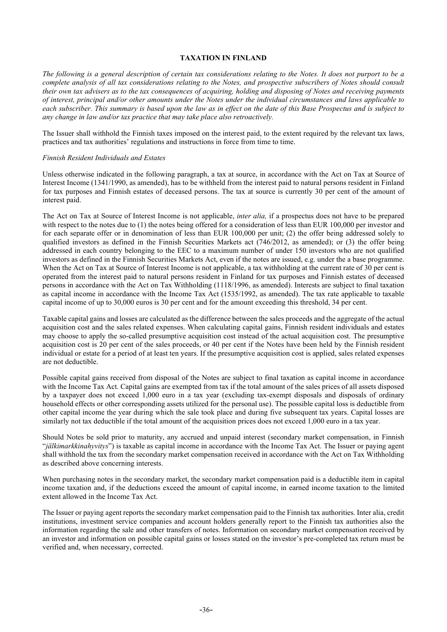#### **TAXATION IN FINLAND**

<span id="page-38-0"></span>*The following is a general description of certain tax considerations relating to the Notes. It does not purport to be a complete analysis of all tax considerations relating to the Notes, and prospective subscribers of Notes should consult their own tax advisers as to the tax consequences of acquiring, holding and disposing of Notes and receiving payments of interest, principal and/or other amounts under the Notes under the individual circumstances and laws applicable to each subscriber. This summary is based upon the law as in effect on the date of this Base Prospectus and is subject to any change in law and/or tax practice that may take place also retroactively.*

The Issuer shall withhold the Finnish taxes imposed on the interest paid, to the extent required by the relevant tax laws, practices and tax authorities' regulations and instructions in force from time to time.

#### *Finnish Resident Individuals and Estates*

Unless otherwise indicated in the following paragraph, a tax at source, in accordance with the Act on Tax at Source of Interest Income (1341/1990, as amended), has to be withheld from the interest paid to natural persons resident in Finland for tax purposes and Finnish estates of deceased persons. The tax at source is currently 30 per cent of the amount of interest paid.

The Act on Tax at Source of Interest Income is not applicable, *inter alia,* if a prospectus does not have to be prepared with respect to the notes due to (1) the notes being offered for a consideration of less than EUR 100,000 per investor and for each separate offer or in denomination of less than EUR 100,000 per unit; (2) the offer being addressed solely to qualified investors as defined in the Finnish Securities Markets act (746/2012, as amended); or (3) the offer being addressed in each country belonging to the EEC to a maximum number of under 150 investors who are not qualified investors as defined in the Finnish Securities Markets Act, even if the notes are issued, e.g. under the a base programme. When the Act on Tax at Source of Interest Income is not applicable, a tax withholding at the current rate of 30 per cent is operated from the interest paid to natural persons resident in Finland for tax purposes and Finnish estates of deceased persons in accordance with the Act on Tax Withholding (1118/1996, as amended). Interests are subject to final taxation as capital income in accordance with the Income Tax Act (1535/1992, as amended). The tax rate applicable to taxable capital income of up to 30,000 euros is 30 per cent and for the amount exceeding this threshold, 34 per cent.

Taxable capital gains and losses are calculated as the difference between the sales proceeds and the aggregate of the actual acquisition cost and the sales related expenses. When calculating capital gains, Finnish resident individuals and estates may choose to apply the so-called presumptive acquisition cost instead of the actual acquisition cost. The presumptive acquisition cost is 20 per cent of the sales proceeds, or 40 per cent if the Notes have been held by the Finnish resident individual or estate for a period of at least ten years. If the presumptive acquisition cost is applied, sales related expenses are not deductible.

Possible capital gains received from disposal of the Notes are subject to final taxation as capital income in accordance with the Income Tax Act. Capital gains are exempted from tax if the total amount of the sales prices of all assets disposed by a taxpayer does not exceed 1,000 euro in a tax year (excluding tax-exempt disposals and disposals of ordinary household effects or other corresponding assets utilized for the personal use). The possible capital loss is deductible from other capital income the year during which the sale took place and during five subsequent tax years. Capital losses are similarly not tax deductible if the total amount of the acquisition prices does not exceed 1,000 euro in a tax year.

Should Notes be sold prior to maturity, any accrued and unpaid interest (secondary market compensation, in Finnish "*jälkimarkkinahyvitys*") is taxable as capital income in accordance with the Income Tax Act. The Issuer or paying agent shall withhold the tax from the secondary market compensation received in accordance with the Act on Tax Withholding as described above concerning interests.

When purchasing notes in the secondary market, the secondary market compensation paid is a deductible item in capital income taxation and, if the deductions exceed the amount of capital income, in earned income taxation to the limited extent allowed in the Income Tax Act.

The Issuer or paying agent reports the secondary market compensation paid to the Finnish tax authorities. Inter alia, credit institutions, investment service companies and account holders generally report to the Finnish tax authorities also the information regarding the sale and other transfers of notes. Information on secondary market compensation received by an investor and information on possible capital gains or losses stated on the investor's pre-completed tax return must be verified and, when necessary, corrected.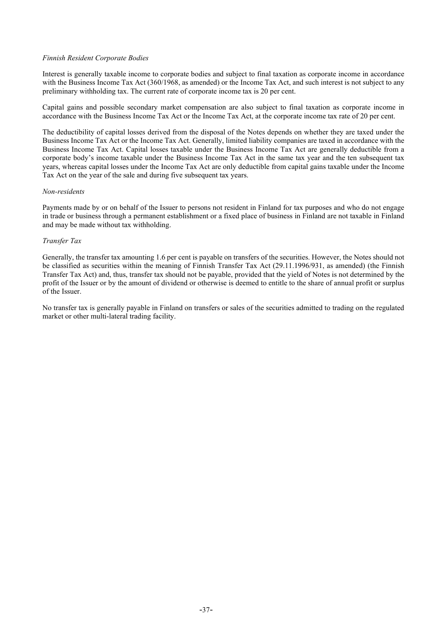#### *Finnish Resident Corporate Bodies*

Interest is generally taxable income to corporate bodies and subject to final taxation as corporate income in accordance with the Business Income Tax Act (360/1968, as amended) or the Income Tax Act, and such interest is not subject to any preliminary withholding tax. The current rate of corporate income tax is 20 per cent.

Capital gains and possible secondary market compensation are also subject to final taxation as corporate income in accordance with the Business Income Tax Act or the Income Tax Act, at the corporate income tax rate of 20 per cent.

The deductibility of capital losses derived from the disposal of the Notes depends on whether they are taxed under the Business Income Tax Act or the Income Tax Act. Generally, limited liability companies are taxed in accordance with the Business Income Tax Act. Capital losses taxable under the Business Income Tax Act are generally deductible from a corporate body's income taxable under the Business Income Tax Act in the same tax year and the ten subsequent tax years, whereas capital losses under the Income Tax Act are only deductible from capital gains taxable under the Income Tax Act on the year of the sale and during five subsequent tax years.

#### *Non-residents*

Payments made by or on behalf of the Issuer to persons not resident in Finland for tax purposes and who do not engage in trade or business through a permanent establishment or a fixed place of business in Finland are not taxable in Finland and may be made without tax withholding.

## *Transfer Tax*

Generally, the transfer tax amounting 1.6 per cent is payable on transfers of the securities. However, the Notes should not be classified as securities within the meaning of Finnish Transfer Tax Act (29.11.1996/931, as amended) (the Finnish Transfer Tax Act) and, thus, transfer tax should not be payable, provided that the yield of Notes is not determined by the profit of the Issuer or by the amount of dividend or otherwise is deemed to entitle to the share of annual profit or surplus of the Issuer.

No transfer tax is generally payable in Finland on transfers or sales of the securities admitted to trading on the regulated market or other multi-lateral trading facility.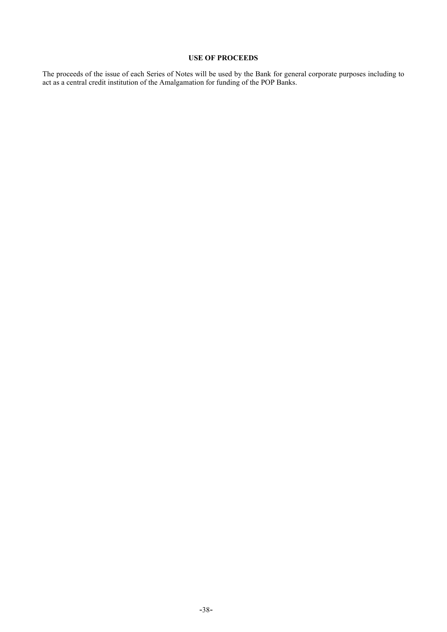# **USE OF PROCEEDS**

<span id="page-40-0"></span>The proceeds of the issue of each Series of Notes will be used by the Bank for general corporate purposes including to act as a central credit institution of the Amalgamation for funding of the POP Banks.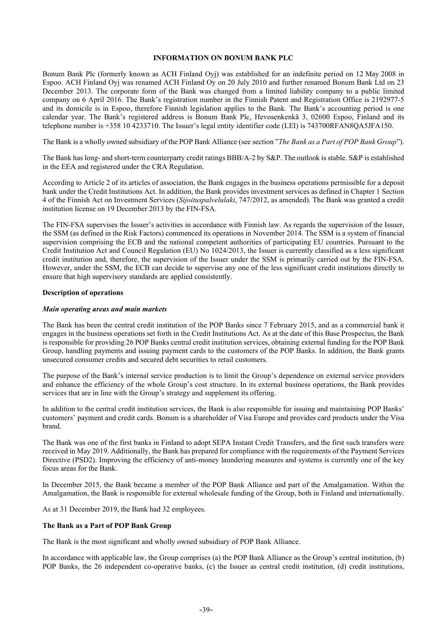#### **INFORMATION ON BONUM BANK PLC**

<span id="page-41-0"></span>Bonum Bank Plc (formerly known as ACH Finland Oyj) was established for an indefinite period on 12 May 2008 in Espoo. ACH Finland Oyj was renamed ACH Finland Oy on 20 July 2010 and further renamed Bonum Bank Ltd on 23 December 2013. The corporate form of the Bank was changed from a limited liability company to a public limited company on 6 April 2016. The Bank's registration number in the Finnish Patent and Registration Office is 2192977-5 and its domicile is in Espoo, therefore Finnish legislation applies to the Bank. The Bank's accounting period is one calendar year. The Bank's registered address is Bonum Bank Plc, Hevosenkenkä 3, 02600 Espoo, Finland and its telephone number is +358 10 4233710. The Issuer's legal entity identifier code (LEI) is 743700RFAN8QA5JFA150.

The Bank is a wholly owned subsidiary of the POP Bank Alliance (see section "*The Bank as a Part of POP Bank Group*").

The Bank has long- and short-term counterparty credit ratings BBB/A-2 by S&P. The outlook is stable. S&P is established in the EEA and registered under the CRA Regulation.

According to Article 2 of its articles of association, the Bank engages in the business operations permissible for a deposit bank under the Credit Institutions Act. In addition, the Bank provides investment services as defined in Chapter 1 Section 4 of the Finnish Act on Investment Services (*Sijoituspalvelulaki*, 747/2012, as amended). The Bank was granted a credit institution license on 19 December 2013 by the FIN-FSA.

The FIN-FSA supervises the Issuer's activities in accordance with Finnish law. As regards the supervision of the Issuer, the SSM (as defined in the Risk Factors) commenced its operations in November 2014. The SSM is a system of financial supervision comprising the ECB and the national competent authorities of participating EU countries. Pursuant to the Credit Institution Act and Council Regulation (EU) No 1024/2013, the Issuer is currently classified as a less significant credit institution and, therefore, the supervision of the Issuer under the SSM is primarily carried out by the FIN-FSA. However, under the SSM, the ECB can decide to supervise any one of the less significant credit institutions directly to ensure that high supervisory standards are applied consistently.

#### **Description of operations**

#### *Main operating areas and main markets*

The Bank has been the central credit institution of the POP Banks since 7 February 2015, and as a commercial bank it engages in the business operations set forth in the Credit Institutions Act. As at the date of this Base Prospectus, the Bank is responsible for providing 26 POP Banks central credit institution services, obtaining external funding for the POP Bank Group, handling payments and issuing payment cards to the customers of the POP Banks. In addition, the Bank grants unsecured consumer credits and secured debt securities to retail customers.

The purpose of the Bank's internal service production is to limit the Group's dependence on external service providers and enhance the efficiency of the whole Group's cost structure. In its external business operations, the Bank provides services that are in line with the Group's strategy and supplement its offering.

In addition to the central credit institution services, the Bank is also responsible for issuing and maintaining POP Banks' customers' payment and credit cards. Bonum is a shareholder of Visa Europe and provides card products under the Visa brand.

The Bank was one of the first banks in Finland to adopt SEPA Instant Credit Transfers, and the first such transfers were received in May 2019. Additionally, the Bank has prepared for compliance with the requirements of the Payment Services Directive (PSD2). Improving the efficiency of anti-money laundering measures and systems is currently one of the key focus areas for the Bank.

In December 2015, the Bank became a member of the POP Bank Alliance and part of the Amalgamation. Within the Amalgamation, the Bank is responsible for external wholesale funding of the Group, both in Finland and internationally.

As at 31 December 2019, the Bank had 32 employees.

## **The Bank as a Part of POP Bank Group**

The Bank is the most significant and wholly owned subsidiary of POP Bank Alliance.

In accordance with applicable law, the Group comprises (a) the POP Bank Alliance as the Group's central institution, (b) POP Banks, the 26 independent co-operative banks, (c) the Issuer as central credit institution, (d) credit institutions,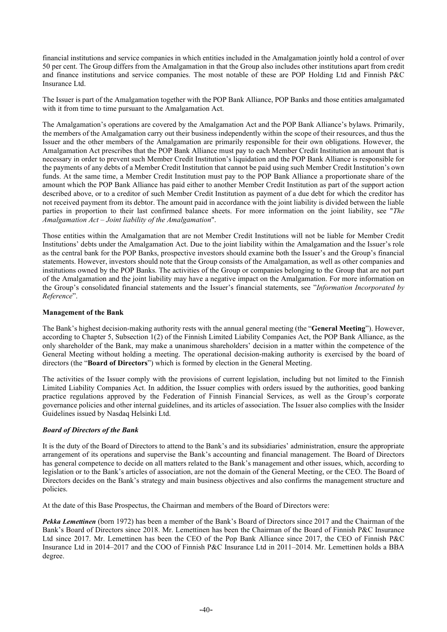financial institutions and service companies in which entities included in the Amalgamation jointly hold a control of over 50 per cent. The Group differs from the Amalgamation in that the Group also includes other institutions apart from credit and finance institutions and service companies. The most notable of these are POP Holding Ltd and Finnish P&C Insurance Ltd.

The Issuer is part of the Amalgamation together with the POP Bank Alliance, POP Banks and those entities amalgamated with it from time to time pursuant to the Amalgamation Act.

The Amalgamation's operations are covered by the Amalgamation Act and the POP Bank Alliance's bylaws. Primarily, the members of the Amalgamation carry out their business independently within the scope of their resources, and thus the Issuer and the other members of the Amalgamation are primarily responsible for their own obligations. However, the Amalgamation Act prescribes that the POP Bank Alliance must pay to each Member Credit Institution an amount that is necessary in order to prevent such Member Credit Institution's liquidation and the POP Bank Alliance is responsible for the payments of any debts of a Member Credit Institution that cannot be paid using such Member Credit Institution's own funds. At the same time, a Member Credit Institution must pay to the POP Bank Alliance a proportionate share of the amount which the POP Bank Alliance has paid either to another Member Credit Institution as part of the support action described above, or to a creditor of such Member Credit Institution as payment of a due debt for which the creditor has not received payment from its debtor. The amount paid in accordance with the joint liability is divided between the liable parties in proportion to their last confirmed balance sheets. For more information on the joint liability, see "*The Amalgamation Act – Joint liability of the Amalgamation*".

Those entities within the Amalgamation that are not Member Credit Institutions will not be liable for Member Credit Institutions' debts under the Amalgamation Act. Due to the joint liability within the Amalgamation and the Issuer's role as the central bank for the POP Banks, prospective investors should examine both the Issuer's and the Group's financial statements. However, investors should note that the Group consists of the Amalgamation, as well as other companies and institutions owned by the POP Banks. The activities of the Group or companies belonging to the Group that are not part of the Amalgamation and the joint liability may have a negative impact on the Amalgamation. For more information on the Group's consolidated financial statements and the Issuer's financial statements, see "*Information Incorporated by Reference*".

## **Management of the Bank**

The Bank's highest decision-making authority rests with the annual general meeting (the "**General Meeting**"). However, according to Chapter 5, Subsection 1(2) of the Finnish Limited Liability Companies Act, the POP Bank Alliance, as the only shareholder of the Bank, may make a unanimous shareholders' decision in a matter within the competence of the General Meeting without holding a meeting. The operational decision-making authority is exercised by the board of directors (the "**Board of Directors**") which is formed by election in the General Meeting.

The activities of the Issuer comply with the provisions of current legislation, including but not limited to the Finnish Limited Liability Companies Act. In addition, the Issuer complies with orders issued by the authorities, good banking practice regulations approved by the Federation of Finnish Financial Services, as well as the Group's corporate governance policies and other internal guidelines, and its articles of association. The Issuer also complies with the Insider Guidelines issued by Nasdaq Helsinki Ltd.

## *Board of Directors of the Bank*

It is the duty of the Board of Directors to attend to the Bank's and its subsidiaries' administration, ensure the appropriate arrangement of its operations and supervise the Bank's accounting and financial management. The Board of Directors has general competence to decide on all matters related to the Bank's management and other issues, which, according to legislation or to the Bank's articles of association, are not the domain of the General Meeting, or the CEO. The Board of Directors decides on the Bank's strategy and main business objectives and also confirms the management structure and policies.

At the date of this Base Prospectus, the Chairman and members of the Board of Directors were:

*Pekka Lemettinen* (born 1972) has been a member of the Bank's Board of Directors since 2017 and the Chairman of the Bank's Board of Directors since 2018. Mr. Lemettinen has been the Chairman of the Board of Finnish P&C Insurance Ltd since 2017. Mr. Lemettinen has been the CEO of the Pop Bank Alliance since 2017, the CEO of Finnish P&C Insurance Ltd in 2014–2017 and the COO of Finnish P&C Insurance Ltd in 2011–2014. Mr. Lemettinen holds a BBA degree.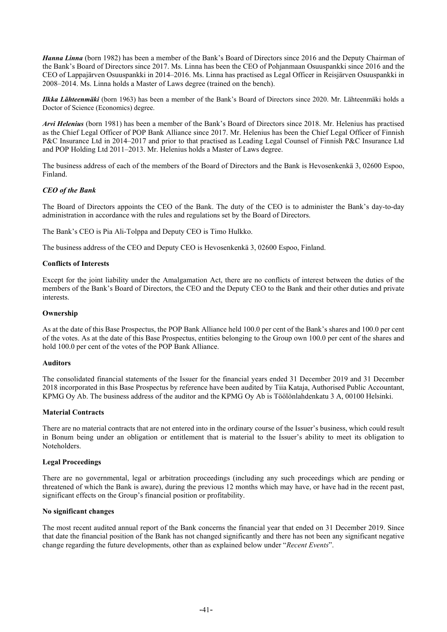*Hanna Linna* (born 1982) has been a member of the Bank's Board of Directors since 2016 and the Deputy Chairman of the Bank's Board of Directors since 2017. Ms. Linna has been the CEO of Pohjanmaan Osuuspankki since 2016 and the CEO of Lappajärven Osuuspankki in 2014–2016. Ms. Linna has practised as Legal Officer in Reisjärven Osuuspankki in 2008–2014. Ms. Linna holds a Master of Laws degree (trained on the bench).

*Ilkka Lähteenmäki* (born 1963) has been a member of the Bank's Board of Directors since 2020. Mr. Lähteenmäki holds a Doctor of Science (Economics) degree.

*Arvi Helenius* (born 1981) has been a member of the Bank's Board of Directors since 2018. Mr. Helenius has practised as the Chief Legal Officer of POP Bank Alliance since 2017. Mr. Helenius has been the Chief Legal Officer of Finnish P&C Insurance Ltd in 2014–2017 and prior to that practised as Leading Legal Counsel of Finnish P&C Insurance Ltd and POP Holding Ltd 2011–2013. Mr. Helenius holds a Master of Laws degree.

The business address of each of the members of the Board of Directors and the Bank is Hevosenkenkä 3, 02600 Espoo, Finland.

## *CEO of the Bank*

The Board of Directors appoints the CEO of the Bank. The duty of the CEO is to administer the Bank's day-to-day administration in accordance with the rules and regulations set by the Board of Directors.

The Bank's CEO is Pia Ali-Tolppa and Deputy CEO is Timo Hulkko.

The business address of the CEO and Deputy CEO is Hevosenkenkä 3, 02600 Espoo, Finland.

## **Conflicts of Interests**

Except for the joint liability under the Amalgamation Act, there are no conflicts of interest between the duties of the members of the Bank's Board of Directors, the CEO and the Deputy CEO to the Bank and their other duties and private interests.

## **Ownership**

As at the date of this Base Prospectus, the POP Bank Alliance held 100.0 per cent of the Bank's shares and 100.0 per cent of the votes. As at the date of this Base Prospectus, entities belonging to the Group own 100.0 per cent of the shares and hold 100.0 per cent of the votes of the POP Bank Alliance.

#### **Auditors**

The consolidated financial statements of the Issuer for the financial years ended 31 December 2019 and 31 December 2018 incorporated in this Base Prospectus by reference have been audited by Tiia Kataja, Authorised Public Accountant, KPMG Oy Ab. The business address of the auditor and the KPMG Oy Ab is Töölönlahdenkatu 3 A, 00100 Helsinki.

## **Material Contracts**

There are no material contracts that are not entered into in the ordinary course of the Issuer's business, which could result in Bonum being under an obligation or entitlement that is material to the Issuer's ability to meet its obligation to Noteholders.

#### **Legal Proceedings**

There are no governmental, legal or arbitration proceedings (including any such proceedings which are pending or threatened of which the Bank is aware), during the previous 12 months which may have, or have had in the recent past, significant effects on the Group's financial position or profitability.

## **No significant changes**

The most recent audited annual report of the Bank concerns the financial year that ended on 31 December 2019. Since that date the financial position of the Bank has not changed significantly and there has not been any significant negative change regarding the future developments, other than as explained below under "*Recent Events*".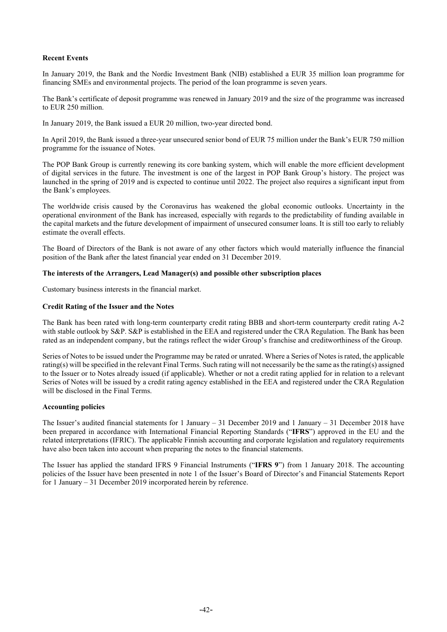#### **Recent Events**

In January 2019, the Bank and the Nordic Investment Bank (NIB) established a EUR 35 million loan programme for financing SMEs and environmental projects. The period of the loan programme is seven years.

The Bank's certificate of deposit programme was renewed in January 2019 and the size of the programme was increased to EUR 250 million.

In January 2019, the Bank issued a EUR 20 million, two-year directed bond.

In April 2019, the Bank issued a three-year unsecured senior bond of EUR 75 million under the Bank's EUR 750 million programme for the issuance of Notes.

The POP Bank Group is currently renewing its core banking system, which will enable the more efficient development of digital services in the future. The investment is one of the largest in POP Bank Group's history. The project was launched in the spring of 2019 and is expected to continue until 2022. The project also requires a significant input from the Bank's employees.

The worldwide crisis caused by the Coronavirus has weakened the global economic outlooks. Uncertainty in the operational environment of the Bank has increased, especially with regards to the predictability of funding available in the capital markets and the future development of impairment of unsecured consumer loans. It is still too early to reliably estimate the overall effects.

The Board of Directors of the Bank is not aware of any other factors which would materially influence the financial position of the Bank after the latest financial year ended on 31 December 2019.

#### **The interests of the Arrangers, Lead Manager(s) and possible other subscription places**

Customary business interests in the financial market.

#### **Credit Rating of the Issuer and the Notes**

The Bank has been rated with long-term counterparty credit rating BBB and short-term counterparty credit rating A-2 with stable outlook by S&P. S&P is established in the EEA and registered under the CRA Regulation. The Bank has been rated as an independent company, but the ratings reflect the wider Group's franchise and creditworthiness of the Group.

Series of Notes to be issued under the Programme may be rated or unrated. Where a Series of Notes is rated, the applicable rating(s) will be specified in the relevant Final Terms. Such rating will not necessarily be the same as the rating(s) assigned to the Issuer or to Notes already issued (if applicable). Whether or not a credit rating applied for in relation to a relevant Series of Notes will be issued by a credit rating agency established in the EEA and registered under the CRA Regulation will be disclosed in the Final Terms.

#### **Accounting policies**

The Issuer's audited financial statements for 1 January – 31 December 2019 and 1 January – 31 December 2018 have been prepared in accordance with International Financial Reporting Standards ("**IFRS**") approved in the EU and the related interpretations (IFRIC). The applicable Finnish accounting and corporate legislation and regulatory requirements have also been taken into account when preparing the notes to the financial statements.

The Issuer has applied the standard IFRS 9 Financial Instruments ("**IFRS 9**") from 1 January 2018. The accounting policies of the Issuer have been presented in note 1 of the Issuer's Board of Director's and Financial Statements Report for 1 January – 31 December 2019 incorporated herein by reference.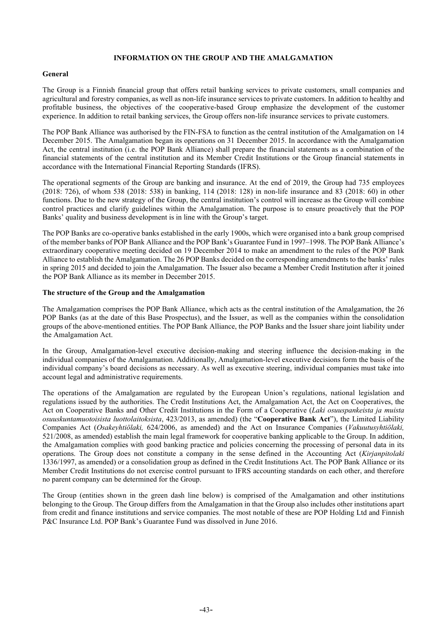#### **INFORMATION ON THE GROUP AND THE AMALGAMATION**

#### <span id="page-45-0"></span>**General**

The Group is a Finnish financial group that offers retail banking services to private customers, small companies and agricultural and forestry companies, as well as non-life insurance services to private customers. In addition to healthy and profitable business, the objectives of the cooperative-based Group emphasize the development of the customer experience. In addition to retail banking services, the Group offers non-life insurance services to private customers.

The POP Bank Alliance was authorised by the FIN-FSA to function as the central institution of the Amalgamation on 14 December 2015. The Amalgamation began its operations on 31 December 2015. In accordance with the Amalgamation Act, the central institution (i.e. the POP Bank Alliance) shall prepare the financial statements as a combination of the financial statements of the central institution and its Member Credit Institutions or the Group financial statements in accordance with the International Financial Reporting Standards (IFRS).

The operational segments of the Group are banking and insurance. At the end of 2019, the Group had 735 employees (2018: 726), of whom 538 (2018: 538) in banking, 114 (2018: 128) in non-life insurance and 83 (2018: 60) in other functions. Due to the new strategy of the Group, the central institution's control will increase as the Group will combine control practices and clarify guidelines within the Amalgamation. The purpose is to ensure proactively that the POP Banks' quality and business development is in line with the Group's target.

The POP Banks are co-operative banks established in the early 1900s, which were organised into a bank group comprised of the member banks of POP Bank Alliance and the POP Bank's Guarantee Fund in 1997–1998. The POP Bank Alliance's extraordinary cooperative meeting decided on 19 December 2014 to make an amendment to the rules of the POP Bank Alliance to establish the Amalgamation. The 26 POP Banks decided on the corresponding amendments to the banks' rules in spring 2015 and decided to join the Amalgamation. The Issuer also became a Member Credit Institution after it joined the POP Bank Alliance as its member in December 2015.

## **The structure of the Group and the Amalgamation**

The Amalgamation comprises the POP Bank Alliance, which acts as the central institution of the Amalgamation, the 26 POP Banks (as at the date of this Base Prospectus), and the Issuer, as well as the companies within the consolidation groups of the above-mentioned entities. The POP Bank Alliance, the POP Banks and the Issuer share joint liability under the Amalgamation Act.

In the Group, Amalgamation-level executive decision-making and steering influence the decision-making in the individual companies of the Amalgamation. Additionally, Amalgamation-level executive decisions form the basis of the individual company's board decisions as necessary. As well as executive steering, individual companies must take into account legal and administrative requirements.

The operations of the Amalgamation are regulated by the European Union's regulations, national legislation and regulations issued by the authorities. The Credit Institutions Act, the Amalgamation Act, the Act on Cooperatives, the Act on Cooperative Banks and Other Credit Institutions in the Form of a Cooperative (*Laki osuuspankeista ja muista osuuskuntamuotoisista luottolaitoksista*, 423/2013, as amended) (the "**Cooperative Bank Act**"), the Limited Liability Companies Act (*Osakeyhtiölaki,* 624/2006, as amended) and the Act on Insurance Companies (*Vakuutusyhtiölaki,* 521/2008, as amended) establish the main legal framework for cooperative banking applicable to the Group. In addition, the Amalgamation complies with good banking practice and policies concerning the processing of personal data in its operations. The Group does not constitute a company in the sense defined in the Accounting Act (*Kirjanpitolaki*  1336/1997, as amended) or a consolidation group as defined in the Credit Institutions Act. The POP Bank Alliance or its Member Credit Institutions do not exercise control pursuant to IFRS accounting standards on each other, and therefore no parent company can be determined for the Group.

The Group (entities shown in the green dash line below) is comprised of the Amalgamation and other institutions belonging to the Group. The Group differs from the Amalgamation in that the Group also includes other institutions apart from credit and finance institutions and service companies. The most notable of these are POP Holding Ltd and Finnish P&C Insurance Ltd. POP Bank's Guarantee Fund was dissolved in June 2016.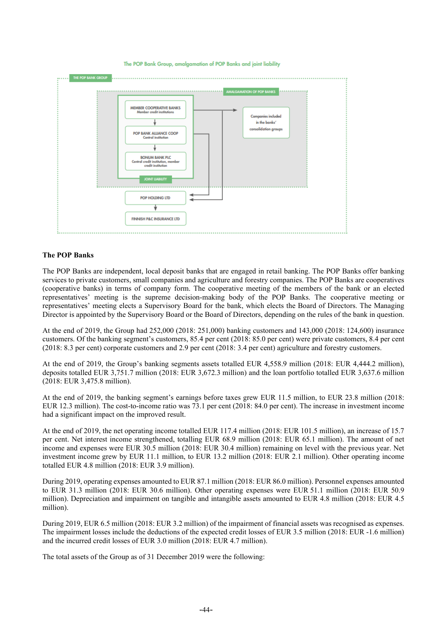The POP Bank Group, amalgamation of POP Banks and joint liability



#### **The POP Banks**

The POP Banks are independent, local deposit banks that are engaged in retail banking. The POP Banks offer banking services to private customers, small companies and agriculture and forestry companies. The POP Banks are cooperatives (cooperative banks) in terms of company form. The cooperative meeting of the members of the bank or an elected representatives' meeting is the supreme decision-making body of the POP Banks. The cooperative meeting or representatives' meeting elects a Supervisory Board for the bank, which elects the Board of Directors. The Managing Director is appointed by the Supervisory Board or the Board of Directors, depending on the rules of the bank in question.

At the end of 2019, the Group had 252,000 (2018: 251,000) banking customers and 143,000 (2018: 124,600) insurance customers. Of the banking segment's customers, 85.4 per cent (2018: 85.0 per cent) were private customers, 8.4 per cent (2018: 8.3 per cent) corporate customers and 2.9 per cent (2018: 3.4 per cent) agriculture and forestry customers.

At the end of 2019, the Group's banking segments assets totalled EUR 4,558.9 million (2018: EUR 4,444.2 million), deposits totalled EUR 3,751.7 million (2018: EUR 3,672.3 million) and the loan portfolio totalled EUR 3,637.6 million (2018: EUR 3,475.8 million).

At the end of 2019, the banking segment's earnings before taxes grew EUR 11.5 million, to EUR 23.8 million (2018: EUR 12.3 million). The cost-to-income ratio was 73.1 per cent (2018: 84.0 per cent). The increase in investment income had a significant impact on the improved result.

At the end of 2019, the net operating income totalled EUR 117.4 million (2018: EUR 101.5 million), an increase of 15.7 per cent. Net interest income strengthened, totalling EUR 68.9 million (2018: EUR 65.1 million). The amount of net income and expenses were EUR 30.5 million (2018: EUR 30.4 million) remaining on level with the previous year. Net investment income grew by EUR 11.1 million, to EUR 13.2 million (2018: EUR 2.1 million). Other operating income totalled EUR 4.8 million (2018: EUR 3.9 million).

During 2019, operating expenses amounted to EUR 87.1 million (2018: EUR 86.0 million). Personnel expenses amounted to EUR 31.3 million (2018: EUR 30.6 million). Other operating expenses were EUR 51.1 million (2018: EUR 50.9 million). Depreciation and impairment on tangible and intangible assets amounted to EUR 4.8 million (2018: EUR 4.5 million).

During 2019, EUR 6.5 million (2018: EUR 3.2 million) of the impairment of financial assets was recognised as expenses. The impairment losses include the deductions of the expected credit losses of EUR 3.5 million (2018: EUR -1.6 million) and the incurred credit losses of EUR 3.0 million (2018: EUR 4.7 million).

The total assets of the Group as of 31 December 2019 were the following: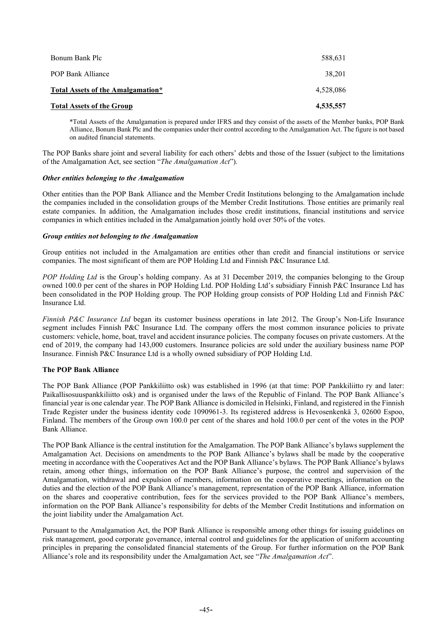| 4,535,557 |
|-----------|
| 4.528.086 |
| 38,201    |
| 588,631   |
|           |

\*Total Assets of the Amalgamation is prepared under IFRS and they consist of the assets of the Member banks, POP Bank Alliance, Bonum Bank Plc and the companies under their control according to the Amalgamation Act. The figure is not based on audited financial statements.

The POP Banks share joint and several liability for each others' debts and those of the Issuer (subject to the limitations of the Amalgamation Act, see section "*The Amalgamation Act*").

## *Other entities belonging to the Amalgamation*

Other entities than the POP Bank Alliance and the Member Credit Institutions belonging to the Amalgamation include the companies included in the consolidation groups of the Member Credit Institutions. Those entities are primarily real estate companies. In addition, the Amalgamation includes those credit institutions, financial institutions and service companies in which entities included in the Amalgamation jointly hold over 50% of the votes.

## *Group entities not belonging to the Amalgamation*

Group entities not included in the Amalgamation are entities other than credit and financial institutions or service companies. The most significant of them are POP Holding Ltd and Finnish P&C Insurance Ltd.

*POP Holding Ltd* is the Group's holding company. As at 31 December 2019, the companies belonging to the Group owned 100.0 per cent of the shares in POP Holding Ltd. POP Holding Ltd's subsidiary Finnish P&C Insurance Ltd has been consolidated in the POP Holding group. The POP Holding group consists of POP Holding Ltd and Finnish P&C Insurance Ltd.

*Finnish P&C Insurance Ltd* began its customer business operations in late 2012. The Group's Non-Life Insurance segment includes Finnish P&C Insurance Ltd. The company offers the most common insurance policies to private customers: vehicle, home, boat, travel and accident insurance policies. The company focuses on private customers. At the end of 2019, the company had 143,000 customers. Insurance policies are sold under the auxiliary business name POP Insurance. Finnish P&C Insurance Ltd is a wholly owned subsidiary of POP Holding Ltd.

# **The POP Bank Alliance**

The POP Bank Alliance (POP Pankkiliitto osk) was established in 1996 (at that time: POP Pankkiliitto ry and later: Paikallisosuuspankkiliitto osk) and is organised under the laws of the Republic of Finland. The POP Bank Alliance's financial year is one calendar year. The POP Bank Alliance is domiciled in Helsinki, Finland, and registered in the Finnish Trade Register under the business identity code 1090961-3. Its registered address is Hevosenkenkä 3, 02600 Espoo, Finland. The members of the Group own 100.0 per cent of the shares and hold 100.0 per cent of the votes in the POP Bank Alliance.

The POP Bank Alliance is the central institution for the Amalgamation. The POP Bank Alliance's bylaws supplement the Amalgamation Act. Decisions on amendments to the POP Bank Alliance's bylaws shall be made by the cooperative meeting in accordance with the Cooperatives Act and the POP Bank Alliance's bylaws. The POP Bank Alliance's bylaws retain, among other things, information on the POP Bank Alliance's purpose, the control and supervision of the Amalgamation, withdrawal and expulsion of members, information on the cooperative meetings, information on the duties and the election of the POP Bank Alliance's management, representation of the POP Bank Alliance, information on the shares and cooperative contribution, fees for the services provided to the POP Bank Alliance's members, information on the POP Bank Alliance's responsibility for debts of the Member Credit Institutions and information on the joint liability under the Amalgamation Act.

Pursuant to the Amalgamation Act, the POP Bank Alliance is responsible among other things for issuing guidelines on risk management, good corporate governance, internal control and guidelines for the application of uniform accounting principles in preparing the consolidated financial statements of the Group. For further information on the POP Bank Alliance's role and its responsibility under the Amalgamation Act, see "*The Amalgamation Act*".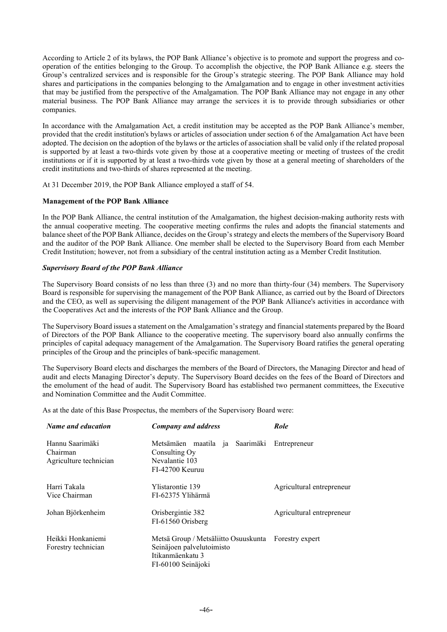According to Article 2 of its bylaws, the POP Bank Alliance's objective is to promote and support the progress and cooperation of the entities belonging to the Group. To accomplish the objective, the POP Bank Alliance e.g. steers the Group's centralized services and is responsible for the Group's strategic steering. The POP Bank Alliance may hold shares and participations in the companies belonging to the Amalgamation and to engage in other investment activities that may be justified from the perspective of the Amalgamation. The POP Bank Alliance may not engage in any other material business. The POP Bank Alliance may arrange the services it is to provide through subsidiaries or other companies.

In accordance with the Amalgamation Act, a credit institution may be accepted as the POP Bank Alliance's member, provided that the credit institution's bylaws or articles of association under section 6 of the Amalgamation Act have been adopted. The decision on the adoption of the bylaws or the articles of association shall be valid only if the related proposal is supported by at least a two-thirds vote given by those at a cooperative meeting or meeting of trustees of the credit institutions or if it is supported by at least a two-thirds vote given by those at a general meeting of shareholders of the credit institutions and two-thirds of shares represented at the meeting.

At 31 December 2019, the POP Bank Alliance employed a staff of 54.

## **Management of the POP Bank Alliance**

In the POP Bank Alliance, the central institution of the Amalgamation, the highest decision-making authority rests with the annual cooperative meeting. The cooperative meeting confirms the rules and adopts the financial statements and balance sheet of the POP Bank Alliance, decides on the Group's strategy and elects the members of the Supervisory Board and the auditor of the POP Bank Alliance. One member shall be elected to the Supervisory Board from each Member Credit Institution; however, not from a subsidiary of the central institution acting as a Member Credit Institution.

## *Supervisory Board of the POP Bank Alliance*

The Supervisory Board consists of no less than three (3) and no more than thirty-four (34) members. The Supervisory Board is responsible for supervising the management of the POP Bank Alliance, as carried out by the Board of Directors and the CEO, as well as supervising the diligent management of the POP Bank Alliance's activities in accordance with the Cooperatives Act and the interests of the POP Bank Alliance and the Group.

The Supervisory Board issues a statement on the Amalgamation's strategy and financial statements prepared by the Board of Directors of the POP Bank Alliance to the cooperative meeting. The supervisory board also annually confirms the principles of capital adequacy management of the Amalgamation. The Supervisory Board ratifies the general operating principles of the Group and the principles of bank-specific management.

The Supervisory Board elects and discharges the members of the Board of Directors, the Managing Director and head of audit and elects Managing Director's deputy. The Supervisory Board decides on the fees of the Board of Directors and the emolument of the head of audit. The Supervisory Board has established two permanent committees, the Executive and Nomination Committee and the Audit Committee.

As at the date of this Base Prospectus, the members of the Supervisory Board were:

| Name and education                                    | <b>Company and address</b>                                                                                                  | <b>Role</b>               |
|-------------------------------------------------------|-----------------------------------------------------------------------------------------------------------------------------|---------------------------|
| Hannu Saarimäki<br>Chairman<br>Agriculture technician | Metsämäen maatila ja Saarimäki<br>Consulting Oy<br>Nevalantie 103<br>FI-42700 Keuruu                                        | Entrepreneur              |
| Harri Takala<br>Vice Chairman                         | Ylistarontie 139<br>FI-62375 Ylihärmä                                                                                       | Agricultural entrepreneur |
| Johan Björkenheim                                     | Orisbergintie 382<br>FI-61560 Orisberg                                                                                      | Agricultural entrepreneur |
| Heikki Honkaniemi<br>Forestry technician              | Metsä Group / Metsäliitto Osuuskunta Forestry expert<br>Seinäjoen palvelutoimisto<br>Itikanmäenkatu 3<br>FI-60100 Seinäjoki |                           |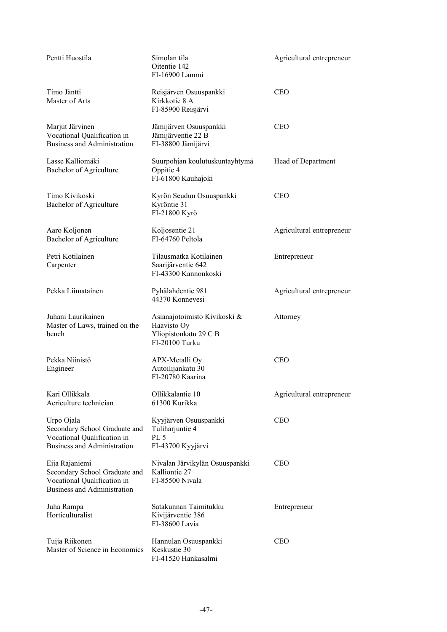| Pentti Huostila                                                                                                  | Simolan tila<br>Oitentie 142<br>FI-16900 Lammi                                         | Agricultural entrepreneur |
|------------------------------------------------------------------------------------------------------------------|----------------------------------------------------------------------------------------|---------------------------|
| Timo Jäntti<br>Master of Arts                                                                                    | Reisjärven Osuuspankki<br>Kirkkotie 8 A<br>FI-85900 Reisjärvi                          | <b>CEO</b>                |
| Marjut Järvinen<br>Vocational Qualification in<br>Business and Administration                                    | Jämijärven Osuuspankki<br>Jämijärventie 22 B<br>FI-38800 Jämijärvi                     | <b>CEO</b>                |
| Lasse Kalliomäki<br>Bachelor of Agriculture                                                                      | Suurpohjan koulutuskuntayhtymä<br>Oppitie 4<br>FI-61800 Kauhajoki                      | Head of Department        |
| Timo Kivikoski<br>Bachelor of Agriculture                                                                        | Kyrön Seudun Osuuspankki<br>Kyröntie 31<br>FI-21800 Kyrö                               | <b>CEO</b>                |
| Aaro Koljonen<br>Bachelor of Agriculture                                                                         | Koljosentie 21<br>FI-64760 Peltola                                                     | Agricultural entrepreneur |
| Petri Kotilainen<br>Carpenter                                                                                    | Tilausmatka Kotilainen<br>Saarijärventie 642<br>FI-43300 Kannonkoski                   | Entrepreneur              |
| Pekka Liimatainen                                                                                                | Pyhälahdentie 981<br>44370 Konnevesi                                                   | Agricultural entrepreneur |
| Juhani Laurikainen<br>Master of Laws, trained on the<br>bench                                                    | Asianajotoimisto Kivikoski &<br>Haavisto Oy<br>Yliopistonkatu 29 C B<br>FI-20100 Turku | Attorney                  |
| Pekka Niinistö<br>Engineer                                                                                       | APX-Metalli Oy<br>Autoilijankatu 30<br>FI-20780 Kaarina                                | <b>CEO</b>                |
| Kari Ollikkala<br>Acriculture technician                                                                         | Ollikkalantie 10<br>61300 Kurikka                                                      | Agricultural entrepreneur |
| Urpo Ojala<br>Secondary School Graduate and<br>Vocational Qualification in<br><b>Business and Administration</b> | Kyyjärven Osuuspankki<br>Tuliharjuntie 4<br>PL 5<br>FI-43700 Kyyjärvi                  | <b>CEO</b>                |
| Eija Rajaniemi<br>Secondary School Graduate and<br>Vocational Qualification in<br>Business and Administration    | Nivalan Järvikylän Osuuspankki<br>Kalliontie 27<br>FI-85500 Nivala                     | <b>CEO</b>                |
| Juha Rampa<br>Horticulturalist                                                                                   | Satakunnan Taimitukku<br>Kivijärventie 386<br>FI-38600 Lavia                           | Entrepreneur              |
| Tuija Riikonen<br>Master of Science in Economics                                                                 | Hannulan Osuuspankki<br>Keskustie 30<br>FI-41520 Hankasalmi                            | <b>CEO</b>                |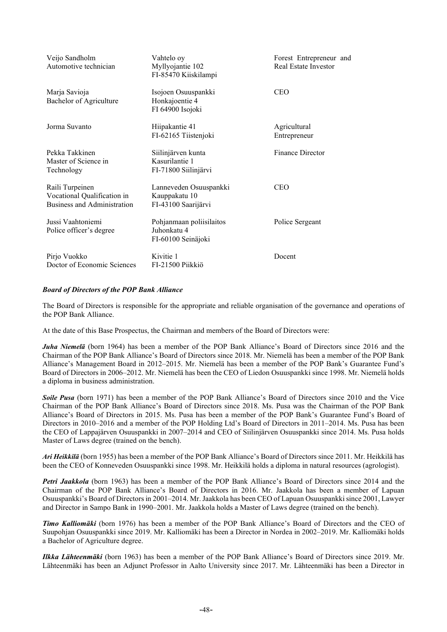| Veijo Sandholm<br>Automotive technician                                       | Vahtelo oy<br>Myllyojantie 102<br>FI-85470 Kiiskilampi         | Forest Entrepreneur and<br>Real Estate Investor |
|-------------------------------------------------------------------------------|----------------------------------------------------------------|-------------------------------------------------|
| Marja Savioja<br>Bachelor of Agriculture                                      | Isojoen Osuuspankki<br>Honkajoentie 4<br>FI 64900 Isojoki      | <b>CEO</b>                                      |
| Jorma Suvanto                                                                 | Hiipakantie 41<br>FI-62165 Tiistenjoki                         | Agricultural<br>Entrepreneur                    |
| Pekka Takkinen<br>Master of Science in<br>Technology                          | Siilinjärven kunta<br>Kasurilantie 1<br>FI-71800 Siilinjärvi   | Finance Director                                |
| Raili Turpeinen<br>Vocational Qualification in<br>Business and Administration | Lanneveden Osuuspankki<br>Kauppakatu 10<br>FI-43100 Saarijärvi | <b>CEO</b>                                      |
| Jussi Vaahtoniemi<br>Police officer's degree                                  | Pohjanmaan poliisilaitos<br>Juhonkatu 4<br>FI-60100 Seinäjoki  | Police Sergeant                                 |
| Pirjo Vuokko<br>Doctor of Economic Sciences                                   | Kivitie 1<br>FI-21500 Piikkiö                                  | Docent                                          |

# *Board of Directors of the POP Bank Alliance*

The Board of Directors is responsible for the appropriate and reliable organisation of the governance and operations of the POP Bank Alliance.

At the date of this Base Prospectus, the Chairman and members of the Board of Directors were:

*Juha Niemelä* (born 1964) has been a member of the POP Bank Alliance's Board of Directors since 2016 and the Chairman of the POP Bank Alliance's Board of Directors since 2018. Mr. Niemelä has been a member of the POP Bank Alliance's Management Board in 2012–2015. Mr. Niemelä has been a member of the POP Bank's Guarantee Fund's Board of Directors in 2006–2012. Mr. Niemelä has been the CEO of Liedon Osuuspankki since 1998. Mr. Niemelä holds a diploma in business administration.

*Soile Pusa* (born 1971) has been a member of the POP Bank Alliance's Board of Directors since 2010 and the Vice Chairman of the POP Bank Alliance's Board of Directors since 2018. Ms. Pusa was the Chairman of the POP Bank Alliance's Board of Directors in 2015. Ms. Pusa has been a member of the POP Bank's Guarantee Fund's Board of Directors in 2010–2016 and a member of the POP Holding Ltd's Board of Directors in 2011–2014. Ms. Pusa has been the CEO of Lappajärven Osuuspankki in 2007–2014 and CEO of Siilinjärven Osuuspankki since 2014. Ms. Pusa holds Master of Laws degree (trained on the bench).

*Ari Heikkilä* (born 1955) has been a member of the POP Bank Alliance's Board of Directors since 2011. Mr. Heikkilä has been the CEO of Konneveden Osuuspankki since 1998. Mr. Heikkilä holds a diploma in natural resources (agrologist).

*Petri Jaakkola* (born 1963) has been a member of the POP Bank Alliance's Board of Directors since 2014 and the Chairman of the POP Bank Alliance's Board of Directors in 2016. Mr. Jaakkola has been a member of Lapuan Osuuspankki's Board of Directors in 2001–2014. Mr. Jaakkola has been CEO of Lapuan Osuuspankki since 2001, Lawyer and Director in Sampo Bank in 1990–2001. Mr. Jaakkola holds a Master of Laws degree (trained on the bench).

*Timo Kalliomäki* (born 1976) has been a member of the POP Bank Alliance's Board of Directors and the CEO of Suupohjan Osuuspankki since 2019. Mr. Kalliomäki has been a Director in Nordea in 2002–2019. Mr. Kalliomäki holds a Bachelor of Agriculture degree.

*Ilkka Lähteenmäki* (born 1963) has been a member of the POP Bank Alliance's Board of Directors since 2019. Mr. Lähteenmäki has been an Adjunct Professor in Aalto University since 2017. Mr. Lähteenmäki has been a Director in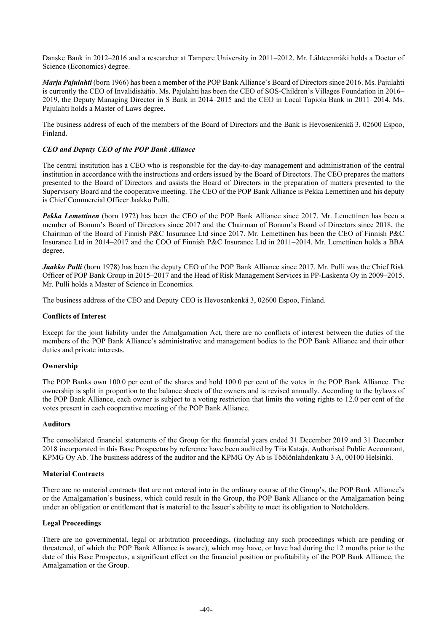Danske Bank in 2012–2016 and a researcher at Tampere University in 2011–2012. Mr. Lähteenmäki holds a Doctor of Science (Economics) degree.

*Marja Pajulahti* (born 1966) has been a member of the POP Bank Alliance's Board of Directors since 2016. Ms. Pajulahti is currently the CEO of Invalidisäätiö. Ms. Pajulahti has been the CEO of SOS-Children's Villages Foundation in 2016– 2019, the Deputy Managing Director in S Bank in 2014–2015 and the CEO in Local Tapiola Bank in 2011–2014. Ms. Pajulahti holds a Master of Laws degree.

The business address of each of the members of the Board of Directors and the Bank is Hevosenkenkä 3, 02600 Espoo, Finland.

## *CEO and Deputy CEO of the POP Bank Alliance*

The central institution has a CEO who is responsible for the day-to-day management and administration of the central institution in accordance with the instructions and orders issued by the Board of Directors. The CEO prepares the matters presented to the Board of Directors and assists the Board of Directors in the preparation of matters presented to the Supervisory Board and the cooperative meeting. The CEO of the POP Bank Alliance is Pekka Lemettinen and his deputy is Chief Commercial Officer Jaakko Pulli.

*Pekka Lemettinen* (born 1972) has been the CEO of the POP Bank Alliance since 2017. Mr. Lemettinen has been a member of Bonum's Board of Directors since 2017 and the Chairman of Bonum's Board of Directors since 2018, the Chairman of the Board of Finnish P&C Insurance Ltd since 2017. Mr. Lemettinen has been the CEO of Finnish P&C Insurance Ltd in 2014–2017 and the COO of Finnish P&C Insurance Ltd in 2011–2014. Mr. Lemettinen holds a BBA degree.

Jaakko Pulli (born 1978) has been the deputy CEO of the POP Bank Alliance since 2017. Mr. Pulli was the Chief Risk Officer of POP Bank Group in 2015–2017 and the Head of Risk Management Services in PP-Laskenta Oy in 2009–2015. Mr. Pulli holds a Master of Science in Economics.

The business address of the CEO and Deputy CEO is Hevosenkenkä 3, 02600 Espoo, Finland.

#### **Conflicts of Interest**

Except for the joint liability under the Amalgamation Act, there are no conflicts of interest between the duties of the members of the POP Bank Alliance's administrative and management bodies to the POP Bank Alliance and their other duties and private interests.

## **Ownership**

The POP Banks own 100.0 per cent of the shares and hold 100.0 per cent of the votes in the POP Bank Alliance. The ownership is split in proportion to the balance sheets of the owners and is revised annually. According to the bylaws of the POP Bank Alliance, each owner is subject to a voting restriction that limits the voting rights to 12.0 per cent of the votes present in each cooperative meeting of the POP Bank Alliance.

#### **Auditors**

The consolidated financial statements of the Group for the financial years ended 31 December 2019 and 31 December 2018 incorporated in this Base Prospectus by reference have been audited by Tiia Kataja, Authorised Public Accountant, KPMG Oy Ab. The business address of the auditor and the KPMG Oy Ab is Töölönlahdenkatu 3 A, 00100 Helsinki.

#### **Material Contracts**

There are no material contracts that are not entered into in the ordinary course of the Group's, the POP Bank Alliance's or the Amalgamation's business, which could result in the Group, the POP Bank Alliance or the Amalgamation being under an obligation or entitlement that is material to the Issuer's ability to meet its obligation to Noteholders.

#### **Legal Proceedings**

There are no governmental, legal or arbitration proceedings, (including any such proceedings which are pending or threatened, of which the POP Bank Alliance is aware), which may have, or have had during the 12 months prior to the date of this Base Prospectus, a significant effect on the financial position or profitability of the POP Bank Alliance, the Amalgamation or the Group.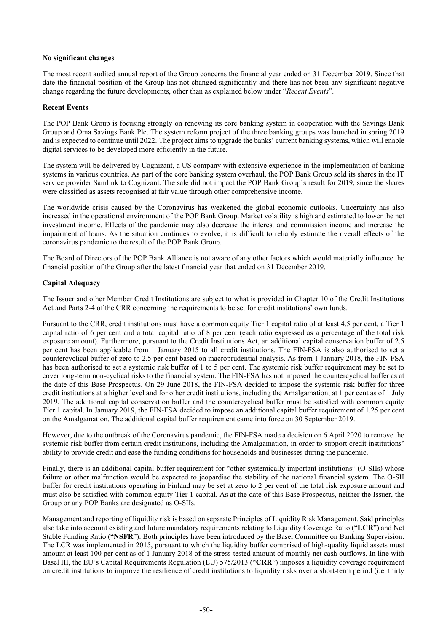## **No significant changes**

The most recent audited annual report of the Group concerns the financial year ended on 31 December 2019. Since that date the financial position of the Group has not changed significantly and there has not been any significant negative change regarding the future developments, other than as explained below under "*Recent Events*".

## **Recent Events**

The POP Bank Group is focusing strongly on renewing its core banking system in cooperation with the Savings Bank Group and Oma Savings Bank Plc. The system reform project of the three banking groups was launched in spring 2019 and is expected to continue until 2022. The project aims to upgrade the banks' current banking systems, which will enable digital services to be developed more efficiently in the future.

The system will be delivered by Cognizant, a US company with extensive experience in the implementation of banking systems in various countries. As part of the core banking system overhaul, the POP Bank Group sold its shares in the IT service provider Samlink to Cognizant. The sale did not impact the POP Bank Group's result for 2019, since the shares were classified as assets recognised at fair value through other comprehensive income.

The worldwide crisis caused by the Coronavirus has weakened the global economic outlooks. Uncertainty has also increased in the operational environment of the POP Bank Group. Market volatility is high and estimated to lower the net investment income. Effects of the pandemic may also decrease the interest and commission income and increase the impairment of loans. As the situation continues to evolve, it is difficult to reliably estimate the overall effects of the coronavirus pandemic to the result of the POP Bank Group.

The Board of Directors of the POP Bank Alliance is not aware of any other factors which would materially influence the financial position of the Group after the latest financial year that ended on 31 December 2019.

## **Capital Adequacy**

The Issuer and other Member Credit Institutions are subject to what is provided in Chapter 10 of the Credit Institutions Act and Parts 2-4 of the CRR concerning the requirements to be set for credit institutions' own funds.

Pursuant to the CRR, credit institutions must have a common equity Tier 1 capital ratio of at least 4.5 per cent, a Tier 1 capital ratio of 6 per cent and a total capital ratio of 8 per cent (each ratio expressed as a percentage of the total risk exposure amount). Furthermore, pursuant to the Credit Institutions Act, an additional capital conservation buffer of 2.5 per cent has been applicable from 1 January 2015 to all credit institutions. The FIN-FSA is also authorised to set a countercyclical buffer of zero to 2.5 per cent based on macroprudential analysis. As from 1 January 2018, the FIN-FSA has been authorised to set a systemic risk buffer of 1 to 5 per cent. The systemic risk buffer requirement may be set to cover long-term non-cyclical risks to the financial system. The FIN-FSA has not imposed the countercyclical buffer as at the date of this Base Prospectus. On 29 June 2018, the FIN-FSA decided to impose the systemic risk buffer for three credit institutions at a higher level and for other credit institutions, including the Amalgamation, at 1 per cent as of 1 July 2019. The additional capital conservation buffer and the countercyclical buffer must be satisfied with common equity Tier 1 capital. In January 2019, the FIN-FSA decided to impose an additional capital buffer requirement of 1.25 per cent on the Amalgamation. The additional capital buffer requirement came into force on 30 September 2019.

However, due to the outbreak of the Coronavirus pandemic, the FIN-FSA made a decision on 6 April 2020 to remove the systemic risk buffer from certain credit institutions, including the Amalgamation, in order to support credit institutions' ability to provide credit and ease the funding conditions for households and businesses during the pandemic.

Finally, there is an additional capital buffer requirement for "other systemically important institutions" (O-SIIs) whose failure or other malfunction would be expected to jeopardise the stability of the national financial system. The O-SII buffer for credit institutions operating in Finland may be set at zero to 2 per cent of the total risk exposure amount and must also be satisfied with common equity Tier 1 capital. As at the date of this Base Prospectus, neither the Issuer, the Group or any POP Banks are designated as O-SIIs.

Management and reporting of liquidity risk is based on separate Principles of Liquidity Risk Management. Said principles also take into account existing and future mandatory requirements relating to Liquidity Coverage Ratio ("**LCR**") and Net Stable Funding Ratio ("**NSFR**"). Both principles have been introduced by the Basel Committee on Banking Supervision. The LCR was implemented in 2015, pursuant to which the liquidity buffer comprised of high-quality liquid assets must amount at least 100 per cent as of 1 January 2018 of the stress-tested amount of monthly net cash outflows. In line with Basel III, the EU's Capital Requirements Regulation (EU) 575/2013 ("**CRR**") imposes a liquidity coverage requirement on credit institutions to improve the resilience of credit institutions to liquidity risks over a short-term period (i.e. thirty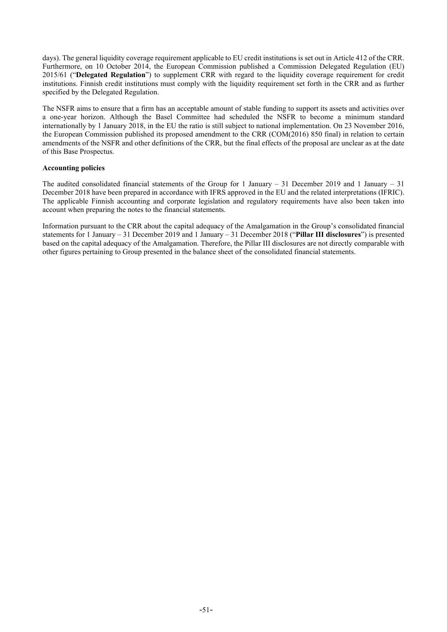days). The general liquidity coverage requirement applicable to EU credit institutions is set out in Article 412 of the CRR. Furthermore, on 10 October 2014, the European Commission published a Commission Delegated Regulation (EU) 2015/61 ("**Delegated Regulation**") to supplement CRR with regard to the liquidity coverage requirement for credit institutions. Finnish credit institutions must comply with the liquidity requirement set forth in the CRR and as further specified by the Delegated Regulation.

The NSFR aims to ensure that a firm has an acceptable amount of stable funding to support its assets and activities over a one-year horizon. Although the Basel Committee had scheduled the NSFR to become a minimum standard internationally by 1 January 2018, in the EU the ratio is still subject to national implementation. On 23 November 2016, the European Commission published its proposed amendment to the CRR (COM(2016) 850 final) in relation to certain amendments of the NSFR and other definitions of the CRR, but the final effects of the proposal are unclear as at the date of this Base Prospectus.

#### **Accounting policies**

The audited consolidated financial statements of the Group for 1 January  $-31$  December 2019 and 1 January  $-31$ December 2018 have been prepared in accordance with IFRS approved in the EU and the related interpretations (IFRIC). The applicable Finnish accounting and corporate legislation and regulatory requirements have also been taken into account when preparing the notes to the financial statements.

Information pursuant to the CRR about the capital adequacy of the Amalgamation in the Group's consolidated financial statements for 1 January – 31 December 2019 and 1 January – 31 December 2018 ("**Pillar III disclosures**") is presented based on the capital adequacy of the Amalgamation. Therefore, the Pillar III disclosures are not directly comparable with other figures pertaining to Group presented in the balance sheet of the consolidated financial statements.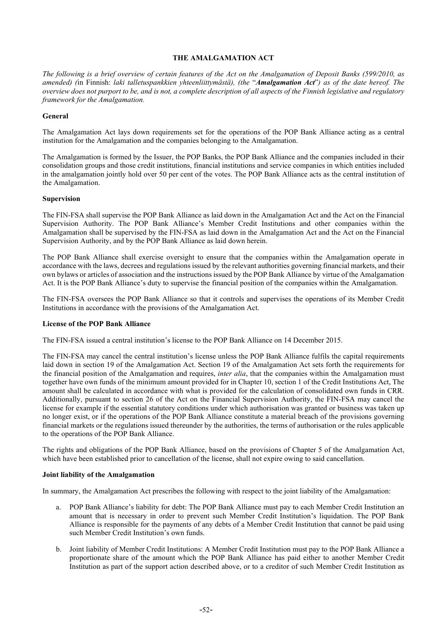#### **THE AMALGAMATION ACT**

<span id="page-54-0"></span>*The following is a brief overview of certain features of the Act on the Amalgamation of Deposit Banks (599/2010, as amended) (*in Finnish: *laki talletuspankkien yhteenliittymästä), (the* "*Amalgamation Act*"*) as of the date hereof. The overview does not purport to be, and is not, a complete description of all aspects of the Finnish legislative and regulatory framework for the Amalgamation.*

#### **General**

The Amalgamation Act lays down requirements set for the operations of the POP Bank Alliance acting as a central institution for the Amalgamation and the companies belonging to the Amalgamation.

The Amalgamation is formed by the Issuer, the POP Banks, the POP Bank Alliance and the companies included in their consolidation groups and those credit institutions, financial institutions and service companies in which entities included in the amalgamation jointly hold over 50 per cent of the votes. The POP Bank Alliance acts as the central institution of the Amalgamation.

#### **Supervision**

The FIN-FSA shall supervise the POP Bank Alliance as laid down in the Amalgamation Act and the Act on the Financial Supervision Authority. The POP Bank Alliance's Member Credit Institutions and other companies within the Amalgamation shall be supervised by the FIN-FSA as laid down in the Amalgamation Act and the Act on the Financial Supervision Authority, and by the POP Bank Alliance as laid down herein.

The POP Bank Alliance shall exercise oversight to ensure that the companies within the Amalgamation operate in accordance with the laws, decrees and regulations issued by the relevant authorities governing financial markets, and their own bylaws or articles of association and the instructions issued by the POP Bank Alliance by virtue of the Amalgamation Act. It is the POP Bank Alliance's duty to supervise the financial position of the companies within the Amalgamation.

The FIN-FSA oversees the POP Bank Alliance so that it controls and supervises the operations of its Member Credit Institutions in accordance with the provisions of the Amalgamation Act.

#### **License of the POP Bank Alliance**

The FIN-FSA issued a central institution's license to the POP Bank Alliance on 14 December 2015.

The FIN-FSA may cancel the central institution's license unless the POP Bank Alliance fulfils the capital requirements laid down in section 19 of the Amalgamation Act. Section 19 of the Amalgamation Act sets forth the requirements for the financial position of the Amalgamation and requires, *inter alia*, that the companies within the Amalgamation must together have own funds of the minimum amount provided for in Chapter 10, section 1 of the Credit Institutions Act, The amount shall be calculated in accordance with what is provided for the calculation of consolidated own funds in CRR. Additionally, pursuant to section 26 of the Act on the Financial Supervision Authority, the FIN-FSA may cancel the license for example if the essential statutory conditions under which authorisation was granted or business was taken up no longer exist, or if the operations of the POP Bank Alliance constitute a material breach of the provisions governing financial markets or the regulations issued thereunder by the authorities, the terms of authorisation or the rules applicable to the operations of the POP Bank Alliance.

The rights and obligations of the POP Bank Alliance, based on the provisions of Chapter 5 of the Amalgamation Act, which have been established prior to cancellation of the license, shall not expire owing to said cancellation.

#### **Joint liability of the Amalgamation**

In summary, the Amalgamation Act prescribes the following with respect to the joint liability of the Amalgamation:

- a. POP Bank Alliance's liability for debt: The POP Bank Alliance must pay to each Member Credit Institution an amount that is necessary in order to prevent such Member Credit Institution's liquidation. The POP Bank Alliance is responsible for the payments of any debts of a Member Credit Institution that cannot be paid using such Member Credit Institution's own funds.
- b. Joint liability of Member Credit Institutions: A Member Credit Institution must pay to the POP Bank Alliance a proportionate share of the amount which the POP Bank Alliance has paid either to another Member Credit Institution as part of the support action described above, or to a creditor of such Member Credit Institution as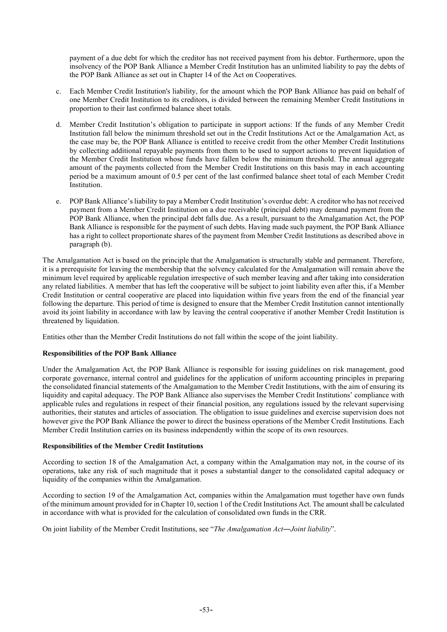payment of a due debt for which the creditor has not received payment from his debtor. Furthermore, upon the insolvency of the POP Bank Alliance a Member Credit Institution has an unlimited liability to pay the debts of the POP Bank Alliance as set out in Chapter 14 of the Act on Cooperatives.

- c. Each Member Credit Institution's liability, for the amount which the POP Bank Alliance has paid on behalf of one Member Credit Institution to its creditors, is divided between the remaining Member Credit Institutions in proportion to their last confirmed balance sheet totals.
- d. Member Credit Institution's obligation to participate in support actions: If the funds of any Member Credit Institution fall below the minimum threshold set out in the Credit Institutions Act or the Amalgamation Act, as the case may be, the POP Bank Alliance is entitled to receive credit from the other Member Credit Institutions by collecting additional repayable payments from them to be used to support actions to prevent liquidation of the Member Credit Institution whose funds have fallen below the minimum threshold. The annual aggregate amount of the payments collected from the Member Credit Institutions on this basis may in each accounting period be a maximum amount of 0.5 per cent of the last confirmed balance sheet total of each Member Credit Institution.
- e. POP Bank Alliance's liability to pay a Member Credit Institution's overdue debt: A creditor who has not received payment from a Member Credit Institution on a due receivable (principal debt) may demand payment from the POP Bank Alliance, when the principal debt falls due. As a result, pursuant to the Amalgamation Act, the POP Bank Alliance is responsible for the payment of such debts. Having made such payment, the POP Bank Alliance has a right to collect proportionate shares of the payment from Member Credit Institutions as described above in paragraph (b).

The Amalgamation Act is based on the principle that the Amalgamation is structurally stable and permanent. Therefore, it is a prerequisite for leaving the membership that the solvency calculated for the Amalgamation will remain above the minimum level required by applicable regulation irrespective of such member leaving and after taking into consideration any related liabilities. A member that has left the cooperative will be subject to joint liability even after this, if a Member Credit Institution or central cooperative are placed into liquidation within five years from the end of the financial year following the departure. This period of time is designed to ensure that the Member Credit Institution cannot intentionally avoid its joint liability in accordance with law by leaving the central cooperative if another Member Credit Institution is threatened by liquidation.

Entities other than the Member Credit Institutions do not fall within the scope of the joint liability.

## **Responsibilities of the POP Bank Alliance**

Under the Amalgamation Act, the POP Bank Alliance is responsible for issuing guidelines on risk management, good corporate governance, internal control and guidelines for the application of uniform accounting principles in preparing the consolidated financial statements of the Amalgamation to the Member Credit Institutions, with the aim of ensuring its liquidity and capital adequacy. The POP Bank Alliance also supervises the Member Credit Institutions' compliance with applicable rules and regulations in respect of their financial position, any regulations issued by the relevant supervising authorities, their statutes and articles of association. The obligation to issue guidelines and exercise supervision does not however give the POP Bank Alliance the power to direct the business operations of the Member Credit Institutions. Each Member Credit Institution carries on its business independently within the scope of its own resources.

#### **Responsibilities of the Member Credit Institutions**

According to section 18 of the Amalgamation Act, a company within the Amalgamation may not, in the course of its operations, take any risk of such magnitude that it poses a substantial danger to the consolidated capital adequacy or liquidity of the companies within the Amalgamation.

According to section 19 of the Amalgamation Act, companies within the Amalgamation must together have own funds of the minimum amount provided for in Chapter 10, section 1 of the Credit Institutions Act. The amount shall be calculated in accordance with what is provided for the calculation of consolidated own funds in the CRR.

On joint liability of the Member Credit Institutions, see "*The Amalgamation Act―Joint liability*".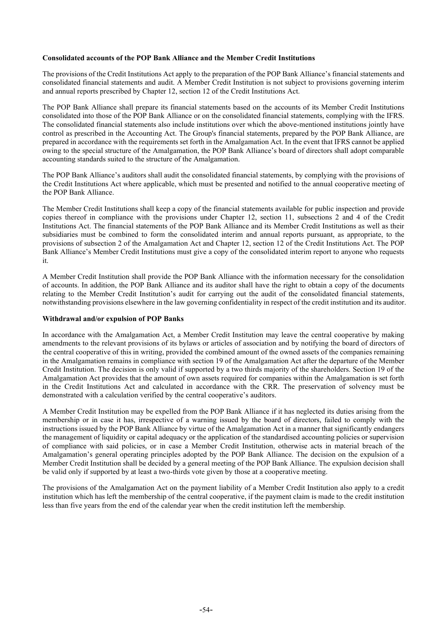#### **Consolidated accounts of the POP Bank Alliance and the Member Credit Institutions**

The provisions of the Credit Institutions Act apply to the preparation of the POP Bank Alliance's financial statements and consolidated financial statements and audit. A Member Credit Institution is not subject to provisions governing interim and annual reports prescribed by Chapter 12, section 12 of the Credit Institutions Act.

The POP Bank Alliance shall prepare its financial statements based on the accounts of its Member Credit Institutions consolidated into those of the POP Bank Alliance or on the consolidated financial statements, complying with the IFRS. The consolidated financial statements also include institutions over which the above-mentioned institutions jointly have control as prescribed in the Accounting Act. The Group's financial statements, prepared by the POP Bank Alliance, are prepared in accordance with the requirements set forth in the Amalgamation Act. In the event that IFRS cannot be applied owing to the special structure of the Amalgamation, the POP Bank Alliance's board of directors shall adopt comparable accounting standards suited to the structure of the Amalgamation.

The POP Bank Alliance's auditors shall audit the consolidated financial statements, by complying with the provisions of the Credit Institutions Act where applicable, which must be presented and notified to the annual cooperative meeting of the POP Bank Alliance.

The Member Credit Institutions shall keep a copy of the financial statements available for public inspection and provide copies thereof in compliance with the provisions under Chapter 12, section 11, subsections 2 and 4 of the Credit Institutions Act. The financial statements of the POP Bank Alliance and its Member Credit Institutions as well as their subsidiaries must be combined to form the consolidated interim and annual reports pursuant, as appropriate, to the provisions of subsection 2 of the Amalgamation Act and Chapter 12, section 12 of the Credit Institutions Act. The POP Bank Alliance's Member Credit Institutions must give a copy of the consolidated interim report to anyone who requests it.

A Member Credit Institution shall provide the POP Bank Alliance with the information necessary for the consolidation of accounts. In addition, the POP Bank Alliance and its auditor shall have the right to obtain a copy of the documents relating to the Member Credit Institution's audit for carrying out the audit of the consolidated financial statements, notwithstanding provisions elsewhere in the law governing confidentiality in respect of the credit institution and its auditor.

#### **Withdrawal and/or expulsion of POP Banks**

In accordance with the Amalgamation Act, a Member Credit Institution may leave the central cooperative by making amendments to the relevant provisions of its bylaws or articles of association and by notifying the board of directors of the central cooperative of this in writing, provided the combined amount of the owned assets of the companies remaining in the Amalgamation remains in compliance with section 19 of the Amalgamation Act after the departure of the Member Credit Institution. The decision is only valid if supported by a two thirds majority of the shareholders. Section 19 of the Amalgamation Act provides that the amount of own assets required for companies within the Amalgamation is set forth in the Credit Institutions Act and calculated in accordance with the CRR. The preservation of solvency must be demonstrated with a calculation verified by the central cooperative's auditors.

A Member Credit Institution may be expelled from the POP Bank Alliance if it has neglected its duties arising from the membership or in case it has, irrespective of a warning issued by the board of directors, failed to comply with the instructions issued by the POP Bank Alliance by virtue of the Amalgamation Act in a manner that significantly endangers the management of liquidity or capital adequacy or the application of the standardised accounting policies or supervision of compliance with said policies, or in case a Member Credit Institution, otherwise acts in material breach of the Amalgamation's general operating principles adopted by the POP Bank Alliance. The decision on the expulsion of a Member Credit Institution shall be decided by a general meeting of the POP Bank Alliance. The expulsion decision shall be valid only if supported by at least a two-thirds vote given by those at a cooperative meeting.

The provisions of the Amalgamation Act on the payment liability of a Member Credit Institution also apply to a credit institution which has left the membership of the central cooperative, if the payment claim is made to the credit institution less than five years from the end of the calendar year when the credit institution left the membership.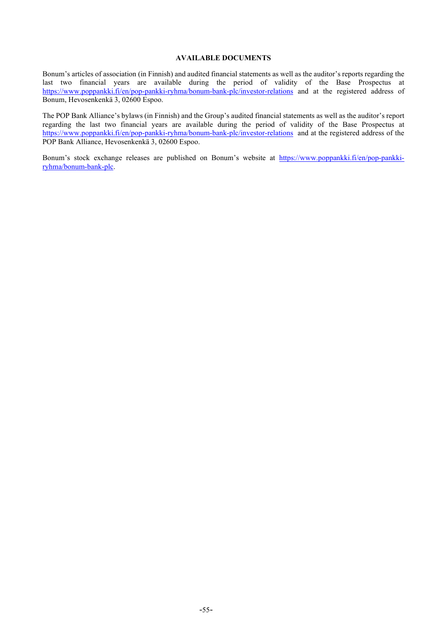#### **AVAILABLE DOCUMENTS**

<span id="page-57-0"></span>Bonum's articles of association (in Finnish) and audited financial statements as well as the auditor's reports regarding the last two financial years are available during the period of validity of the Base Prospectus at <https://www.poppankki.fi/en/pop-pankki-ryhma/bonum-bank-plc/investor-relations> and at the registered address of Bonum, Hevosenkenkä 3, 02600 Espoo.

The POP Bank Alliance's bylaws (in Finnish) and the Group's audited financial statements as well as the auditor's report regarding the last two financial years are available during the period of validity of the Base Prospectus at <https://www.poppankki.fi/en/pop-pankki-ryhma/bonum-bank-plc/investor-relations> and at the registered address of the POP Bank Alliance, Hevosenkenkä 3, 02600 Espoo.

Bonum's stock exchange releases are published on Bonum's website at [https://www.poppankki.fi/en/pop-pankki](https://www.poppankki.fi/en/pop-pankki-ryhma/bonum-bank-plc)[ryhma/bonum-bank-plc.](https://www.poppankki.fi/en/pop-pankki-ryhma/bonum-bank-plc)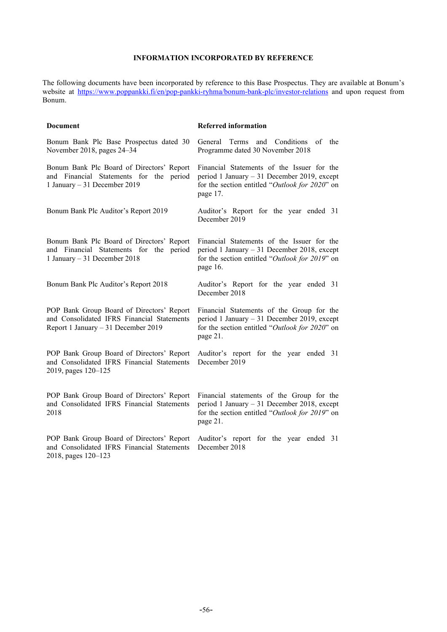# **INFORMATION INCORPORATED BY REFERENCE**

<span id="page-58-0"></span>The following documents have been incorporated by reference to this Base Prospectus. They are available at Bonum's website at<https://www.poppankki.fi/en/pop-pankki-ryhma/bonum-bank-plc/investor-relations> and upon request from Bonum.

| Document                                                                                                                       | <b>Referred information</b>                                                                                                                              |
|--------------------------------------------------------------------------------------------------------------------------------|----------------------------------------------------------------------------------------------------------------------------------------------------------|
| Bonum Bank Plc Base Prospectus dated 30<br>November 2018, pages 24–34                                                          | General Terms and Conditions of the<br>Programme dated 30 November 2018                                                                                  |
| Bonum Bank Plc Board of Directors' Report<br>and Financial Statements for the period<br>1 January - 31 December 2019           | Financial Statements of the Issuer for the<br>period 1 January - 31 December 2019, except<br>for the section entitled "Outlook for 2020" on<br>page 17.  |
| Bonum Bank Plc Auditor's Report 2019                                                                                           | Auditor's Report for the year ended 31<br>December 2019                                                                                                  |
| Bonum Bank Plc Board of Directors' Report<br>and Financial Statements for the period<br>1 January - 31 December 2018           | Financial Statements of the Issuer for the<br>period 1 January $-31$ December 2018, except<br>for the section entitled "Outlook for 2019" on<br>page 16. |
| Bonum Bank Plc Auditor's Report 2018                                                                                           | Auditor's Report for the year ended 31<br>December 2018                                                                                                  |
| POP Bank Group Board of Directors' Report<br>and Consolidated IFRS Financial Statements<br>Report 1 January - 31 December 2019 | Financial Statements of the Group for the<br>period 1 January $-31$ December 2019, except<br>for the section entitled "Outlook for 2020" on<br>page 21.  |
| POP Bank Group Board of Directors' Report<br>and Consolidated IFRS Financial Statements<br>2019, pages 120–125                 | Auditor's report for the year ended 31<br>December 2019                                                                                                  |
| POP Bank Group Board of Directors' Report<br>and Consolidated IFRS Financial Statements<br>2018                                | Financial statements of the Group for the<br>period 1 January - 31 December 2018, except<br>for the section entitled "Outlook for 2019" on<br>page 21.   |
| POP Bank Group Board of Directors' Report<br>and Consolidated IFRS Financial Statements<br>2018, pages 120–123                 | Auditor's report for the year ended 31<br>December 2018                                                                                                  |